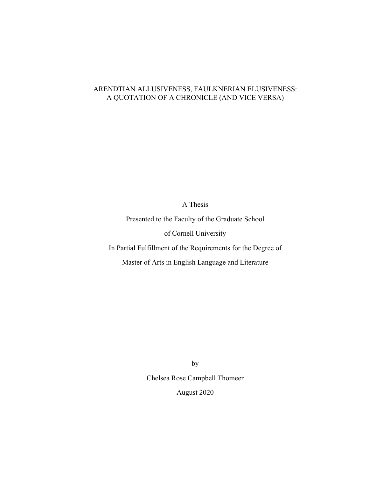# ARENDTIAN ALLUSIVENESS, FAULKNERIAN ELUSIVENESS: A QUOTATION OF A CHRONICLE (AND VICE VERSA)

A Thesis

Presented to the Faculty of the Graduate School

of Cornell University

In Partial Fulfillment of the Requirements for the Degree of

Master of Arts in English Language and Literature

by Chelsea Rose Campbell Thomeer August 2020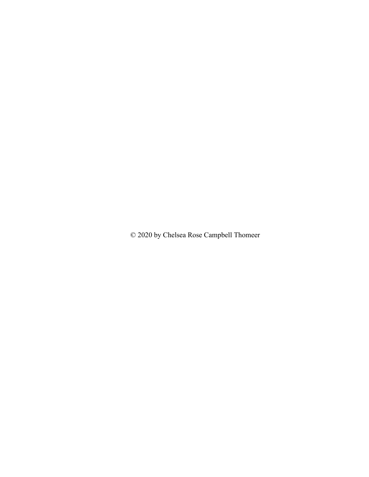© 2020 by Chelsea Rose Campbell Thomeer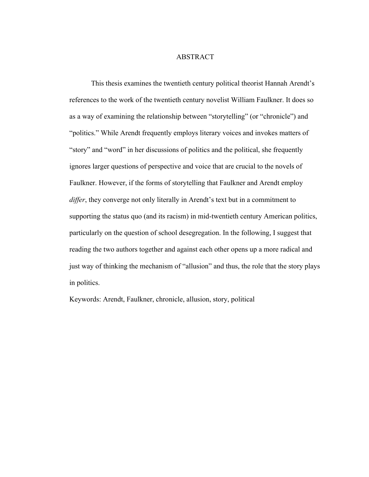## ABSTRACT

This thesis examines the twentieth century political theorist Hannah Arendt's references to the work of the twentieth century novelist William Faulkner. It does so as a way of examining the relationship between "storytelling" (or "chronicle") and "politics." While Arendt frequently employs literary voices and invokes matters of "story" and "word" in her discussions of politics and the political, she frequently ignores larger questions of perspective and voice that are crucial to the novels of Faulkner. However, if the forms of storytelling that Faulkner and Arendt employ *differ*, they converge not only literally in Arendt's text but in a commitment to supporting the status quo (and its racism) in mid-twentieth century American politics, particularly on the question of school desegregation. In the following, I suggest that reading the two authors together and against each other opens up a more radical and just way of thinking the mechanism of "allusion" and thus, the role that the story plays in politics.

Keywords: Arendt, Faulkner, chronicle, allusion, story, political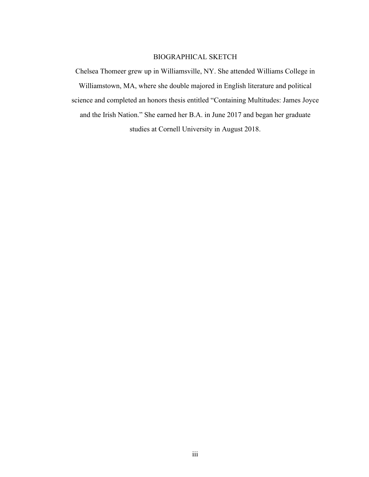# BIOGRAPHICAL SKETCH

Chelsea Thomeer grew up in Williamsville, NY. She attended Williams College in Williamstown, MA, where she double majored in English literature and political science and completed an honors thesis entitled "Containing Multitudes: James Joyce and the Irish Nation." She earned her B.A. in June 2017 and began her graduate studies at Cornell University in August 2018.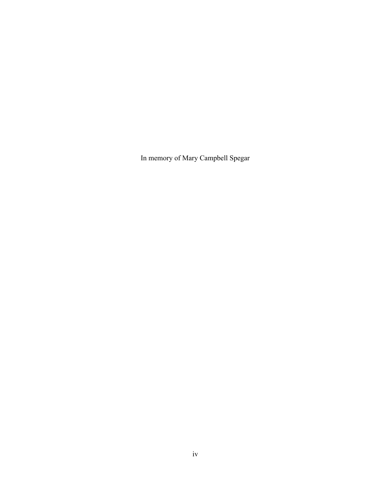In memory of Mary Campbell Spegar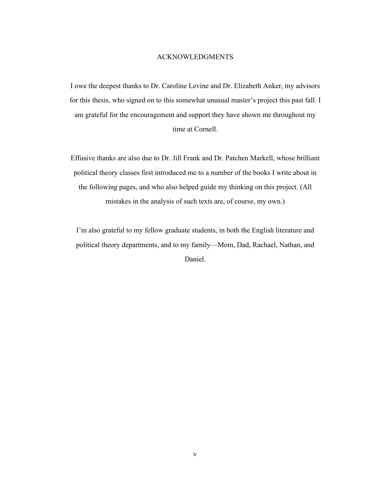#### ACKNOWLEDGMENTS

I owe the deepest thanks to Dr. Caroline Levine and Dr. Elizabeth Anker, my advisors for this thesis, who signed on to this somewhat unusual master's project this past fall. I am grateful for the encouragement and support they have shown me throughout my time at Cornell.

Effusive thanks are also due to Dr. Jill Frank and Dr. Patchen Markell, whose brilliant political theory classes first introduced me to a number of the books I write about in the following pages, and who also helped guide my thinking on this project. (All mistakes in the analysis of such texts are, of course, my own.)

I'm also grateful to my fellow graduate students, in both the English literature and political theory departments, and to my family—Mom, Dad, Rachael, Nathan, and Daniel.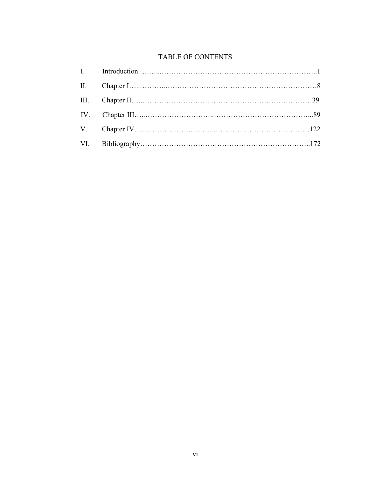# TABLE OF CONTENTS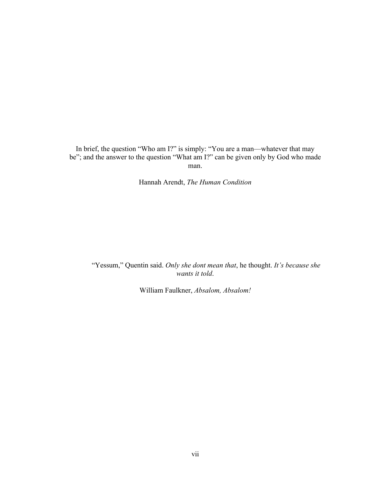In brief, the question "Who am I?" is simply: "You are a man—whatever that may be"; and the answer to the question "What am I?" can be given only by God who made man.

Hannah Arendt, *The Human Condition*

"Yessum," Quentin said. *Only she dont mean that*, he thought. *It's because she wants it told*.

William Faulkner, *Absalom, Absalom!*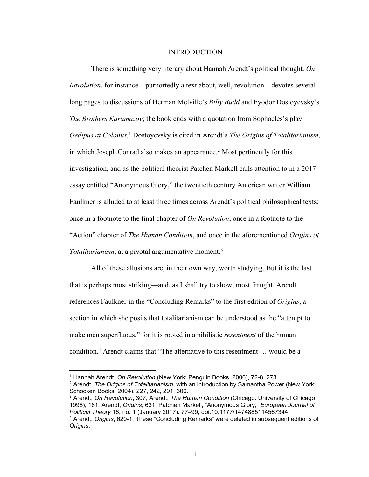#### INTRODUCTION

There is something very literary about Hannah Arendt's political thought. *On Revolution*, for instance—purportedly a text about, well, revolution—devotes several long pages to discussions of Herman Melville's *Billy Budd* and Fyodor Dostoyevsky's *The Brothers Karamazov*; the book ends with a quotation from Sophocles's play, *Oedipus at Colonus.*<sup>1</sup> Dostoyevsky is cited in Arendt's *The Origins of Totalitarianism*, in which Joseph Conrad also makes an appearance.2 Most pertinently for this investigation, and as the political theorist Patchen Markell calls attention to in a 2017 essay entitled "Anonymous Glory," the twentieth century American writer William Faulkner is alluded to at least three times across Arendt's political philosophical texts: once in a footnote to the final chapter of *On Revolution*, once in a footnote to the "Action" chapter of *The Human Condition*, and once in the aforementioned *Origins of Totalitarianism*, at a pivotal argumentative moment.<sup>3</sup>

All of these allusions are, in their own way, worth studying. But it is the last that is perhaps most striking—and, as I shall try to show, most fraught. Arendt references Faulkner in the "Concluding Remarks" to the first edition of *Origins*, a section in which she posits that totalitarianism can be understood as the "attempt to make men superfluous," for it is rooted in a nihilistic *resentment* of the human condition.4 Arendt claims that "The alternative to this resentment … would be a

<sup>1</sup> Hannah Arendt, *On Revolution* (New York: Penguin Books, 2006), 72-8, 273.

<sup>2</sup> Arendt, *The Origins of Totalitarianism*, with an introduction by Samantha Power (New York: Schocken Books, 2004), 227, 242, 291, 300.

<sup>3</sup> Arendt, *On Revolution*, 307; Arendt, *The Human Condition* (Chicago: University of Chicago, 1998), 181; Arendt, *Origins*, 631; Patchen Markell, "Anonymous Glory," *European Journal of Political Theory* 16, no. 1 (January 2017): 77–99, doi:10.1177/1474885114567344.

<sup>4</sup> Arendt, *Origins*, 620-1. These "Concluding Remarks" were deleted in subsequent editions of *Origins*.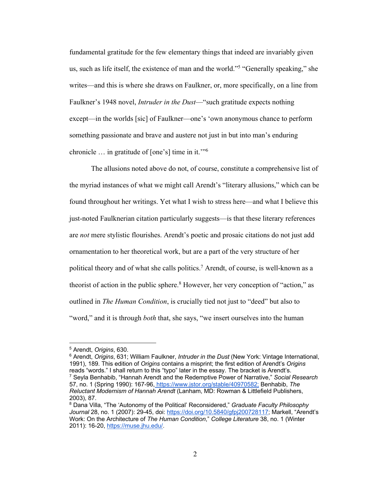fundamental gratitude for the few elementary things that indeed are invariably given us, such as life itself, the existence of man and the world."5 "Generally speaking," she writes—and this is where she draws on Faulkner, or, more specifically, on a line from Faulkner's 1948 novel, *Intruder in the Dust*—"such gratitude expects nothing except—in the worlds [sic] of Faulkner—one's 'own anonymous chance to perform something passionate and brave and austere not just in but into man's enduring chronicle … in gratitude of [one's] time in it.'"6

The allusions noted above do not, of course, constitute a comprehensive list of the myriad instances of what we might call Arendt's "literary allusions," which can be found throughout her writings. Yet what I wish to stress here—and what I believe this just-noted Faulknerian citation particularly suggests—is that these literary references are *not* mere stylistic flourishes. Arendt's poetic and prosaic citations do not just add ornamentation to her theoretical work, but are a part of the very structure of her political theory and of what she calls politics.7 Arendt, of course, is well-known as a theorist of action in the public sphere. $8$  However, her very conception of "action," as outlined in *The Human Condition*, is crucially tied not just to "deed" but also to "word," and it is through *both* that, she says, "we insert ourselves into the human

<sup>6</sup> Arendt, *Origins*, 631; William Faulkner, *Intruder in the Dust* (New York: Vintage International, 1991), 189. This edition of *Origins* contains a misprint; the first edition of Arendt's *Origins*  reads "words." I shall return to this "typo" later in the essay. The bracket is Arendt's. <sup>7</sup> Seyla Benhabib, "Hannah Arendt and the Redemptive Power of Narrative," *Social Research* 57, no. 1 (Spring 1990): 167-96, https://www.jstor.org/stable/40970582; Benhabib, *The Reluctant Modernism of Hannah Arendt* (Lanham, MD: Rowman & Littlefield Publishers, 2003), 87.

<sup>5</sup> Arendt, *Origins*, 630.

<sup>8</sup> Dana Villa, "The 'Autonomy of the Political' Reconsidered," *Graduate Faculty Philosophy Journal* 28, no. 1 (2007): 29-45, doi: https://doi.org/10.5840/gfpj200728117; Markell, "Arendt's Work: On the Architecture of *The Human Condition*," *College Literature* 38, no. 1 (Winter 2011): 16-20, https://muse.jhu.edu/.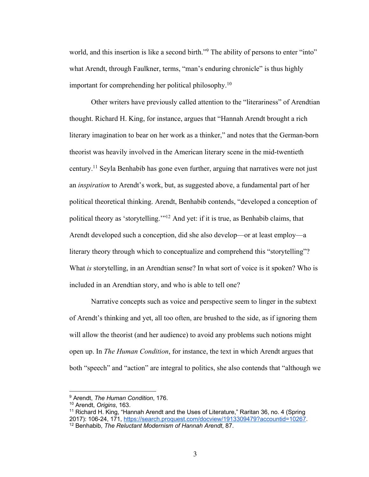world, and this insertion is like a second birth."<sup>9</sup> The ability of persons to enter "into" what Arendt, through Faulkner, terms, "man's enduring chronicle" is thus highly important for comprehending her political philosophy.10

Other writers have previously called attention to the "literariness" of Arendtian thought. Richard H. King, for instance, argues that "Hannah Arendt brought a rich literary imagination to bear on her work as a thinker," and notes that the German-born theorist was heavily involved in the American literary scene in the mid-twentieth century.11 Seyla Benhabib has gone even further, arguing that narratives were not just an *inspiration* to Arendt's work, but, as suggested above, a fundamental part of her political theoretical thinking. Arendt, Benhabib contends, "developed a conception of political theory as 'storytelling.'"12 And yet: if it is true, as Benhabib claims, that Arendt developed such a conception, did she also develop—or at least employ—a literary theory through which to conceptualize and comprehend this "storytelling"? What *is* storytelling, in an Arendtian sense? In what sort of voice is it spoken? Who is included in an Arendtian story, and who is able to tell one?

Narrative concepts such as voice and perspective seem to linger in the subtext of Arendt's thinking and yet, all too often, are brushed to the side, as if ignoring them will allow the theorist (and her audience) to avoid any problems such notions might open up. In *The Human Condition*, for instance, the text in which Arendt argues that both "speech" and "action" are integral to politics, she also contends that "although we

<sup>9</sup> Arendt, *The Human Condition*, 176.

<sup>10</sup> Arendt, *Origins*, 163.

<sup>11</sup> Richard H. King, "Hannah Arendt and the Uses of Literature," Raritan 36, no. 4 (Spring 2017): 106-24, 171, https://search.proquest.com/docview/1913309479?accountid=10267. <sup>12</sup> Benhabib, *The Reluctant Modernism of Hannah Arendt*, 87.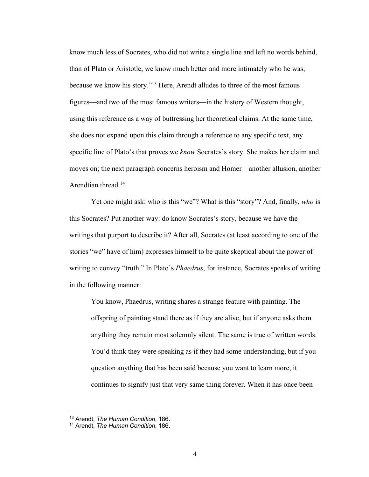know much less of Socrates, who did not write a single line and left no words behind, than of Plato or Aristotle, we know much better and more intimately who he was, because we know his story."13 Here, Arendt alludes to three of the most famous figures—and two of the most famous writers—in the history of Western thought, using this reference as a way of buttressing her theoretical claims. At the same time, she does not expand upon this claim through a reference to any specific text, any specific line of Plato's that proves we *know* Socrates's story. She makes her claim and moves on; the next paragraph concerns heroism and Homer—another allusion, another Arendtian thread.14

Yet one might ask: who is this "we"? What is this "story"? And, finally, *who* is this Socrates? Put another way: do know Socrates's story, because we have the writings that purport to describe it? After all, Socrates (at least according to one of the stories "we" have of him) expresses himself to be quite skeptical about the power of writing to convey "truth." In Plato's *Phaedrus*, for instance, Socrates speaks of writing in the following manner:

You know, Phaedrus, writing shares a strange feature with painting. The offspring of painting stand there as if they are alive, but if anyone asks them anything they remain most solemnly silent. The same is true of written words. You'd think they were speaking as if they had some understanding, but if you question anything that has been said because you want to learn more, it continues to signify just that very same thing forever. When it has once been

<sup>13</sup> Arendt, *The Human Condition*, 186.

<sup>14</sup> Arendt, *The Human Condition*, 186.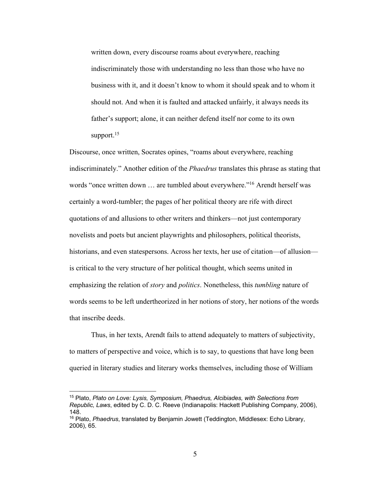written down, every discourse roams about everywhere, reaching indiscriminately those with understanding no less than those who have no business with it, and it doesn't know to whom it should speak and to whom it should not. And when it is faulted and attacked unfairly, it always needs its father's support; alone, it can neither defend itself nor come to its own support. $15$ 

Discourse, once written, Socrates opines, "roams about everywhere, reaching indiscriminately." Another edition of the *Phaedrus* translates this phrase as stating that words "once written down … are tumbled about everywhere."16 Arendt herself was certainly a word-tumbler; the pages of her political theory are rife with direct quotations of and allusions to other writers and thinkers—not just contemporary novelists and poets but ancient playwrights and philosophers, political theorists, historians, and even statespersons. Across her texts, her use of citation—of allusion is critical to the very structure of her political thought, which seems united in emphasizing the relation of *story* and *politics*. Nonetheless, this *tumbling* nature of words seems to be left undertheorized in her notions of story, her notions of the words that inscribe deeds.

Thus, in her texts, Arendt fails to attend adequately to matters of subjectivity, to matters of perspective and voice, which is to say, to questions that have long been queried in literary studies and literary works themselves, including those of William

<sup>15</sup> Plato, *Plato on Love: Lysis, Symposium, Phaedrus, Alcibiades, with Selections from Republic, Laws*, edited by C. D. C. Reeve (Indianapolis: Hackett Publishing Company, 2006), 148.

<sup>16</sup> Plato, *Phaedrus*, translated by Benjamin Jowett (Teddington, Middlesex: Echo Library, 2006), 65.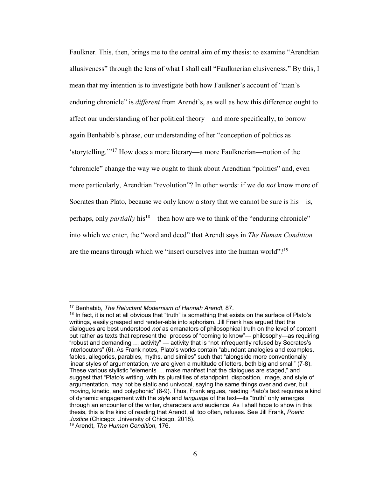Faulkner. This, then, brings me to the central aim of my thesis: to examine "Arendtian allusiveness" through the lens of what I shall call "Faulknerian elusiveness." By this, I mean that my intention is to investigate both how Faulkner's account of "man's enduring chronicle" is *different* from Arendt's, as well as how this difference ought to affect our understanding of her political theory—and more specifically, to borrow again Benhabib's phrase, our understanding of her "conception of politics as 'storytelling.'"17 How does a more literary—a more Faulknerian—notion of the "chronicle" change the way we ought to think about Arendtian "politics" and, even more particularly, Arendtian "revolution"? In other words: if we do *not* know more of Socrates than Plato, because we only know a story that we cannot be sure is his—is, perhaps, only *partially* his<sup>18</sup>—then how are we to think of the "enduring chronicle" into which we enter, the "word and deed" that Arendt says in *The Human Condition*  are the means through which we "insert ourselves into the human world"?19

<sup>17</sup> Benhabib, *The Reluctant Modernism of Hannah Arendt*, 87.

<sup>&</sup>lt;sup>18</sup> In fact, it is not at all obvious that "truth" is something that exists on the surface of Plato's writings, easily grasped and render-able into aphorism. Jill Frank has argued that the dialogues are best understood *not* as emanators of philosophical truth on the level of content but rather as texts that represent the process of "coming to know"— philosophy—as requiring "robust and demanding … activity" — activity that is "not infrequently refused by Socrates's interlocutors" (6). As Frank notes, Plato's works contain "abundant analogies and examples, fables, allegories, parables, myths, and similes" such that "alongside more conventionally linear styles of argumentation, we are given a multitude of letters, both big and small" (7-8). These various stylistic "elements … make manifest that the dialogues are staged," and suggest that "Plato's writing, with its pluralities of standpoint, disposition, image, and style of argumentation, may not be static and univocal, saying the same things over and over, but moving, kinetic, and polyphonic" (8-9). Thus, Frank argues, reading Plato's text requires a kind of dynamic engagement with the *style* and *language* of the text—its "truth" only emerges through an encounter of the writer, characters *and* audience. As I shall hope to show in this thesis, this is the kind of reading that Arendt, all too often, refuses. See Jill Frank, *Poetic Justice* (Chicago: University of Chicago, 2018).

<sup>19</sup> Arendt, *The Human Condition*, 176.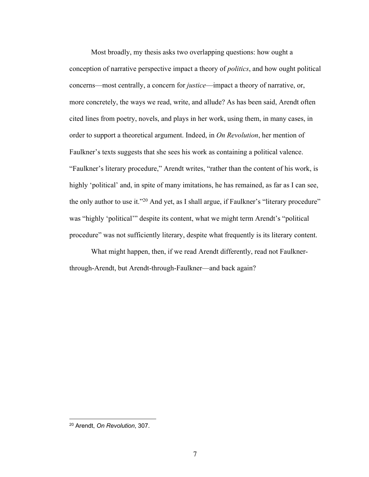Most broadly, my thesis asks two overlapping questions: how ought a conception of narrative perspective impact a theory of *politics*, and how ought political concerns—most centrally, a concern for *justice*—impact a theory of narrative, or, more concretely, the ways we read, write, and allude? As has been said, Arendt often cited lines from poetry, novels, and plays in her work, using them, in many cases, in order to support a theoretical argument. Indeed, in *On Revolution*, her mention of Faulkner's texts suggests that she sees his work as containing a political valence. "Faulkner's literary procedure," Arendt writes, "rather than the content of his work, is highly 'political' and, in spite of many imitations, he has remained, as far as I can see, the only author to use it."<sup>20</sup> And yet, as I shall argue, if Faulkner's "literary procedure" was "highly 'political'" despite its content, what we might term Arendt's "political procedure" was not sufficiently literary, despite what frequently is its literary content.

What might happen, then, if we read Arendt differently, read not Faulknerthrough-Arendt, but Arendt-through-Faulkner—and back again?

<sup>20</sup> Arendt, *On Revolution*, 307.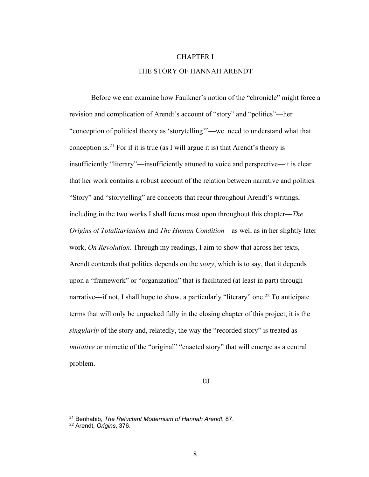# CHAPTER I THE STORY OF HANNAH ARENDT

Before we can examine how Faulkner's notion of the "chronicle" might force a revision and complication of Arendt's account of "story" and "politics"—her "conception of political theory as 'storytelling'"—we need to understand what that conception is.<sup>21</sup> For if it is true (as I will argue it is) that Arendt's theory is insufficiently "literary"—insufficiently attuned to voice and perspective—it is clear that her work contains a robust account of the relation between narrative and politics. "Story" and "storytelling" are concepts that recur throughout Arendt's writings, including in the two works I shall focus most upon throughout this chapter—*The Origins of Totalitarianism* and *The Human Condition*—as well as in her slightly later work, *On Revolution*. Through my readings, I aim to show that across her texts, Arendt contends that politics depends on the *story*, which is to say, that it depends upon a "framework" or "organization" that is facilitated (at least in part) through narrative—if not, I shall hope to show, a particularly "literary" one.<sup>22</sup> To anticipate terms that will only be unpacked fully in the closing chapter of this project, it is the *singularly* of the story and, relatedly, the way the "recorded story" is treated as *imitative* or mimetic of the "original" "enacted story" that will emerge as a central problem.

(i)

<sup>21</sup> Benhabib, *The Reluctant Modernism of Hannah Arendt*, 87.

<sup>22</sup> Arendt, *Origins*, 376.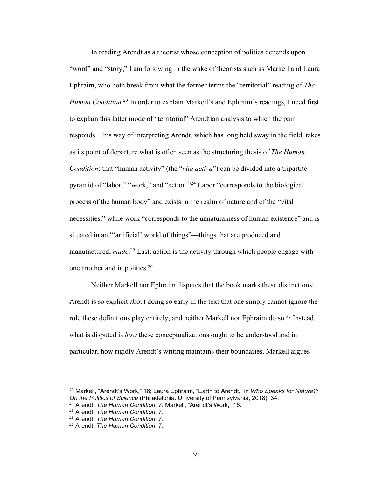In reading Arendt as a theorist whose conception of politics depends upon "word" and "story," I am following in the wake of theorists such as Markell and Laura Ephraim, who both break from what the former terms the "territorial" reading of *The Human Condition*. <sup>23</sup> In order to explain Markell's and Ephraim's readings, I need first to explain this latter mode of "territorial" Arendtian analysis to which the pair responds. This way of interpreting Arendt, which has long held sway in the field, takes as its point of departure what is often seen as the structuring thesis of *The Human Condition*: that "human activity" (the "*vita activa*") can be divided into a tripartite pyramid of "labor," "work," and "action."24 Labor "corresponds to the biological process of the human body" and exists in the realm of nature and of the "vital necessities," while work "corresponds to the unnaturalness of human existence" and is situated in an "'artificial' world of things"—things that are produced and manufactured, *made*. <sup>25</sup> Last, action is the activity through which people engage with one another and in politics.26

Neither Markell nor Ephraim disputes that the book marks these distinctions; Arendt is so explicit about doing so early in the text that one simply cannot ignore the role these definitions play entirely, and neither Markell nor Ephraim do so.<sup>27</sup> Instead, what is disputed is *how* these conceptualizations ought to be understood and in particular, how rigidly Arendt's writing maintains their boundaries. Markell argues

<sup>23</sup> Markell, "Arendt's Work," 16; Laura Ephraim, "Earth to Arendt," in *Who Speaks for Nature?: On the Politics of Science* (Philadelphia: University of Pennsylvania, 2018), 34.

<sup>24</sup> Arendt, *The Human Condition*, 7. Markell, "Arendt's Work," 16.

<sup>25</sup> Arendt, *The Human Condition*, 7.

<sup>26</sup> Arendt, *The Human Condition*, 7.

<sup>27</sup> Arendt, *The Human Condition*, 7.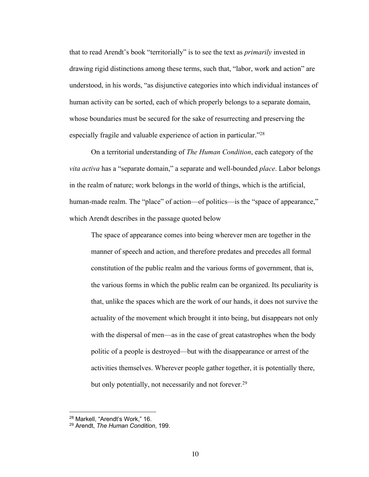that to read Arendt's book "territorially" is to see the text as *primarily* invested in drawing rigid distinctions among these terms, such that, "labor, work and action" are understood, in his words, "as disjunctive categories into which individual instances of human activity can be sorted, each of which properly belongs to a separate domain, whose boundaries must be secured for the sake of resurrecting and preserving the especially fragile and valuable experience of action in particular."28

On a territorial understanding of *The Human Condition*, each category of the *vita activa* has a "separate domain," a separate and well-bounded *place*. Labor belongs in the realm of nature; work belongs in the world of things, which is the artificial, human-made realm. The "place" of action—of politics—is the "space of appearance," which Arendt describes in the passage quoted below

The space of appearance comes into being wherever men are together in the manner of speech and action, and therefore predates and precedes all formal constitution of the public realm and the various forms of government, that is, the various forms in which the public realm can be organized. Its peculiarity is that, unlike the spaces which are the work of our hands, it does not survive the actuality of the movement which brought it into being, but disappears not only with the dispersal of men—as in the case of great catastrophes when the body politic of a people is destroyed—but with the disappearance or arrest of the activities themselves. Wherever people gather together, it is potentially there, but only potentially, not necessarily and not forever.<sup>29</sup>

<sup>28</sup> Markell, "Arendt's Work," 16.

<sup>29</sup> Arendt, *The Human Condition*, 199.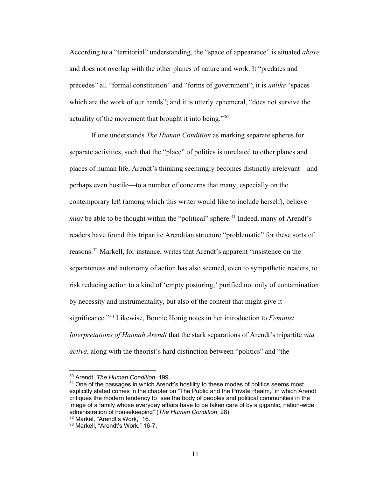According to a "territorial" understanding, the "space of appearance" is situated *above*  and does not overlap with the other planes of nature and work. It "predates and precedes" all "formal constitution" and "forms of government"; it is *unlike* "spaces which are the work of our hands"; and it is utterly ephemeral, "does not survive the actuality of the movement that brought it into being."30

If one understands *The Human Condition* as marking separate spheres for separate activities, such that the "place" of politics is unrelated to other planes and places of human life, Arendt's thinking seemingly becomes distinctly irrelevant—and perhaps even hostile—to a number of concerns that many, especially on the contemporary left (among which this writer would like to include herself), believe *must* be able to be thought within the "political" sphere.<sup>31</sup> Indeed, many of Arendt's readers have found this tripartite Arendtian structure "problematic" for these sorts of reasons.32 Markell, for instance, writes that Arendt's apparent "insistence on the separateness and autonomy of action has also seemed, even to sympathetic readers, to risk reducing action to a kind of 'empty posturing,' purified not only of contamination by necessity and instrumentality, but also of the content that might give it significance."33 Likewise, Bonnie Honig notes in her introduction to *Feminist Interpretations of Hannah Arendt* that the stark separations of Arendt's tripartite *vita activa*, along with the theorist's hard distinction between "politics" and "the

<sup>30</sup> Arendt, *The Human Condition*, 199.

<sup>&</sup>lt;sup>31</sup> One of the passages in which Arendt's hostility to these modes of politics seems most explicitly stated comes in the chapter on "The Public and the Private Realm," in which Arendt critiques the modern tendency to "see the body of peoples and political communities in the image of a family whose everyday affairs have to be taken care of by a gigantic, nation-wide administration of housekeeping" (*The Human Condition*, 28).

<sup>32</sup> Markel, "Arendt's Work," 16.

<sup>33</sup> Markell, "Arendt's Work," 16-7.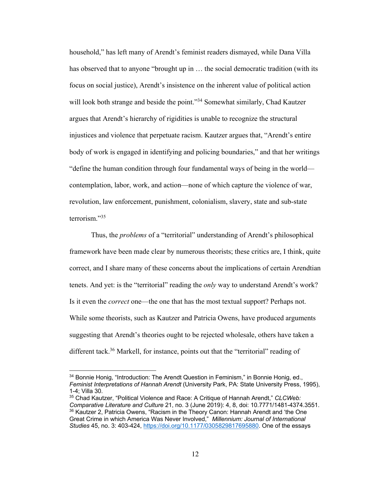household," has left many of Arendt's feminist readers dismayed, while Dana Villa has observed that to anyone "brought up in  $\ldots$  the social democratic tradition (with its focus on social justice), Arendt's insistence on the inherent value of political action will look both strange and beside the point."<sup>34</sup> Somewhat similarly, Chad Kautzer argues that Arendt's hierarchy of rigidities is unable to recognize the structural injustices and violence that perpetuate racism. Kautzer argues that, "Arendt's entire body of work is engaged in identifying and policing boundaries," and that her writings "define the human condition through four fundamental ways of being in the world contemplation, labor, work, and action—none of which capture the violence of war, revolution, law enforcement, punishment, colonialism, slavery, state and sub-state terrorism."35

Thus, the *problems* of a "territorial" understanding of Arendt's philosophical framework have been made clear by numerous theorists; these critics are, I think, quite correct, and I share many of these concerns about the implications of certain Arendtian tenets. And yet: is the "territorial" reading the *only* way to understand Arendt's work? Is it even the *correct* one—the one that has the most textual support? Perhaps not. While some theorists, such as Kautzer and Patricia Owens, have produced arguments suggesting that Arendt's theories ought to be rejected wholesale, others have taken a different tack.36 Markell, for instance, points out that the "territorial" reading of

<sup>&</sup>lt;sup>34</sup> Bonnie Honig, "Introduction: The Arendt Question in Feminism," in Bonnie Honig, ed., *Feminist Interpretations of Hannah Arendt* (University Park, PA: State University Press, 1995), 1-4; Villa 30.

<sup>35</sup> Chad Kautzer, "Political Violence and Race: A Critique of Hannah Arendt," *CLCWeb: Comparative Literature and Culture* 21, no. 3 (June 2019): 4, 8, doi: 10.7771/1481-4374.3551. <sup>36</sup> Kautzer 2, Patricia Owens, "Racism in the Theory Canon: Hannah Arendt and 'the One Great Crime in which America Was Never Involved," *Millennium: Journal of International Studies* 45, no. 3: 403-424, https://doi.org/10.1177/0305829817695880. One of the essays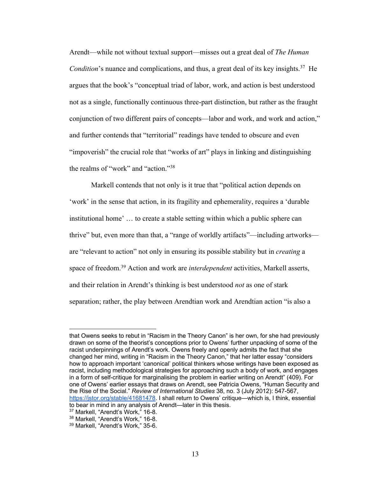Arendt—while not without textual support—misses out a great deal of *The Human Condition*'s nuance and complications, and thus, a great deal of its key insights.<sup>37</sup> He argues that the book's "conceptual triad of labor, work, and action is best understood not as a single, functionally continuous three-part distinction, but rather as the fraught conjunction of two different pairs of concepts—labor and work, and work and action," and further contends that "territorial" readings have tended to obscure and even "impoverish" the crucial role that "works of art" plays in linking and distinguishing the realms of "work" and "action."38

Markell contends that not only is it true that "political action depends on 'work' in the sense that action, in its fragility and ephemerality, requires a 'durable institutional home' … to create a stable setting within which a public sphere can thrive" but, even more than that, a "range of worldly artifacts"—including artworks are "relevant to action" not only in ensuring its possible stability but in *creating* a space of freedom.39 Action and work are *interdependent* activities, Markell asserts, and their relation in Arendt's thinking is best understood *not* as one of stark separation; rather, the play between Arendtian work and Arendtian action "is also a

that Owens seeks to rebut in "Racism in the Theory Canon" is her own, for she had previously drawn on some of the theorist's conceptions prior to Owens' further unpacking of some of the racist underpinnings of Arendt's work. Owens freely and openly admits the fact that she changed her mind, writing in "Racism in the Theory Canon," that her latter essay "considers how to approach important 'canonical' political thinkers whose writings have been exposed as racist, including methodological strategies for approaching such a body of work, and engages in a form of self-critique for marginalising the problem in earlier writing on Arendt" (409). For one of Owens' earlier essays that draws on Arendt, see Patricia Owens, "Human Security and the Rise of the Social." *Review of International Studies* 38, no. 3 (July 2012): 547-567, https://jstor.org/stable/41681478. I shall return to Owens' critique—which is, I think, essential to bear in mind in any analysis of Arendt—later in this thesis.

<sup>37</sup> Markell, "Arendt's Work," 16-8.

<sup>38</sup> Markell, "Arendt's Work," 16-8.

<sup>39</sup> Markell, "Arendt's Work," 35-6.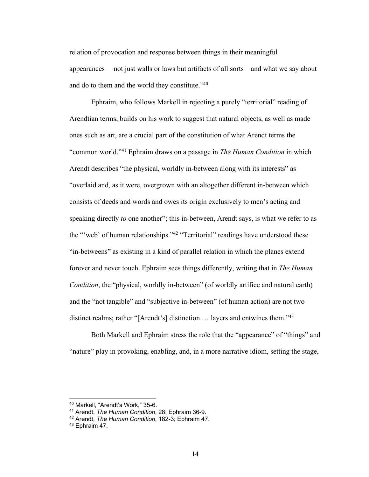relation of provocation and response between things in their meaningful appearances— not just walls or laws but artifacts of all sorts—and what we say about and do to them and the world they constitute."40

Ephraim, who follows Markell in rejecting a purely "territorial" reading of Arendtian terms, builds on his work to suggest that natural objects, as well as made ones such as art, are a crucial part of the constitution of what Arendt terms the "common world."41 Ephraim draws on a passage in *The Human Condition* in which Arendt describes "the physical, worldly in-between along with its interests" as "overlaid and, as it were, overgrown with an altogether different in-between which consists of deeds and words and owes its origin exclusively to men's acting and speaking directly *to* one another"; this in-between, Arendt says, is what we refer to as the "'web' of human relationships."42 "Territorial" readings have understood these "in-betweens" as existing in a kind of parallel relation in which the planes extend forever and never touch. Ephraim sees things differently, writing that in *The Human Condition*, the "physical, worldly in-between" (of worldly artifice and natural earth) and the "not tangible" and "subjective in-between" (of human action) are not two distinct realms; rather "[Arendt's] distinction ... layers and entwines them."<sup>43</sup>

Both Markell and Ephraim stress the role that the "appearance" of "things" and "nature" play in provoking, enabling, and, in a more narrative idiom, setting the stage,

<sup>40</sup> Markell, "Arendt's Work," 35-6.

<sup>41</sup> Arendt, *The Human Condition*, 28; Ephraim 36-9.

<sup>42</sup> Arendt, *The Human Condition*, 182-3; Ephraim 47.

<sup>43</sup> Ephraim 47.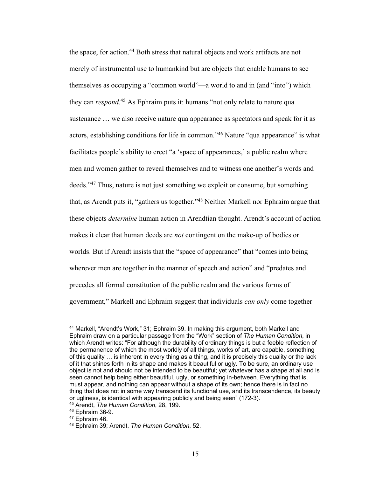the space, for action.44 Both stress that natural objects and work artifacts are not merely of instrumental use to humankind but are objects that enable humans to see themselves as occupying a "common world"—a world to and in (and "into") which they can *respond*. <sup>45</sup> As Ephraim puts it: humans "not only relate to nature qua sustenance … we also receive nature qua appearance as spectators and speak for it as actors, establishing conditions for life in common."46 Nature "qua appearance" is what facilitates people's ability to erect "a 'space of appearances,' a public realm where men and women gather to reveal themselves and to witness one another's words and deeds."47 Thus, nature is not just something we exploit or consume, but something that, as Arendt puts it, "gathers us together."48 Neither Markell nor Ephraim argue that these objects *determine* human action in Arendtian thought. Arendt's account of action makes it clear that human deeds are *not* contingent on the make-up of bodies or worlds. But if Arendt insists that the "space of appearance" that "comes into being wherever men are together in the manner of speech and action" and "predates and precedes all formal constitution of the public realm and the various forms of government," Markell and Ephraim suggest that individuals *can only* come together

<sup>44</sup> Markell, "Arendt's Work," 31; Ephraim 39. In making this argument, both Markell and Ephraim draw on a particular passage from the "Work" section of *The Human Condition*, in which Arendt writes: "For although the durability of ordinary things is but a feeble reflection of the permanence of which the most worldly of all things, works of art, are capable, something of this quality … is inherent in every thing as a thing, and it is precisely this quality or the lack of it that shines forth in its shape and makes it beautiful or ugly. To be sure, an ordinary use object is not and should not be intended to be beautiful; yet whatever has a shape at all and is seen cannot help being either beautiful, ugly, or something in-between. Everything that is, must appear, and nothing can appear without a shape of its own; hence there is in fact no thing that does not in some way transcend its functional use, and its transcendence, its beauty or ugliness, is identical with appearing publicly and being seen" (172-3).

<sup>45</sup> Arendt, *The Human Condition*, 28, 199.

<sup>46</sup> Ephraim 36-9.

<sup>47</sup> Ephraim 46.

<sup>48</sup> Ephraim 39; Arendt, *The Human Condition*, 52.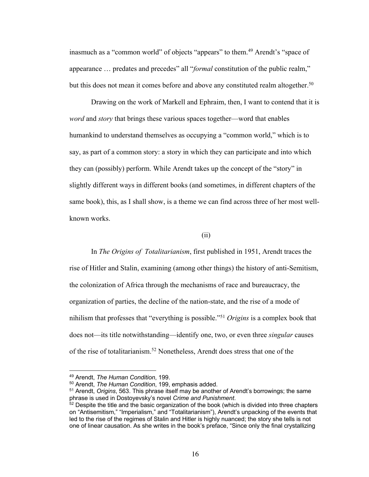inasmuch as a "common world" of objects "appears" to them.<sup>49</sup> Arendt's "space of appearance … predates and precedes" all "*formal* constitution of the public realm," but this does not mean it comes before and above any constituted realm altogether.<sup>50</sup>

Drawing on the work of Markell and Ephraim, then, I want to contend that it is *word* and *story* that brings these various spaces together—word that enables humankind to understand themselves as occupying a "common world," which is to say, as part of a common story: a story in which they can participate and into which they can (possibly) perform. While Arendt takes up the concept of the "story" in slightly different ways in different books (and sometimes, in different chapters of the same book), this, as I shall show, is a theme we can find across three of her most wellknown works.

(ii)

In *The Origins of Totalitarianism*, first published in 1951, Arendt traces the rise of Hitler and Stalin, examining (among other things) the history of anti-Semitism, the colonization of Africa through the mechanisms of race and bureaucracy, the organization of parties, the decline of the nation-state, and the rise of a mode of nihilism that professes that "everything is possible."51 *Origins* is a complex book that does not—its title notwithstanding—identify one, two, or even three *singular* causes of the rise of totalitarianism.52 Nonetheless, Arendt does stress that one of the

<sup>49</sup> Arendt, *The Human Condition*, 199.

<sup>50</sup> Arendt, *The Human Condition*, 199, emphasis added.

<sup>51</sup> Arendt, *Origins*, 563. This phrase itself may be another of Arendt's borrowings; the same phrase is used in Dostoyevsky's novel *Crime and Punishment*.

<sup>&</sup>lt;sup>52</sup> Despite the title and the basic organization of the book (which is divided into three chapters on "Antisemitism," "Imperialism," and "Totalitarianism"), Arendt's unpacking of the events that led to the rise of the regimes of Stalin and Hitler is highly nuanced; the story she tells is not one of linear causation. As she writes in the book's preface, "Since only the final crystallizing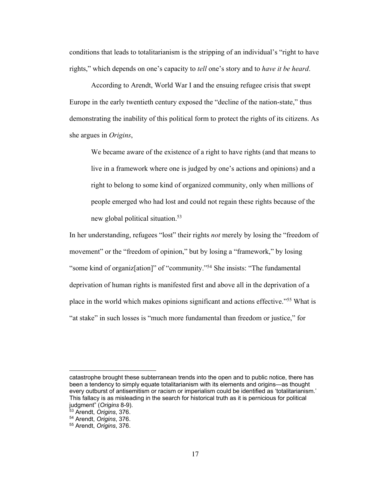conditions that leads to totalitarianism is the stripping of an individual's "right to have rights," which depends on one's capacity to *tell* one's story and to *have it be heard*.

According to Arendt, World War I and the ensuing refugee crisis that swept Europe in the early twentieth century exposed the "decline of the nation-state," thus demonstrating the inability of this political form to protect the rights of its citizens. As she argues in *Origins*,

We became aware of the existence of a right to have rights (and that means to live in a framework where one is judged by one's actions and opinions) and a right to belong to some kind of organized community, only when millions of people emerged who had lost and could not regain these rights because of the new global political situation.<sup>53</sup>

In her understanding, refugees "lost" their rights *not* merely by losing the "freedom of movement" or the "freedom of opinion," but by losing a "framework," by losing "some kind of organiz[ation]" of "community."<sup>54</sup> She insists: "The fundamental deprivation of human rights is manifested first and above all in the deprivation of a place in the world which makes opinions significant and actions effective."55 What is "at stake" in such losses is "much more fundamental than freedom or justice," for

catastrophe brought these subterranean trends into the open and to public notice, there has been a tendency to simply equate totalitarianism with its elements and origins—as thought every outburst of antisemitism or racism or imperialism could be identified as 'totalitarianism.' This fallacy is as misleading in the search for historical truth as it is pernicious for political judgment" (*Origins* 8-9).

<sup>53</sup> Arendt, *Origins*, 376.

<sup>54</sup> Arendt, *Origins*, 376.

<sup>55</sup> Arendt, *Origins*, 376.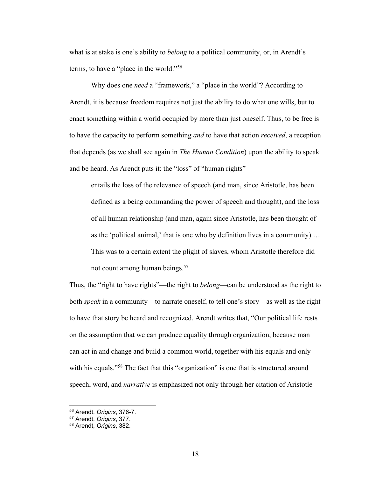what is at stake is one's ability to *belong* to a political community, or, in Arendt's terms, to have a "place in the world."56

Why does one *need* a "framework," a "place in the world"? According to Arendt, it is because freedom requires not just the ability to do what one wills, but to enact something within a world occupied by more than just oneself. Thus, to be free is to have the capacity to perform something *and* to have that action *received*, a reception that depends (as we shall see again in *The Human Condition*) upon the ability to speak and be heard. As Arendt puts it: the "loss" of "human rights"

entails the loss of the relevance of speech (and man, since Aristotle, has been defined as a being commanding the power of speech and thought), and the loss of all human relationship (and man, again since Aristotle, has been thought of as the 'political animal,' that is one who by definition lives in a community) … This was to a certain extent the plight of slaves, whom Aristotle therefore did not count among human beings.<sup>57</sup>

Thus, the "right to have rights"—the right to *belong*—can be understood as the right to both *speak* in a community—to narrate oneself, to tell one's story—as well as the right to have that story be heard and recognized. Arendt writes that, "Our political life rests on the assumption that we can produce equality through organization, because man can act in and change and build a common world, together with his equals and only with his equals."<sup>58</sup> The fact that this "organization" is one that is structured around speech, word, and *narrative* is emphasized not only through her citation of Aristotle

<sup>56</sup> Arendt, *Origins*, 376-7.

<sup>57</sup> Arendt, *Origins*, 377.

<sup>58</sup> Arendt, *Origins*, 382.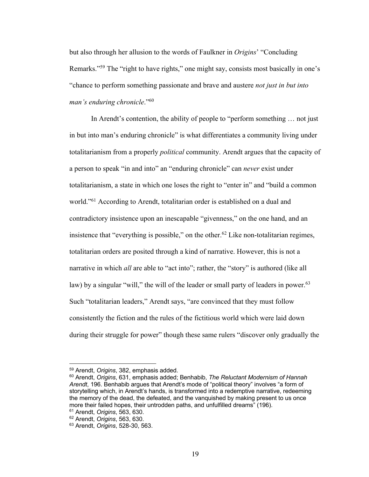but also through her allusion to the words of Faulkner in *Origins*' "Concluding Remarks."59 The "right to have rights," one might say, consists most basically in one's "chance to perform something passionate and brave and austere *not just in but into man's enduring chronicle*."60

In Arendt's contention, the ability of people to "perform something … not just in but into man's enduring chronicle" is what differentiates a community living under totalitarianism from a properly *political* community. Arendt argues that the capacity of a person to speak "in and into" an "enduring chronicle" can *never* exist under totalitarianism, a state in which one loses the right to "enter in" and "build a common world."61 According to Arendt, totalitarian order is established on a dual and contradictory insistence upon an inescapable "givenness," on the one hand, and an insistence that "everything is possible," on the other.<sup>62</sup> Like non-totalitarian regimes, totalitarian orders are posited through a kind of narrative. However, this is not a narrative in which *all* are able to "act into"; rather, the "story" is authored (like all law) by a singular "will," the will of the leader or small party of leaders in power.<sup>63</sup> Such "totalitarian leaders," Arendt says, "are convinced that they must follow consistently the fiction and the rules of the fictitious world which were laid down during their struggle for power" though these same rulers "discover only gradually the

<sup>59</sup> Arendt, *Origins*, 382, emphasis added.

<sup>60</sup> Arendt, *Origins*, 631, emphasis added; Benhabib, *The Reluctant Modernism of Hannah Arendt*, 196. Benhabib argues that Arendt's mode of "political theory" involves "a form of storytelling which, in Arendt's hands, is transformed into a redemptive narrative, redeeming the memory of the dead, the defeated, and the vanquished by making present to us once more their failed hopes, their untrodden paths, and unfulfilled dreams" (196).

<sup>61</sup> Arendt, *Origins*, 563, 630.

<sup>62</sup> Arendt, *Origins*, 563, 630.

<sup>63</sup> Arendt, *Origins*, 528-30, 563.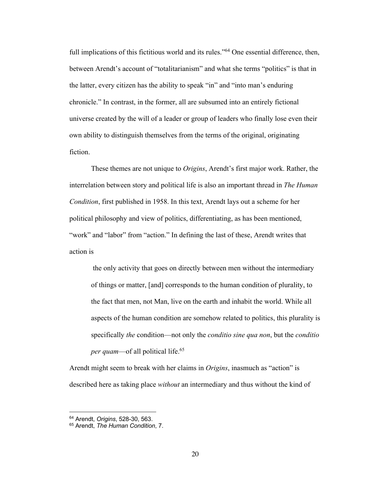full implications of this fictitious world and its rules."<sup>64</sup> One essential difference, then, between Arendt's account of "totalitarianism" and what she terms "politics" is that in the latter, every citizen has the ability to speak "in" and "into man's enduring chronicle." In contrast, in the former, all are subsumed into an entirely fictional universe created by the will of a leader or group of leaders who finally lose even their own ability to distinguish themselves from the terms of the original, originating fiction.

These themes are not unique to *Origins*, Arendt's first major work. Rather, the interrelation between story and political life is also an important thread in *The Human Condition*, first published in 1958. In this text, Arendt lays out a scheme for her political philosophy and view of politics, differentiating, as has been mentioned, "work" and "labor" from "action." In defining the last of these, Arendt writes that action is

the only activity that goes on directly between men without the intermediary of things or matter, [and] corresponds to the human condition of plurality, to the fact that men, not Man, live on the earth and inhabit the world. While all aspects of the human condition are somehow related to politics, this plurality is specifically *the* condition—not only the *conditio sine qua non*, but the *conditio per quam*—of all political life.<sup>65</sup>

Arendt might seem to break with her claims in *Origins*, inasmuch as "action" is described here as taking place *without* an intermediary and thus without the kind of

<sup>64</sup> Arendt, *Origins*, 528-30, 563.

<sup>65</sup> Arendt, *The Human Condition*, 7.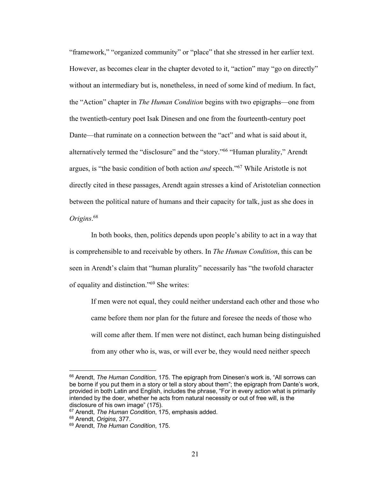"framework," "organized community" or "place" that she stressed in her earlier text. However, as becomes clear in the chapter devoted to it, "action" may "go on directly" without an intermediary but is, nonetheless, in need of some kind of medium. In fact, the "Action" chapter in *The Human Condition* begins with two epigraphs—one from the twentieth-century poet Isak Dinesen and one from the fourteenth-century poet Dante—that ruminate on a connection between the "act" and what is said about it, alternatively termed the "disclosure" and the "story."66 "Human plurality," Arendt argues, is "the basic condition of both action *and* speech."67 While Aristotle is not directly cited in these passages, Arendt again stresses a kind of Aristotelian connection between the political nature of humans and their capacity for talk, just as she does in *Origins*. 68

In both books, then, politics depends upon people's ability to act in a way that is comprehensible to and receivable by others. In *The Human Condition*, this can be seen in Arendt's claim that "human plurality" necessarily has "the twofold character of equality and distinction."69 She writes:

If men were not equal, they could neither understand each other and those who came before them nor plan for the future and foresee the needs of those who will come after them. If men were not distinct, each human being distinguished from any other who is, was, or will ever be, they would need neither speech

<sup>66</sup> Arendt, *The Human Condition*, 175. The epigraph from Dinesen's work is, "All sorrows can be borne if you put them in a story or tell a story about them"; the epigraph from Dante's work, provided in both Latin and English, includes the phrase, "For in every action what is primarily intended by the doer, whether he acts from natural necessity or out of free will, is the disclosure of his own image" (175).

<sup>67</sup> Arendt, *The Human Condition*, 175, emphasis added.

<sup>68</sup> Arendt, *Origins*, 377.

<sup>69</sup> Arendt, *The Human Condition*, 175.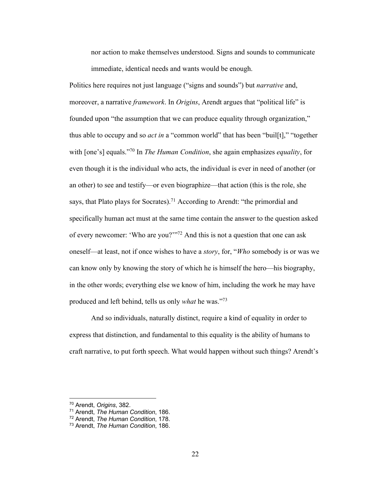nor action to make themselves understood. Signs and sounds to communicate immediate, identical needs and wants would be enough.

Politics here requires not just language ("signs and sounds") but *narrative* and, moreover, a narrative *framework*. In *Origins*, Arendt argues that "political life" is founded upon "the assumption that we can produce equality through organization," thus able to occupy and so *act in* a "common world" that has been "buil[t]," "together with [one's] equals."70 In *The Human Condition*, she again emphasizes *equality*, for even though it is the individual who acts, the individual is ever in need of another (or an other) to see and testify—or even biographize—that action (this is the role, she says, that Plato plays for Socrates).<sup>71</sup> According to Arendt: "the primordial and specifically human act must at the same time contain the answer to the question asked of every newcomer: 'Who are you?'"72 And this is not a question that one can ask oneself—at least, not if once wishes to have a *story*, for, "*Who* somebody is or was we can know only by knowing the story of which he is himself the hero—his biography, in the other words; everything else we know of him, including the work he may have produced and left behind, tells us only *what* he was."73

And so individuals, naturally distinct, require a kind of equality in order to express that distinction, and fundamental to this equality is the ability of humans to craft narrative, to put forth speech. What would happen without such things? Arendt's

<sup>70</sup> Arendt, *Origins*, 382.

<sup>71</sup> Arendt, *The Human Condition*, 186.

<sup>72</sup> Arendt, *The Human Condition*, 178.

<sup>73</sup> Arendt, *The Human Condition*, 186.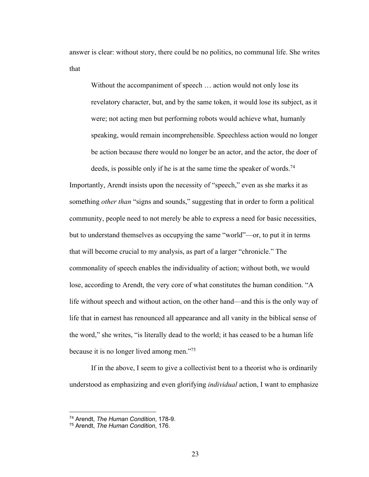answer is clear: without story, there could be no politics, no communal life. She writes that

Without the accompaniment of speech … action would not only lose its revelatory character, but, and by the same token, it would lose its subject, as it were; not acting men but performing robots would achieve what, humanly speaking, would remain incomprehensible. Speechless action would no longer be action because there would no longer be an actor, and the actor, the doer of

Importantly, Arendt insists upon the necessity of "speech," even as she marks it as something *other than* "signs and sounds," suggesting that in order to form a political community, people need to not merely be able to express a need for basic necessities, but to understand themselves as occupying the same "world"—or, to put it in terms that will become crucial to my analysis, as part of a larger "chronicle." The commonality of speech enables the individuality of action; without both, we would lose, according to Arendt, the very core of what constitutes the human condition. "A life without speech and without action, on the other hand—and this is the only way of life that in earnest has renounced all appearance and all vanity in the biblical sense of the word," she writes, "is literally dead to the world; it has ceased to be a human life because it is no longer lived among men."75

deeds, is possible only if he is at the same time the speaker of words.<sup>74</sup>

If in the above, I seem to give a collectivist bent to a theorist who is ordinarily understood as emphasizing and even glorifying *individual* action, I want to emphasize

<sup>74</sup> Arendt, *The Human Condition*, 178-9.

<sup>75</sup> Arendt, *The Human Condition*, 176.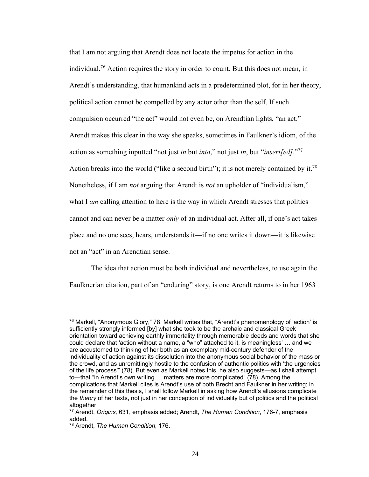that I am not arguing that Arendt does not locate the impetus for action in the individual.76 Action requires the story in order to count. But this does not mean, in Arendt's understanding, that humankind acts in a predetermined plot, for in her theory, political action cannot be compelled by any actor other than the self. If such compulsion occurred "the act" would not even be, on Arendtian lights, "an act." Arendt makes this clear in the way she speaks, sometimes in Faulkner's idiom, of the action as something inputted "not just *in* but *into*," not just *in*, but "*insert[ed]*."77 Action breaks into the world ("like a second birth"); it is not merely contained by it.<sup>78</sup> Nonetheless, if I am *not* arguing that Arendt is *not* an upholder of "individualism," what I *am* calling attention to here is the way in which Arendt stresses that politics cannot and can never be a matter *only* of an individual act. After all, if one's act takes place and no one sees, hears, understands it—if no one writes it down—it is likewise not an "act" in an Arendtian sense.

The idea that action must be both individual and nevertheless, to use again the Faulknerian citation, part of an "enduring" story, is one Arendt returns to in her 1963

 $76$  Markell, "Anonymous Glory," 78. Markell writes that, "Arendt's phenomenology of 'action' is sufficiently strongly informed [by] what she took to be the archaic and classical Greek orientation toward achieving earthly immortality through memorable deeds and words that she could declare that 'action without a name, a "who" attached to it, is meaningless' … and we are accustomed to thinking of her both as an exemplary mid-century defender of the individuality of action against its dissolution into the anonymous social behavior of the mass or the crowd, and as unremittingly hostile to the confusion of authentic politics with 'the urgencies of the life process'" (78). But even as Markell notes this, he also suggests—as I shall attempt to—that "in Arendt's own writing … matters are more complicated" (78). Among the complications that Markell cites is Arendt's use of both Brecht and Faulkner in her writing; in the remainder of this thesis, I shall follow Markell in asking how Arendt's allusions complicate the *theory* of her texts, not just in her conception of individuality but of politics and the political altogether.

<sup>77</sup> Arendt, *Origins,* 631, emphasis added; Arendt, *The Human Condition*, 176-7, emphasis added.

<sup>78</sup> Arendt, *The Human Condition*, 176.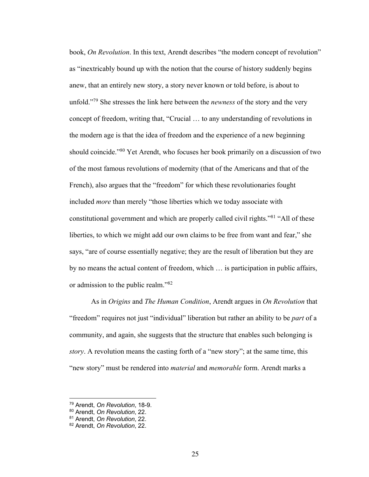book, *On Revolution*. In this text, Arendt describes "the modern concept of revolution" as "inextricably bound up with the notion that the course of history suddenly begins anew, that an entirely new story, a story never known or told before, is about to unfold."79 She stresses the link here between the *newness* of the story and the very concept of freedom, writing that, "Crucial … to any understanding of revolutions in the modern age is that the idea of freedom and the experience of a new beginning should coincide."80 Yet Arendt, who focuses her book primarily on a discussion of two of the most famous revolutions of modernity (that of the Americans and that of the French), also argues that the "freedom" for which these revolutionaries fought included *more* than merely "those liberties which we today associate with constitutional government and which are properly called civil rights."81 "All of these liberties, to which we might add our own claims to be free from want and fear," she says, "are of course essentially negative; they are the result of liberation but they are by no means the actual content of freedom, which … is participation in public affairs, or admission to the public realm."82

As in *Origins* and *The Human Condition*, Arendt argues in *On Revolution* that "freedom" requires not just "individual" liberation but rather an ability to be *part* of a community, and again, she suggests that the structure that enables such belonging is *story*. A revolution means the casting forth of a "new story"; at the same time, this "new story" must be rendered into *material* and *memorable* form. Arendt marks a

<sup>79</sup> Arendt, *On Revolution*, 18-9.

<sup>80</sup> Arendt, *On Revolution*, 22.

<sup>81</sup> Arendt, *On Revolution*, 22.

<sup>82</sup> Arendt, *On Revolution*, 22.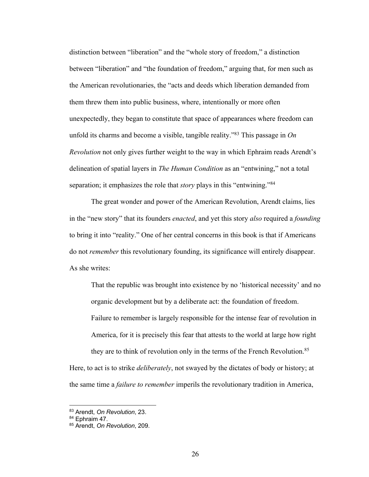distinction between "liberation" and the "whole story of freedom," a distinction between "liberation" and "the foundation of freedom," arguing that, for men such as the American revolutionaries, the "acts and deeds which liberation demanded from them threw them into public business, where, intentionally or more often unexpectedly, they began to constitute that space of appearances where freedom can unfold its charms and become a visible, tangible reality."83 This passage in *On Revolution* not only gives further weight to the way in which Ephraim reads Arendt's delineation of spatial layers in *The Human Condition* as an "entwining," not a total separation; it emphasizes the role that *story* plays in this "entwining."<sup>84</sup>

The great wonder and power of the American Revolution, Arendt claims, lies in the "new story" that its founders *enacted*, and yet this story *also* required a *founding*  to bring it into "reality." One of her central concerns in this book is that if Americans do not *remember* this revolutionary founding, its significance will entirely disappear. As she writes:

That the republic was brought into existence by no 'historical necessity' and no organic development but by a deliberate act: the foundation of freedom. Failure to remember is largely responsible for the intense fear of revolution in America, for it is precisely this fear that attests to the world at large how right they are to think of revolution only in the terms of the French Revolution.<sup>85</sup> Here, to act is to strike *deliberately*, not swayed by the dictates of body or history; at

the same time a *failure to remember* imperils the revolutionary tradition in America,

<sup>83</sup> Arendt, *On Revolution*, 23.

<sup>84</sup> Ephraim 47.

<sup>85</sup> Arendt, *On Revolution*, 209.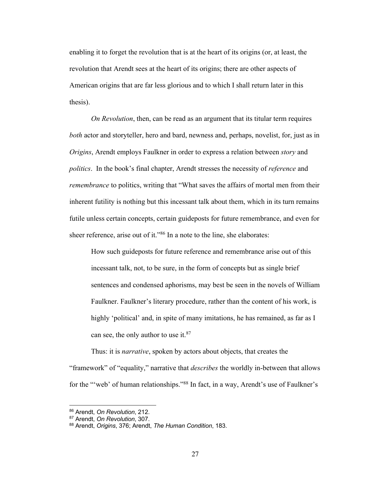enabling it to forget the revolution that is at the heart of its origins (or, at least, the revolution that Arendt sees at the heart of its origins; there are other aspects of American origins that are far less glorious and to which I shall return later in this thesis).

*On Revolution*, then, can be read as an argument that its titular term requires *both* actor and storyteller, hero and bard, newness and, perhaps, novelist, for, just as in *Origins*, Arendt employs Faulkner in order to express a relation between *story* and *politics*. In the book's final chapter, Arendt stresses the necessity of *reference* and *remembrance* to politics, writing that "What saves the affairs of mortal men from their inherent futility is nothing but this incessant talk about them, which in its turn remains futile unless certain concepts, certain guideposts for future remembrance, and even for sheer reference, arise out of it."86 In a note to the line, she elaborates:

How such guideposts for future reference and remembrance arise out of this incessant talk, not, to be sure, in the form of concepts but as single brief sentences and condensed aphorisms, may best be seen in the novels of William Faulkner. Faulkner's literary procedure, rather than the content of his work, is highly 'political' and, in spite of many imitations, he has remained, as far as I can see, the only author to use it.<sup>87</sup>

Thus: it is *narrative*, spoken by actors about objects, that creates the "framework" of "equality," narrative that *describes* the worldly in-between that allows for the "'web' of human relationships."88 In fact, in a way, Arendt's use of Faulkner's

<sup>86</sup> Arendt, *On Revolution*, 212.

<sup>87</sup> Arendt, *On Revolution*, 307.

<sup>88</sup> Arendt, *Origins*, 376; Arendt, *The Human Condition*, 183.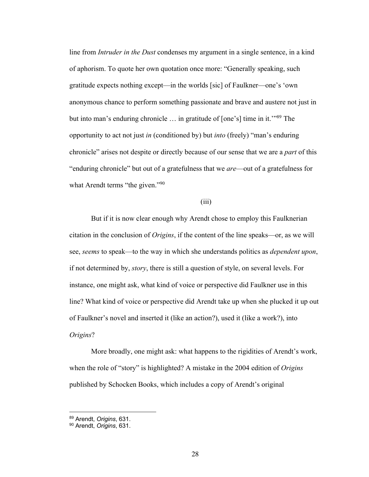line from *Intruder in the Dust* condenses my argument in a single sentence, in a kind of aphorism. To quote her own quotation once more: "Generally speaking, such gratitude expects nothing except—in the worlds [sic] of Faulkner—one's 'own anonymous chance to perform something passionate and brave and austere not just in but into man's enduring chronicle … in gratitude of [one's] time in it.'"89 The opportunity to act not just *in* (conditioned by) but *into* (freely) "man's enduring chronicle" arises not despite or directly because of our sense that we are a *part* of this "enduring chronicle" but out of a gratefulness that we *are*—out of a gratefulness for what Arendt terms "the given."<sup>90</sup>

### $(iii)$

But if it is now clear enough why Arendt chose to employ this Faulknerian citation in the conclusion of *Origins*, if the content of the line speaks—or, as we will see, *seems* to speak—to the way in which she understands politics as *dependent upon*, if not determined by, *story*, there is still a question of style, on several levels. For instance, one might ask, what kind of voice or perspective did Faulkner use in this line? What kind of voice or perspective did Arendt take up when she plucked it up out of Faulkner's novel and inserted it (like an action?), used it (like a work?), into *Origins*?

More broadly, one might ask: what happens to the rigidities of Arendt's work, when the role of "story" is highlighted? A mistake in the 2004 edition of *Origins*  published by Schocken Books, which includes a copy of Arendt's original

<sup>89</sup> Arendt, *Origins*, 631.

<sup>90</sup> Arendt, *Origins*, 631.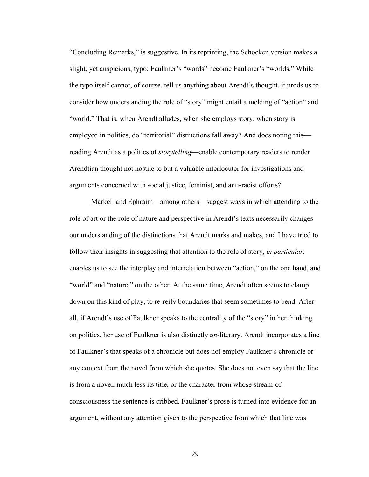"Concluding Remarks," is suggestive. In its reprinting, the Schocken version makes a slight, yet auspicious, typo: Faulkner's "words" become Faulkner's "worlds." While the typo itself cannot, of course, tell us anything about Arendt's thought, it prods us to consider how understanding the role of "story" might entail a melding of "action" and "world." That is, when Arendt alludes, when she employs story, when story is employed in politics, do "territorial" distinctions fall away? And does noting this reading Arendt as a politics of *storytelling*—enable contemporary readers to render Arendtian thought not hostile to but a valuable interlocuter for investigations and arguments concerned with social justice, feminist, and anti-racist efforts?

Markell and Ephraim—among others—suggest ways in which attending to the role of art or the role of nature and perspective in Arendt's texts necessarily changes our understanding of the distinctions that Arendt marks and makes, and I have tried to follow their insights in suggesting that attention to the role of story, *in particular,*  enables us to see the interplay and interrelation between "action," on the one hand, and "world" and "nature," on the other. At the same time, Arendt often seems to clamp down on this kind of play, to re-reify boundaries that seem sometimes to bend. After all, if Arendt's use of Faulkner speaks to the centrality of the "story" in her thinking on politics, her use of Faulkner is also distinctly *un*-literary. Arendt incorporates a line of Faulkner's that speaks of a chronicle but does not employ Faulkner's chronicle or any context from the novel from which she quotes. She does not even say that the line is from a novel, much less its title, or the character from whose stream-ofconsciousness the sentence is cribbed. Faulkner's prose is turned into evidence for an argument, without any attention given to the perspective from which that line was

29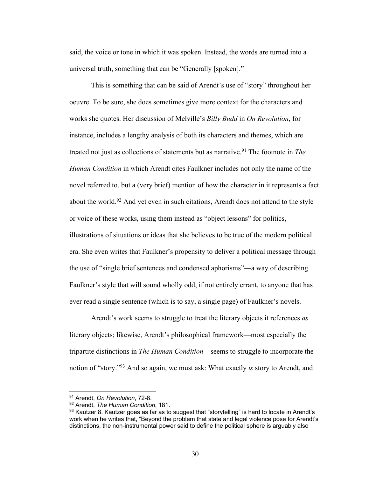said, the voice or tone in which it was spoken. Instead, the words are turned into a universal truth, something that can be "Generally [spoken]."

This is something that can be said of Arendt's use of "story" throughout her oeuvre. To be sure, she does sometimes give more context for the characters and works she quotes. Her discussion of Melville's *Billy Budd* in *On Revolution*, for instance, includes a lengthy analysis of both its characters and themes, which are treated not just as collections of statements but as narrative.<sup>91</sup> The footnote in *The Human Condition* in which Arendt cites Faulkner includes not only the name of the novel referred to, but a (very brief) mention of how the character in it represents a fact about the world.<sup>92</sup> And yet even in such citations, Arendt does not attend to the style or voice of these works, using them instead as "object lessons" for politics, illustrations of situations or ideas that she believes to be true of the modern political era. She even writes that Faulkner's propensity to deliver a political message through the use of "single brief sentences and condensed aphorisms"—a way of describing Faulkner's style that will sound wholly odd, if not entirely errant, to anyone that has ever read a single sentence (which is to say, a single page) of Faulkner's novels.

Arendt's work seems to struggle to treat the literary objects it references *as*  literary objects; likewise, Arendt's philosophical framework—most especially the tripartite distinctions in *The Human Condition*—seems to struggle to incorporate the notion of "story."93 And so again, we must ask: What exactly *is* story to Arendt, and

<sup>&</sup>lt;sup>91</sup> Arendt, *On Revolution*, 72-8.<br><sup>92</sup> Arendt, *The Human Condition*, 181.

<sup>93</sup> Kautzer 8. Kautzer goes as far as to suggest that "storytelling" is hard to locate in Arendt's work when he writes that, "Beyond the problem that state and legal violence pose for Arendt's distinctions, the non-instrumental power said to define the political sphere is arguably also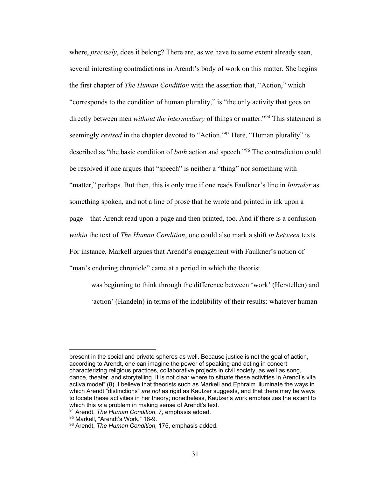where, *precisely*, does it belong? There are, as we have to some extent already seen, several interesting contradictions in Arendt's body of work on this matter. She begins the first chapter of *The Human Condition* with the assertion that, "Action," which "corresponds to the condition of human plurality," is "the only activity that goes on directly between men *without the intermediary* of things or matter."94 This statement is seemingly *revised* in the chapter devoted to "Action."95 Here, "Human plurality" is described as "the basic condition of *both* action and speech."96 The contradiction could be resolved if one argues that "speech" is neither a "thing" nor something with "matter," perhaps. But then, this is only true if one reads Faulkner's line in *Intruder* as something spoken, and not a line of prose that he wrote and printed in ink upon a page—that Arendt read upon a page and then printed, too. And if there is a confusion *within* the text of *The Human Condition*, one could also mark a shift *in between* texts. For instance, Markell argues that Arendt's engagement with Faulkner's notion of "man's enduring chronicle" came at a period in which the theorist

was beginning to think through the difference between 'work' (Herstellen) and 'action' (Handeln) in terms of the indelibility of their results: whatever human

present in the social and private spheres as well. Because justice is not the goal of action, according to Arendt, one can imagine the power of speaking and acting in concert characterizing religious practices, collaborative projects in civil society, as well as song, dance, theater, and storytelling. It is not clear where to situate these activities in Arendt's vita activa model" (8). I believe that theorists such as Markell and Ephraim illuminate the ways in which Arendt "distinctions" *are not* as rigid as Kautzer suggests, and that there may be ways to locate these activities in her theory; nonetheless, Kautzer's work emphasizes the extent to which this *is* a problem in making sense of Arendt's text.

<sup>94</sup> Arendt, *The Human Condition*, 7, emphasis added.

<sup>95</sup> Markell, "Arendt's Work," 18-9.

<sup>96</sup> Arendt, *The Human Condition*, 175, emphasis added.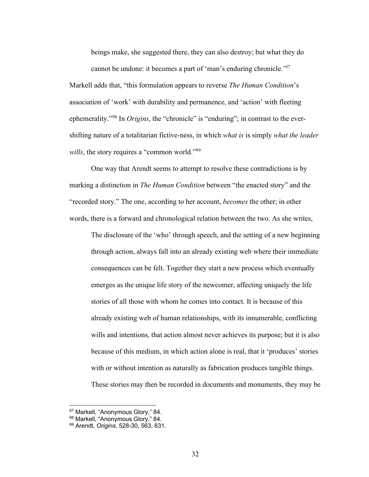beings make, she suggested there, they can also destroy; but what they do cannot be undone: it becomes a part of 'man's enduring chronicle.'97

Markell adds that, "this formulation appears to reverse *The Human Condition*'s association of 'work' with durability and permanence, and 'action' with fleeting ephemerality."<sup>98</sup> In *Origins*, the "chronicle" is "enduring"; in contrast to the evershifting nature of a totalitarian fictive-ness, in which *what is* is simply *what the leader*  wills, the story requires a "common world."<sup>99</sup>

One way that Arendt seems to attempt to resolve these contradictions is by marking a distinction in *The Human Condition* between "the enacted story" and the "recorded story." The one, according to her account, *becomes* the other; in other words, there is a forward and chronological relation between the two. As she writes,

The disclosure of the 'who' through speech, and the setting of a new beginning through action, always fall into an already existing web where their immediate consequences can be felt. Together they start a new process which eventually emerges as the unique life story of the newcomer, affecting uniquely the life stories of all those with whom he comes into contact. It is because of this already existing web of human relationships, with its innumerable, conflicting wills and intentions, that action almost never achieves its purpose; but it is also because of this medium, in which action alone is real, that it 'produces' stories with or without intention as naturally as fabrication produces tangible things.

These stories may then be recorded in documents and monuments, they may be

<sup>97</sup> Markell, "Anonymous Glory," 84.

<sup>98</sup> Markell, "Anonymous Glory," 84.

<sup>99</sup> Arendt, *Origins*, 528-30, 563, 631.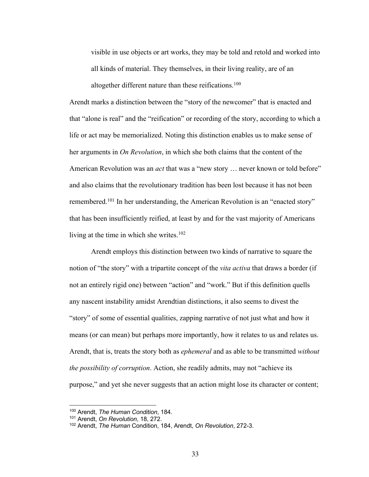visible in use objects or art works, they may be told and retold and worked into all kinds of material. They themselves, in their living reality, are of an altogether different nature than these reifications.<sup>100</sup>

Arendt marks a distinction between the "story of the newcomer" that is enacted and that "alone is real" and the "reification" or recording of the story, according to which a life or act may be memorialized. Noting this distinction enables us to make sense of her arguments in *On Revolution*, in which she both claims that the content of the American Revolution was an *act* that was a "new story … never known or told before" and also claims that the revolutionary tradition has been lost because it has not been remembered.101 In her understanding, the American Revolution is an "enacted story" that has been insufficiently reified, at least by and for the vast majority of Americans living at the time in which she writes. $102$ 

Arendt employs this distinction between two kinds of narrative to square the notion of "the story" with a tripartite concept of the *vita activa* that draws a border (if not an entirely rigid one) between "action" and "work." But if this definition quells any nascent instability amidst Arendtian distinctions, it also seems to divest the "story" of some of essential qualities, zapping narrative of not just what and how it means (or can mean) but perhaps more importantly, how it relates to us and relates us. Arendt, that is, treats the story both as *ephemeral* and as able to be transmitted *without the possibility of corruption*. Action, she readily admits, may not "achieve its purpose," and yet she never suggests that an action might lose its character or content;

<sup>100</sup> Arendt, *The Human Condition*, 184.

<sup>101</sup> Arendt, *On Revolution*, 18, 272.

<sup>102</sup> Arendt, *The Human* Condition, 184, Arendt, *On Revolution*, 272-3.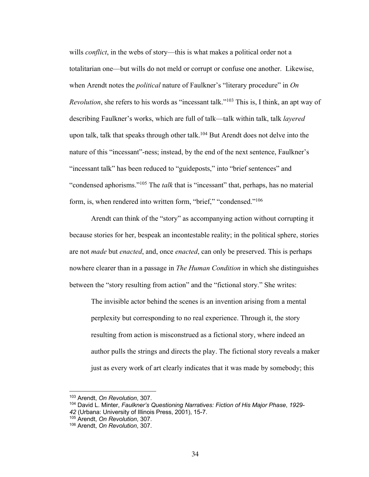wills *conflict*, in the webs of story—this is what makes a political order not a totalitarian one—but wills do not meld or corrupt or confuse one another. Likewise, when Arendt notes the *political* nature of Faulkner's "literary procedure" in *On Revolution*, she refers to his words as "incessant talk."<sup>103</sup> This is, I think, an apt way of describing Faulkner's works, which are full of talk—talk within talk, talk *layered* upon talk, talk that speaks through other talk.<sup>104</sup> But Arendt does not delve into the nature of this "incessant"-ness; instead, by the end of the next sentence, Faulkner's "incessant talk" has been reduced to "guideposts," into "brief sentences" and "condensed aphorisms."105 The *talk* that is "incessant" that, perhaps, has no material form, is, when rendered into written form, "brief," "condensed."<sup>106</sup>

Arendt can think of the "story" as accompanying action without corrupting it because stories for her, bespeak an incontestable reality; in the political sphere, stories are not *made* but *enacted*, and, once *enacted*, can only be preserved. This is perhaps nowhere clearer than in a passage in *The Human Condition* in which she distinguishes between the "story resulting from action" and the "fictional story." She writes:

The invisible actor behind the scenes is an invention arising from a mental perplexity but corresponding to no real experience. Through it, the story resulting from action is misconstrued as a fictional story, where indeed an author pulls the strings and directs the play. The fictional story reveals a maker just as every work of art clearly indicates that it was made by somebody; this

<sup>103</sup> Arendt, *On Revolution*, 307.

<sup>104</sup> David L. Minter, *Faulkner's Questioning Narratives: Fiction of His Major Phase*, *1929-*

*<sup>42</sup>* (Urbana: University of Illinois Press, 2001), 15-7.

<sup>105</sup> Arendt, *On Revolution*, 307.

<sup>106</sup> Arendt, *On Revolution*, 307.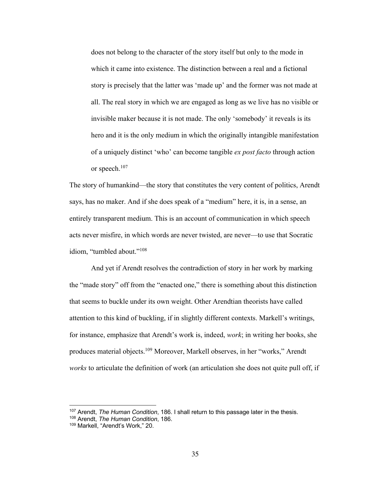does not belong to the character of the story itself but only to the mode in which it came into existence. The distinction between a real and a fictional story is precisely that the latter was 'made up' and the former was not made at all. The real story in which we are engaged as long as we live has no visible or invisible maker because it is not made. The only 'somebody' it reveals is its hero and it is the only medium in which the originally intangible manifestation of a uniquely distinct 'who' can become tangible *ex post facto* through action or speech.107

The story of humankind—the story that constitutes the very content of politics, Arendt says, has no maker. And if she does speak of a "medium" here, it is, in a sense, an entirely transparent medium. This is an account of communication in which speech acts never misfire, in which words are never twisted, are never—to use that Socratic idiom, "tumbled about."108

And yet if Arendt resolves the contradiction of story in her work by marking the "made story" off from the "enacted one," there is something about this distinction that seems to buckle under its own weight. Other Arendtian theorists have called attention to this kind of buckling, if in slightly different contexts. Markell's writings, for instance, emphasize that Arendt's work is, indeed, *work*; in writing her books, she produces material objects.109 Moreover, Markell observes, in her "works," Arendt *works* to articulate the definition of work (an articulation she does not quite pull off, if

<sup>107</sup> Arendt, *The Human Condition*, 186. I shall return to this passage later in the thesis.

<sup>108</sup> Arendt, *The Human Condition*, 186.

<sup>109</sup> Markell, "Arendt's Work," 20.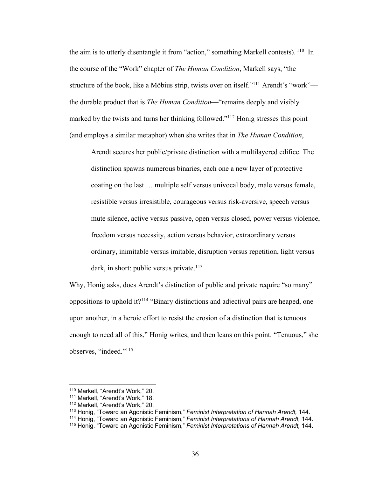the aim is to utterly disentangle it from "action," something Markell contests). <sup>110</sup> In the course of the "Work" chapter of *The Human Condition*, Markell says, "the structure of the book, like a Möbius strip, twists over on itself."111 Arendt's "work" the durable product that is *The Human Condition*—"remains deeply and visibly marked by the twists and turns her thinking followed."112 Honig stresses this point (and employs a similar metaphor) when she writes that in *The Human Condition*,

Arendt secures her public/private distinction with a multilayered edifice. The distinction spawns numerous binaries, each one a new layer of protective coating on the last … multiple self versus univocal body, male versus female, resistible versus irresistible, courageous versus risk-aversive, speech versus mute silence, active versus passive, open versus closed, power versus violence, freedom versus necessity, action versus behavior, extraordinary versus ordinary, inimitable versus imitable, disruption versus repetition, light versus dark, in short: public versus private. $113$ 

Why, Honig asks, does Arendt's distinction of public and private require "so many" oppositions to uphold it?<sup>114</sup> "Binary distinctions and adjectival pairs are heaped, one upon another, in a heroic effort to resist the erosion of a distinction that is tenuous enough to need all of this," Honig writes, and then leans on this point. "Tenuous," she observes, "indeed."115

<sup>110</sup> Markell, "Arendt's Work," 20.

<sup>111</sup> Markell, "Arendt's Work," 18.

<sup>112</sup> Markell, "Arendt's Work," 20.

<sup>113</sup> Honig, "Toward an Agonistic Feminism," *Feminist Interpretation of Hannah Arendt,* 144.

<sup>114</sup> Honig, "Toward an Agonistic Feminism," *Feminist Interpretations of Hannah Arendt,* 144.

<sup>115</sup> Honig, "Toward an Agonistic Feminism," *Feminist Interpretations of Hannah Arendt,* 144.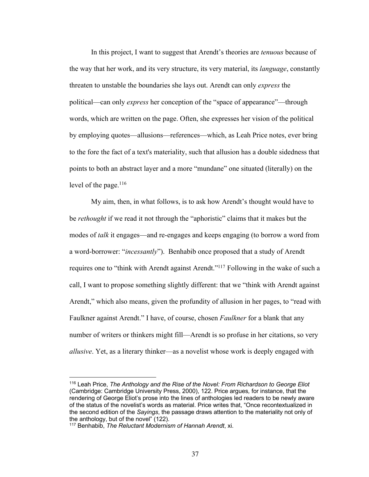In this project, I want to suggest that Arendt's theories are *tenuous* because of the way that her work, and its very structure, its very material, its *language*, constantly threaten to unstable the boundaries she lays out. Arendt can only *express* the political—can only *express* her conception of the "space of appearance"—through words, which are written on the page. Often, she expresses her vision of the political by employing quotes—allusions—references—which, as Leah Price notes, ever bring to the fore the fact of a text's materiality, such that allusion has a double sidedness that points to both an abstract layer and a more "mundane" one situated (literally) on the level of the page. $116$ 

My aim, then, in what follows, is to ask how Arendt's thought would have to be *rethought* if we read it not through the "aphoristic" claims that it makes but the modes of *talk* it engages—and re-engages and keeps engaging (to borrow a word from a word-borrower: "*incessantly*"). Benhabib once proposed that a study of Arendt requires one to "think with Arendt against Arendt."117 Following in the wake of such a call, I want to propose something slightly different: that we "think with Arendt against Arendt," which also means, given the profundity of allusion in her pages, to "read with Faulkner against Arendt." I have, of course, chosen *Faulkner* for a blank that any number of writers or thinkers might fill—Arendt is so profuse in her citations, so very *allusive*. Yet, as a literary thinker—as a novelist whose work is deeply engaged with

<sup>116</sup> Leah Price, *The Anthology and the Rise of the Novel: From Richardson to George Eliot*  (Cambridge: Cambridge University Press, 2000), 122. Price argues*,* for instance, that the rendering of George Eliot's prose into the lines of anthologies led readers to be newly aware of the status of the novelist's words as material. Price writes that, "Once recontextualized in the second edition of the *Sayings*, the passage draws attention to the materiality not only of the anthology, but of the novel" (122).

<sup>117</sup> Benhabib, *The Reluctant Modernism of Hannah Arendt*, xi.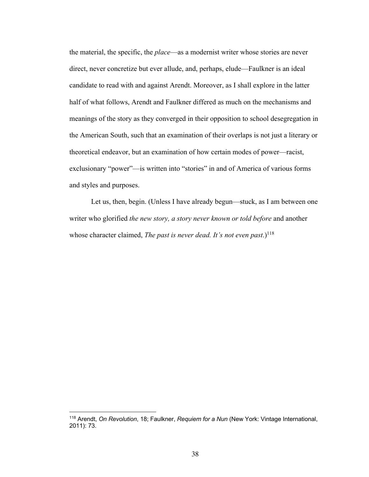the material, the specific, the *place*—as a modernist writer whose stories are never direct, never concretize but ever allude, and, perhaps, elude—Faulkner is an ideal candidate to read with and against Arendt. Moreover, as I shall explore in the latter half of what follows, Arendt and Faulkner differed as much on the mechanisms and meanings of the story as they converged in their opposition to school desegregation in the American South, such that an examination of their overlaps is not just a literary or theoretical endeavor, but an examination of how certain modes of power—racist, exclusionary "power"—is written into "stories" in and of America of various forms and styles and purposes.

Let us, then, begin. (Unless I have already begun—stuck, as I am between one writer who glorified *the new story, a story never known or told before* and another whose character claimed, *The past is never dead. It's not even past*.)<sup>118</sup>

<sup>118</sup> Arendt, *On Revolution*, 18; Faulkner, *Requiem for a Nun* (New York: Vintage International, 2011): 73.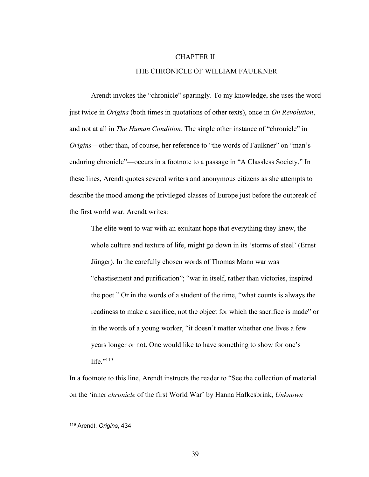## CHAPTER II

## THE CHRONICLE OF WILLIAM FAULKNER

Arendt invokes the "chronicle" sparingly. To my knowledge, she uses the word just twice in *Origins* (both times in quotations of other texts), once in *On Revolution*, and not at all in *The Human Condition*. The single other instance of "chronicle" in *Origins*—other than, of course, her reference to "the words of Faulkner" on "man's enduring chronicle"—occurs in a footnote to a passage in "A Classless Society." In these lines, Arendt quotes several writers and anonymous citizens as she attempts to describe the mood among the privileged classes of Europe just before the outbreak of the first world war. Arendt writes:

The elite went to war with an exultant hope that everything they knew, the whole culture and texture of life, might go down in its 'storms of steel' (Ernst Jünger). In the carefully chosen words of Thomas Mann war was "chastisement and purification"; "war in itself, rather than victories, inspired the poet." Or in the words of a student of the time, "what counts is always the readiness to make a sacrifice, not the object for which the sacrifice is made" or in the words of a young worker, "it doesn't matter whether one lives a few years longer or not. One would like to have something to show for one's life. $"119$ 

In a footnote to this line, Arendt instructs the reader to "See the collection of material on the 'inner *chronicle* of the first World War' by Hanna Hafkesbrink, *Unknown* 

<sup>119</sup> Arendt, *Origins*, 434.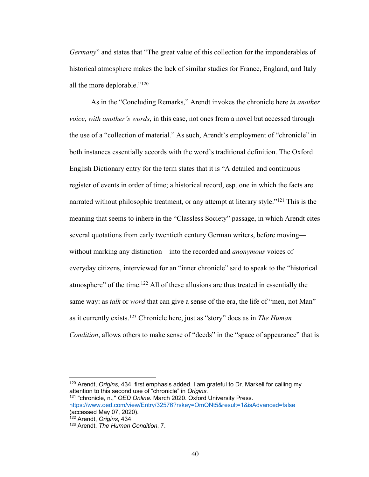*Germany*" and states that "The great value of this collection for the imponderables of historical atmosphere makes the lack of similar studies for France, England, and Italy all the more deplorable."120

As in the "Concluding Remarks," Arendt invokes the chronicle here *in another voice*, *with another's words*, in this case, not ones from a novel but accessed through the use of a "collection of material." As such, Arendt's employment of "chronicle" in both instances essentially accords with the word's traditional definition. The Oxford English Dictionary entry for the term states that it is "A detailed and continuous register of events in order of time; a historical record, esp. one in which the facts are narrated without philosophic treatment, or any attempt at literary style."<sup>121</sup> This is the meaning that seems to inhere in the "Classless Society" passage, in which Arendt cites several quotations from early twentieth century German writers, before moving without marking any distinction—into the recorded and *anonymous* voices of everyday citizens, interviewed for an "inner chronicle" said to speak to the "historical atmosphere" of the time.122 All of these allusions are thus treated in essentially the same way: as *talk* or *word* that can give a sense of the era, the life of "men, not Man" as it currently exists.123 Chronicle here, just as "story" does as in *The Human Condition*, allows others to make sense of "deeds" in the "space of appearance" that is

https://www.oed.com/view/Entry/32576?rskey=OmQNt5&result=1&isAdvanced=false (accessed May 07, 2020).

<sup>&</sup>lt;sup>120</sup> Arendt, *Origins*, 434, first emphasis added. I am grateful to Dr. Markell for calling my attention to this second use of "chronicle" in *Origins*. <sup>121</sup> "chronicle, n.," *OED Online*. March 2020. Oxford University Press.

<sup>122</sup> Arendt, *Origins*, 434.

<sup>123</sup> Arendt, *The Human Condition*, 7.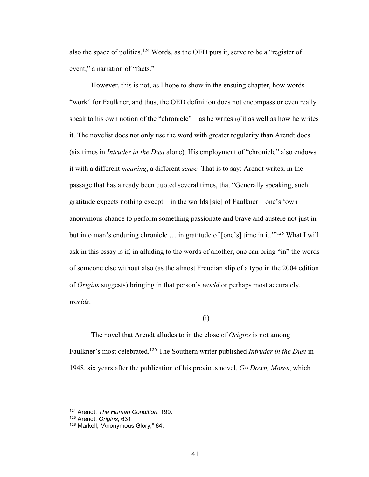also the space of politics.124 Words, as the OED puts it, serve to be a "register of event," a narration of "facts."

However, this is not, as I hope to show in the ensuing chapter, how words "work" for Faulkner, and thus, the OED definition does not encompass or even really speak to his own notion of the "chronicle"—as he writes *of* it as well as how he writes it. The novelist does not only use the word with greater regularity than Arendt does (six times in *Intruder in the Dust* alone). His employment of "chronicle" also endows it with a different *meaning*, a different *sense.* That is to say: Arendt writes, in the passage that has already been quoted several times, that "Generally speaking, such gratitude expects nothing except—in the worlds [sic] of Faulkner—one's 'own anonymous chance to perform something passionate and brave and austere not just in but into man's enduring chronicle ... in gratitude of [one's] time in it."<sup>125</sup> What I will ask in this essay is if, in alluding to the words of another, one can bring "in" the words of someone else without also (as the almost Freudian slip of a typo in the 2004 edition of *Origins* suggests) bringing in that person's *world* or perhaps most accurately, *worlds*.

(i)

The novel that Arendt alludes to in the close of *Origins* is not among Faulkner's most celebrated.126 The Southern writer published *Intruder in the Dust* in 1948, six years after the publication of his previous novel, *Go Down, Moses*, which

<sup>124</sup> Arendt, *The Human Condition*, 199.

<sup>125</sup> Arendt, *Origins*, 631.

<sup>126</sup> Markell, "Anonymous Glory," 84.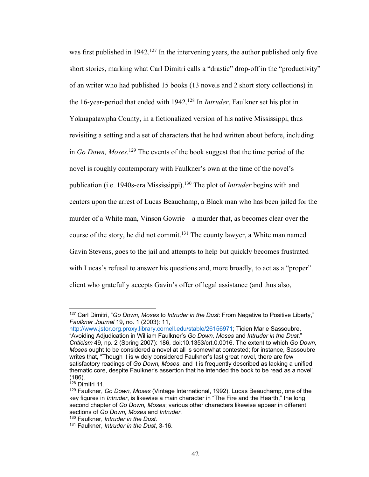was first published in 1942.<sup>127</sup> In the intervening years, the author published only five short stories, marking what Carl Dimitri calls a "drastic" drop-off in the "productivity" of an writer who had published 15 books (13 novels and 2 short story collections) in the 16-year-period that ended with 1942.128 In *Intruder*, Faulkner set his plot in Yoknapatawpha County, in a fictionalized version of his native Mississippi, thus revisiting a setting and a set of characters that he had written about before, including in *Go Down, Moses*. <sup>129</sup> The events of the book suggest that the time period of the novel is roughly contemporary with Faulkner's own at the time of the novel's publication (i.e. 1940s-era Mississippi).130 The plot of *Intruder* begins with and centers upon the arrest of Lucas Beauchamp, a Black man who has been jailed for the murder of a White man, Vinson Gowrie—a murder that, as becomes clear over the course of the story, he did not commit.131 The county lawyer, a White man named Gavin Stevens, goes to the jail and attempts to help but quickly becomes frustrated with Lucas's refusal to answer his questions and, more broadly, to act as a "proper" client who gratefully accepts Gavin's offer of legal assistance (and thus also,

<sup>127</sup> Carl Dimitri, "*Go Down, Moses* to *Intruder in the Dust*: From Negative to Positive Liberty," *Faulkner Journal* 19, no. 1 (2003): 11,

http://www.jstor.org.proxy.library.cornell.edu/stable/26156971; Ticien Marie Sassoubre, "Avoiding Adjudication in William Faulkner's *Go Down, Moses* and *Intruder in the Dust*," *Criticism* 49, np. 2 (Spring 2007): 186, doi:10.1353/crt.0.0016. The extent to which *Go Down, Moses* ought to be considered a novel at all is somewhat contested; for instance, Sassoubre writes that, "Though it is widely considered Faulkner's last great novel, there are few satisfactory readings of *Go Down, Moses*, and it is frequently described as lacking a unified thematic core, despite Faulkner's assertion that he intended the book to be read as a novel" (186).

 $128$  Dimitri 11.

<sup>129</sup> Faulkner, *Go Down, Moses* (Vintage International, 1992). Lucas Beauchamp, one of the key figures in *Intruder*, is likewise a main character in "The Fire and the Hearth," the long second chapter of *Go Down, Moses*; various other characters likewise appear in different sections of *Go Down, Moses* and *Intruder*. 130 Faulkner, *Intruder in the Dust*.

<sup>131</sup> Faulkner, *Intruder in the Dust*, 3-16.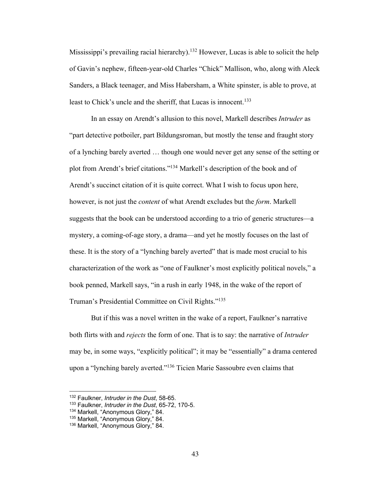Mississippi's prevailing racial hierarchy).<sup>132</sup> However, Lucas is able to solicit the help of Gavin's nephew, fifteen-year-old Charles "Chick" Mallison, who, along with Aleck Sanders, a Black teenager, and Miss Habersham, a White spinster, is able to prove, at least to Chick's uncle and the sheriff, that Lucas is innocent.<sup>133</sup>

In an essay on Arendt's allusion to this novel, Markell describes *Intruder* as "part detective potboiler, part Bildungsroman, but mostly the tense and fraught story of a lynching barely averted … though one would never get any sense of the setting or plot from Arendt's brief citations."134 Markell's description of the book and of Arendt's succinct citation of it is quite correct. What I wish to focus upon here, however, is not just the *content* of what Arendt excludes but the *form*. Markell suggests that the book can be understood according to a trio of generic structures—a mystery, a coming-of-age story, a drama—and yet he mostly focuses on the last of these. It is the story of a "lynching barely averted" that is made most crucial to his characterization of the work as "one of Faulkner's most explicitly political novels," a book penned, Markell says, "in a rush in early 1948, in the wake of the report of Truman's Presidential Committee on Civil Rights."135

But if this was a novel written in the wake of a report, Faulkner's narrative both flirts with and *rejects* the form of one. That is to say: the narrative of *Intruder*  may be, in some ways, "explicitly political"; it may be "essentially" a drama centered upon a "lynching barely averted."136 Ticien Marie Sassoubre even claims that

<sup>132</sup> Faulkner, *Intruder in the Dust*, 58-65.

<sup>133</sup> Faulkner, *Intruder in the Dust*, 65-72, 170-5.

<sup>134</sup> Markell, "Anonymous Glory," 84.

<sup>135</sup> Markell, "Anonymous Glory," 84.

<sup>136</sup> Markell, "Anonymous Glory," 84.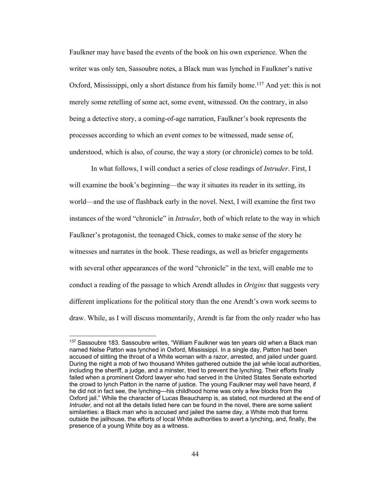Faulkner may have based the events of the book on his own experience. When the writer was only ten, Sassoubre notes, a Black man was lynched in Faulkner's native Oxford, Mississippi, only a short distance from his family home.<sup>137</sup> And yet: this is not merely some retelling of some act, some event, witnessed. On the contrary, in also being a detective story, a coming-of-age narration, Faulkner's book represents the processes according to which an event comes to be witnessed, made sense of, understood, which is also, of course, the way a story (or chronicle) comes to be told.

In what follows, I will conduct a series of close readings of *Intruder*. First, I will examine the book's beginning—the way it situates its reader in its setting, its world—and the use of flashback early in the novel. Next, I will examine the first two instances of the word "chronicle" in *Intruder*, both of which relate to the way in which Faulkner's protagonist, the teenaged Chick, comes to make sense of the story he witnesses and narrates in the book. These readings, as well as briefer engagements with several other appearances of the word "chronicle" in the text, will enable me to conduct a reading of the passage to which Arendt alludes in *Origins* that suggests very different implications for the political story than the one Arendt's own work seems to draw. While, as I will discuss momentarily, Arendt is far from the only reader who has

<sup>&</sup>lt;sup>137</sup> Sassoubre 183. Sassoubre writes, "William Faulkner was ten years old when a Black man named Nelse Patton was lynched in Oxford, Mississippi. In a single day, Patton had been accused of slitting the throat of a White woman with a razor, arrested, and jailed under guard. During the night a mob of two thousand Whites gathered outside the jail while local authorities, including the sheriff, a judge, and a minster, tried to prevent the lynching. Their efforts finally failed when a prominent Oxford lawyer who had served in the United States Senate exhorted the crowd to lynch Patton in the name of justice. The young Faulkner may well have heard, if he did not in fact see, the lynching—his childhood home was only a few blocks from the Oxford jail." While the character of Lucas Beauchamp is, as stated, not murdered at the end of *Intruder*, and not all the details listed here can be found in the novel, there are some salient similarities: a Black man who is accused and jailed the same day, a White mob that forms outside the jailhouse, the efforts of local White authorities to avert a lynching, and, finally, the presence of a young White boy as a witness.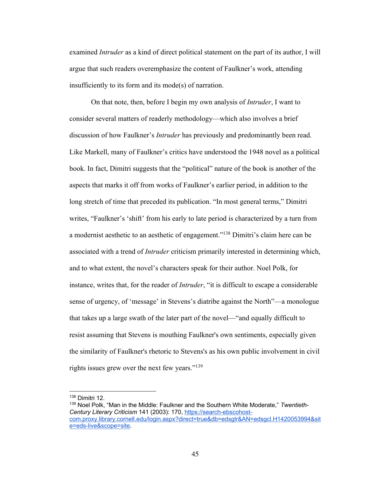examined *Intruder* as a kind of direct political statement on the part of its author, I will argue that such readers overemphasize the content of Faulkner's work, attending insufficiently to its form and its mode(s) of narration.

On that note, then, before I begin my own analysis of *Intruder*, I want to consider several matters of readerly methodology—which also involves a brief discussion of how Faulkner's *Intruder* has previously and predominantly been read. Like Markell, many of Faulkner's critics have understood the 1948 novel as a political book. In fact, Dimitri suggests that the "political" nature of the book is another of the aspects that marks it off from works of Faulkner's earlier period, in addition to the long stretch of time that preceded its publication. "In most general terms," Dimitri writes, "Faulkner's 'shift' from his early to late period is characterized by a turn from a modernist aesthetic to an aesthetic of engagement."138 Dimitri's claim here can be associated with a trend of *Intruder* criticism primarily interested in determining which, and to what extent, the novel's characters speak for their author. Noel Polk, for instance, writes that, for the reader of *Intruder*, "it is difficult to escape a considerable sense of urgency, of 'message' in Stevens's diatribe against the North"—a monologue that takes up a large swath of the later part of the novel—"and equally difficult to resist assuming that Stevens is mouthing Faulkner's own sentiments, especially given the similarity of Faulkner's rhetoric to Stevens's as his own public involvement in civil rights issues grew over the next few years."139

<sup>138</sup> Dimitri 12.

<sup>139</sup> Noel Polk, "Man in the Middle: Faulkner and the Southern White Moderate," *Twentieth-Century Literary Criticism* 141 (2003): 170, https://search-ebscohostcom.proxy.library.cornell.edu/login.aspx?direct=true&db=edsglr&AN=edsgcl.H1420053994&sit e=eds-live&scope=site.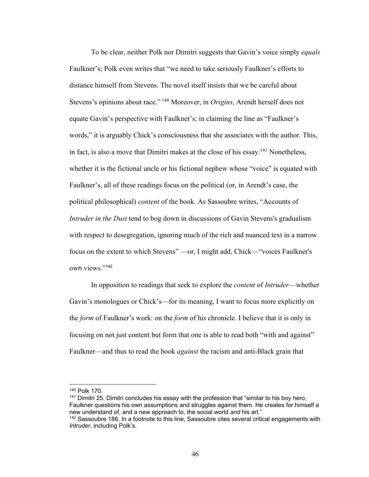To be clear, neither Polk nor Dimitri suggests that Gavin's voice simply *equals*  Faulkner's; Polk even writes that "we need to take seriously Faulkner's efforts to distance himself from Stevens. The novel itself insists that we be careful about Stevens's opinions about race." <sup>140</sup> Moreover, in *Origins*, Arendt herself does not equate Gavin's perspective with Faulkner's; in claiming the line as "Faulkner's words," it is arguably Chick's consciousness that she associates with the author. This, in fact, is also a move that Dimitri makes at the close of his essay.141 Nonetheless, whether it is the fictional uncle or his fictional nephew whose "voice" is equated with Faulkner's, all of these readings focus on the political (or, in Arendt's case, the political philosophical) *content* of the book. As Sassoubre writes, "Accounts of *Intruder in the Dust* tend to bog down in discussions of Gavin Stevens's gradualism with respect to desegregation, ignoring much of the rich and nuanced text in a narrow focus on the extent to which Stevens" —or, I might add, Chick—"voices Faulkner's own views."<sup>142</sup>

In opposition to readings that seek to explore the *content* of *Intruder*—whether Gavin's monologues or Chick's—for its meaning, I want to focus more explicitly on the *form* of Faulkner's work: on the *form* of his chronicle. I believe that it is only in focusing on not just content but form that one is able to read both "with and against" Faulkner—and thus to read the book *against* the racism and anti-Black grain that

<sup>141</sup> Dimitri 25. Dimitri concludes his essay with the profession that "similar to his boy hero, Faulkner questions his own assumptions and struggles against them. He creates for himself a new understand of, and a new approach to, the social world *and* his art."

<sup>140</sup> Polk 170.

<sup>&</sup>lt;sup>142</sup> Sassoubre 186. In a footnote to this line, Sassoubre cites several critical engagements with *Intruder*, including Polk's.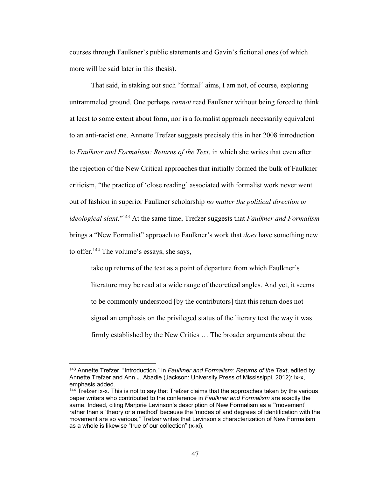courses through Faulkner's public statements and Gavin's fictional ones (of which more will be said later in this thesis).

That said, in staking out such "formal" aims, I am not, of course, exploring untrammeled ground. One perhaps *cannot* read Faulkner without being forced to think at least to some extent about form, nor is a formalist approach necessarily equivalent to an anti-racist one. Annette Trefzer suggests precisely this in her 2008 introduction to *Faulkner and Formalism: Returns of the Text*, in which she writes that even after the rejection of the New Critical approaches that initially formed the bulk of Faulkner criticism, "the practice of 'close reading' associated with formalist work never went out of fashion in superior Faulkner scholarship *no matter the political direction or ideological slant*."143 At the same time, Trefzer suggests that *Faulkner and Formalism* brings a "New Formalist" approach to Faulkner's work that *does* have something new to offer.144 The volume's essays, she says,

take up returns of the text as a point of departure from which Faulkner's literature may be read at a wide range of theoretical angles. And yet, it seems to be commonly understood [by the contributors] that this return does not signal an emphasis on the privileged status of the literary text the way it was firmly established by the New Critics … The broader arguments about the

<sup>143</sup> Annette Trefzer, "Introduction," in *Faulkner and Formalism: Returns of the Text*, edited by Annette Trefzer and Ann J. Abadie (Jackson: University Press of Mississippi, 2012): ix-x, emphasis added.

<sup>&</sup>lt;sup>144</sup> Trefzer ix-x. This is not to say that Trefzer claims that the approaches taken by the various paper writers who contributed to the conference in *Faulkner and Formalism* are exactly the same. Indeed, citing Marjorie Levinson's description of New Formalism as a "'movement' rather than a 'theory or a method' because the 'modes of and degrees of identification with the movement are so various," Trefzer writes that Levinson's characterization of New Formalism as a whole is likewise "true of our collection" (x-xi).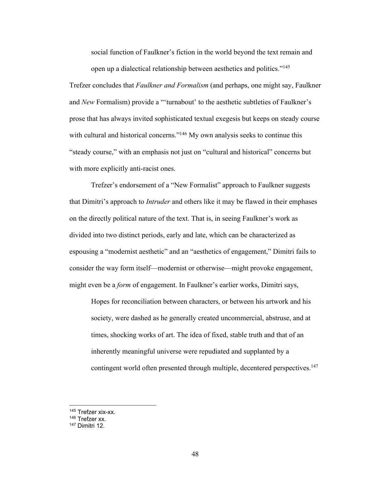social function of Faulkner's fiction in the world beyond the text remain and open up a dialectical relationship between aesthetics and politics."145

Trefzer concludes that *Faulkner and Formalism* (and perhaps, one might say, Faulkner and *New* Formalism) provide a "'turnabout' to the aesthetic subtleties of Faulkner's prose that has always invited sophisticated textual exegesis but keeps on steady course with cultural and historical concerns."<sup>146</sup> My own analysis seeks to continue this "steady course," with an emphasis not just on "cultural and historical" concerns but with more explicitly anti-racist ones.

Trefzer's endorsement of a "New Formalist" approach to Faulkner suggests that Dimitri's approach to *Intruder* and others like it may be flawed in their emphases on the directly political nature of the text. That is, in seeing Faulkner's work as divided into two distinct periods, early and late, which can be characterized as espousing a "modernist aesthetic" and an "aesthetics of engagement," Dimitri fails to consider the way form itself—modernist or otherwise—might provoke engagement, might even be a *form* of engagement. In Faulkner's earlier works, Dimitri says,

Hopes for reconciliation between characters, or between his artwork and his society, were dashed as he generally created uncommercial, abstruse, and at times, shocking works of art. The idea of fixed, stable truth and that of an inherently meaningful universe were repudiated and supplanted by a contingent world often presented through multiple, decentered perspectives.<sup>147</sup>

<sup>&</sup>lt;sup>145</sup> Trefzer xix-xx.

<sup>146</sup> Trefzer xx.

<sup>147</sup> Dimitri 12.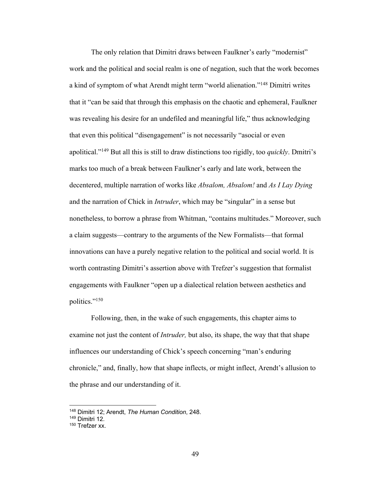The only relation that Dimitri draws between Faulkner's early "modernist" work and the political and social realm is one of negation, such that the work becomes a kind of symptom of what Arendt might term "world alienation."148 Dimitri writes that it "can be said that through this emphasis on the chaotic and ephemeral, Faulkner was revealing his desire for an undefiled and meaningful life," thus acknowledging that even this political "disengagement" is not necessarily "asocial or even apolitical."149 But all this is still to draw distinctions too rigidly, too *quickly*. Dmitri's marks too much of a break between Faulkner's early and late work, between the decentered, multiple narration of works like *Absalom, Absalom!* and *As I Lay Dying*  and the narration of Chick in *Intruder*, which may be "singular" in a sense but nonetheless, to borrow a phrase from Whitman, "contains multitudes." Moreover, such a claim suggests—contrary to the arguments of the New Formalists—that formal innovations can have a purely negative relation to the political and social world. It is worth contrasting Dimitri's assertion above with Trefzer's suggestion that formalist engagements with Faulkner "open up a dialectical relation between aesthetics and politics."<sup>150</sup>

Following, then, in the wake of such engagements, this chapter aims to examine not just the content of *Intruder,* but also, its shape, the way that that shape influences our understanding of Chick's speech concerning "man's enduring chronicle," and, finally, how that shape inflects, or might inflect, Arendt's allusion to the phrase and our understanding of it.

<sup>148</sup> Dimitri 12; Arendt, *The Human Condition*, 248.

<sup>149</sup> Dimitri 12.

<sup>150</sup> Trefzer xx.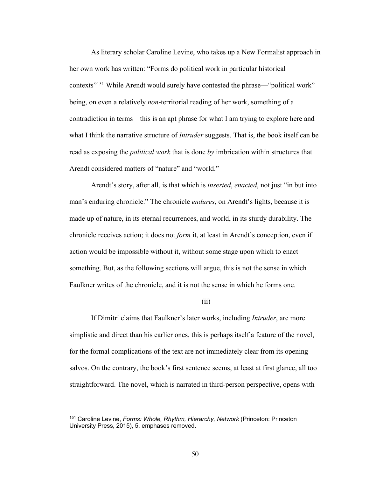As literary scholar Caroline Levine, who takes up a New Formalist approach in her own work has written: "Forms do political work in particular historical contexts"151 While Arendt would surely have contested the phrase—"political work" being, on even a relatively *non*-territorial reading of her work, something of a contradiction in terms—this is an apt phrase for what I am trying to explore here and what I think the narrative structure of *Intruder* suggests. That is, the book itself can be read as exposing the *political work* that is done *by* imbrication within structures that Arendt considered matters of "nature" and "world."

Arendt's story, after all, is that which is *inserted*, *enacted*, not just "in but into man's enduring chronicle." The chronicle *endures*, on Arendt's lights, because it is made up of nature, in its eternal recurrences, and world, in its sturdy durability. The chronicle receives action; it does not *form* it, at least in Arendt's conception, even if action would be impossible without it, without some stage upon which to enact something. But, as the following sections will argue, this is not the sense in which Faulkner writes of the chronicle, and it is not the sense in which he forms one.

## (ii)

If Dimitri claims that Faulkner's later works, including *Intruder*, are more simplistic and direct than his earlier ones, this is perhaps itself a feature of the novel, for the formal complications of the text are not immediately clear from its opening salvos. On the contrary, the book's first sentence seems, at least at first glance, all too straightforward. The novel, which is narrated in third-person perspective, opens with

<sup>151</sup> Caroline Levine, *Forms: Whole, Rhythm, Hierarchy, Network* (Princeton: Princeton University Press, 2015), 5, emphases removed.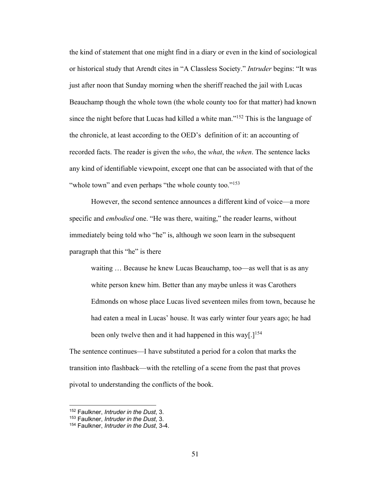the kind of statement that one might find in a diary or even in the kind of sociological or historical study that Arendt cites in "A Classless Society." *Intruder* begins: "It was just after noon that Sunday morning when the sheriff reached the jail with Lucas Beauchamp though the whole town (the whole county too for that matter) had known since the night before that Lucas had killed a white man."152 This is the language of the chronicle, at least according to the OED's definition of it: an accounting of recorded facts. The reader is given the *who*, the *what*, the *when*. The sentence lacks any kind of identifiable viewpoint, except one that can be associated with that of the "whole town" and even perhaps "the whole county too."<sup>153</sup>

However, the second sentence announces a different kind of voice—a more specific and *embodied* one. "He was there, waiting," the reader learns, without immediately being told who "he" is, although we soon learn in the subsequent paragraph that this "he" is there

waiting … Because he knew Lucas Beauchamp, too—as well that is as any white person knew him. Better than any maybe unless it was Carothers Edmonds on whose place Lucas lived seventeen miles from town, because he had eaten a meal in Lucas' house. It was early winter four years ago; he had been only twelve then and it had happened in this way[.]<sup>154</sup>

The sentence continues—I have substituted a period for a colon that marks the transition into flashback—with the retelling of a scene from the past that proves pivotal to understanding the conflicts of the book.

<sup>152</sup> Faulkner, *Intruder in the Dust*, 3.

<sup>153</sup> Faulkner, *Intruder in the Dust*, 3.

<sup>154</sup> Faulkner, *Intruder in the Dust*, 3-4.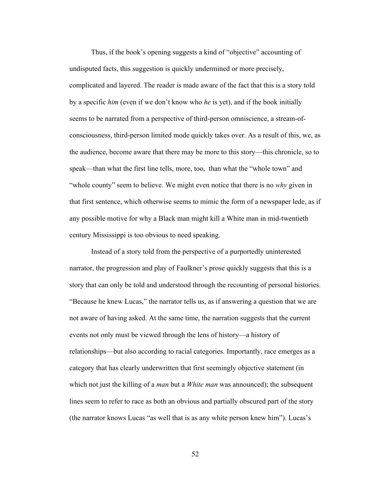Thus, if the book's opening suggests a kind of "objective" accounting of undisputed facts, this suggestion is quickly undermined or more precisely, complicated and layered. The reader is made aware of the fact that this is a story told by a specific *him* (even if we don't know who *he* is yet), and if the book initially seems to be narrated from a perspective of third-person omniscience, a stream-ofconsciousness, third-person limited mode quickly takes over. As a result of this, we, as the audience, become aware that there may be more to this story—this chronicle, so to speak—than what the first line tells, more, too, than what the "whole town" and "whole county" seem to believe. We might even notice that there is no *why* given in that first sentence, which otherwise seems to mimic the form of a newspaper lede, as if any possible motive for why a Black man might kill a White man in mid-twentieth century Mississippi is too obvious to need speaking.

Instead of a story told from the perspective of a purportedly uninterested narrator, the progression and play of Faulkner's prose quickly suggests that this is a story that can only be told and understood through the recounting of personal histories. "Because he knew Lucas," the narrator tells us, as if answering a question that we are not aware of having asked. At the same time, the narration suggests that the current events not only must be viewed through the lens of history—a history of relationships—but also according to racial categories. Importantly, race emerges as a category that has clearly underwritten that first seemingly objective statement (in which not just the killing of a *man* but a *White man* was announced); the subsequent lines seem to refer to race as both an obvious and partially obscured part of the story (the narrator knows Lucas "as well that is as any white person knew him"). Lucas's

52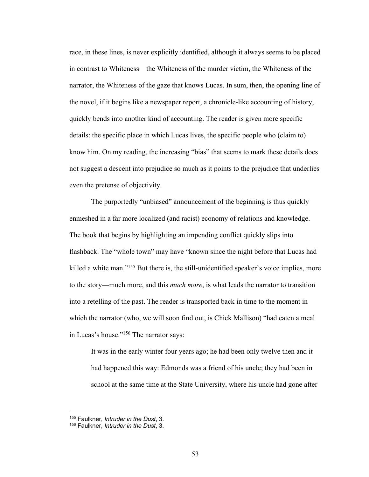race, in these lines, is never explicitly identified, although it always seems to be placed in contrast to Whiteness—the Whiteness of the murder victim, the Whiteness of the narrator, the Whiteness of the gaze that knows Lucas. In sum, then, the opening line of the novel, if it begins like a newspaper report, a chronicle-like accounting of history, quickly bends into another kind of accounting. The reader is given more specific details: the specific place in which Lucas lives, the specific people who (claim to) know him. On my reading, the increasing "bias" that seems to mark these details does not suggest a descent into prejudice so much as it points to the prejudice that underlies even the pretense of objectivity.

The purportedly "unbiased" announcement of the beginning is thus quickly enmeshed in a far more localized (and racist) economy of relations and knowledge. The book that begins by highlighting an impending conflict quickly slips into flashback. The "whole town" may have "known since the night before that Lucas had killed a white man."155 But there is, the still-unidentified speaker's voice implies, more to the story—much more, and this *much more*, is what leads the narrator to transition into a retelling of the past. The reader is transported back in time to the moment in which the narrator (who, we will soon find out, is Chick Mallison) "had eaten a meal in Lucas's house."156 The narrator says:

It was in the early winter four years ago; he had been only twelve then and it had happened this way: Edmonds was a friend of his uncle; they had been in school at the same time at the State University, where his uncle had gone after

<sup>155</sup> Faulkner, *Intruder in the Dust*, 3.

<sup>156</sup> Faulkner, *Intruder in the Dust*, 3.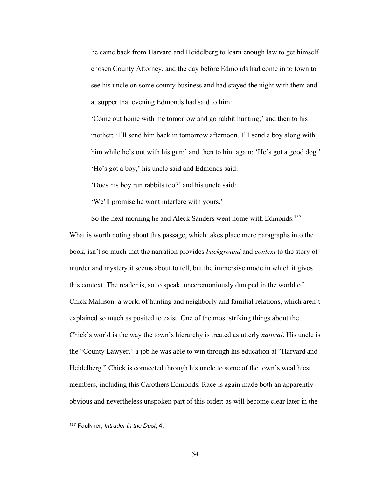he came back from Harvard and Heidelberg to learn enough law to get himself chosen County Attorney, and the day before Edmonds had come in to town to see his uncle on some county business and had stayed the night with them and at supper that evening Edmonds had said to him:

'Come out home with me tomorrow and go rabbit hunting;' and then to his mother: 'I'll send him back in tomorrow afternoon. I'll send a boy along with him while he's out with his gun:' and then to him again: 'He's got a good dog.' 'He's got a boy,' his uncle said and Edmonds said:

'Does his boy run rabbits too?' and his uncle said:

'We'll promise he wont interfere with yours.'

So the next morning he and Aleck Sanders went home with Edmonds.<sup>157</sup> What is worth noting about this passage, which takes place mere paragraphs into the book, isn't so much that the narration provides *background* and *context* to the story of murder and mystery it seems about to tell, but the immersive mode in which it gives this context. The reader is, so to speak, unceremoniously dumped in the world of Chick Mallison: a world of hunting and neighborly and familial relations, which aren't explained so much as posited to exist. One of the most striking things about the Chick's world is the way the town's hierarchy is treated as utterly *natural*. His uncle is the "County Lawyer," a job he was able to win through his education at "Harvard and Heidelberg." Chick is connected through his uncle to some of the town's wealthiest members, including this Carothers Edmonds. Race is again made both an apparently obvious and nevertheless unspoken part of this order: as will become clear later in the

<sup>157</sup> Faulkner, *Intruder in the Dust*, 4.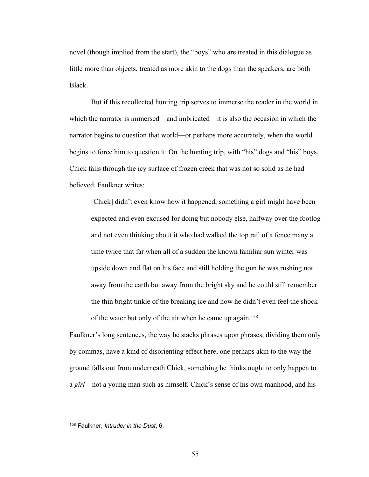novel (though implied from the start), the "boys" who are treated in this dialogue as little more than objects, treated as more akin to the dogs than the speakers, are both Black.

But if this recollected hunting trip serves to immerse the reader in the world in which the narrator is immersed—and imbricated—it is also the occasion in which the narrator begins to question that world—or perhaps more accurately, when the world begins to force him to question it. On the hunting trip, with "his" dogs and "his" boys, Chick falls through the icy surface of frozen creek that was not so solid as he had believed. Faulkner writes:

[Chick] didn't even know how it happened, something a girl might have been expected and even excused for doing but nobody else, halfway over the footlog and not even thinking about it who had walked the top rail of a fence many a time twice that far when all of a sudden the known familiar sun winter was upside down and flat on his face and still holding the gun he was rushing not away from the earth but away from the bright sky and he could still remember the thin bright tinkle of the breaking ice and how he didn't even feel the shock of the water but only of the air when he came up again.<sup>158</sup>

Faulkner's long sentences, the way he stacks phrases upon phrases, dividing them only by commas, have a kind of disorienting effect here, one perhaps akin to the way the ground falls out from underneath Chick, something he thinks ought to only happen to a *girl*—not a young man such as himself. Chick's sense of his own manhood, and his

<sup>158</sup> Faulkner, *Intruder in the Dust*, 6.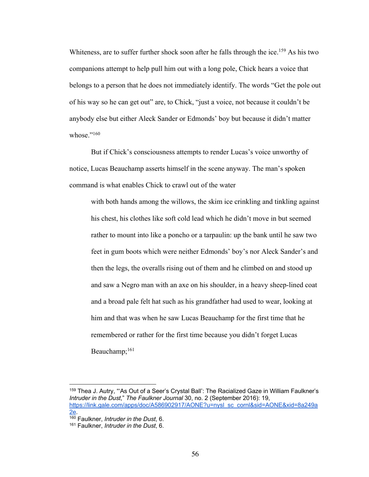Whiteness, are to suffer further shock soon after he falls through the ice.<sup>159</sup> As his two companions attempt to help pull him out with a long pole, Chick hears a voice that belongs to a person that he does not immediately identify. The words "Get the pole out of his way so he can get out" are, to Chick, "just a voice, not because it couldn't be anybody else but either Aleck Sander or Edmonds' boy but because it didn't matter whose."<sup>160</sup>

But if Chick's consciousness attempts to render Lucas's voice unworthy of notice, Lucas Beauchamp asserts himself in the scene anyway. The man's spoken command is what enables Chick to crawl out of the water

with both hands among the willows, the skim ice crinkling and tinkling against his chest, his clothes like soft cold lead which he didn't move in but seemed rather to mount into like a poncho or a tarpaulin: up the bank until he saw two feet in gum boots which were neither Edmonds' boy's nor Aleck Sander's and then the legs, the overalls rising out of them and he climbed on and stood up and saw a Negro man with an axe on his shoulder, in a heavy sheep-lined coat and a broad pale felt hat such as his grandfather had used to wear, looking at him and that was when he saw Lucas Beauchamp for the first time that he remembered or rather for the first time because you didn't forget Lucas Beauchamp;<sup>161</sup>

159 Thea J. Autry, "'As Out of a Seer's Crystal Ball': The Racialized Gaze in William Faulkner's *Intruder in the Dust*," *The Faulkner Journal* 30, no. 2 (September 2016): 19, https://link.gale.com/apps/doc/A586902917/AONE?u=nysl\_sc\_cornl&sid=AONE&xid=8a249a 2e.

<sup>160</sup> Faulkner, *Intruder in the Dust*, 6.

<sup>161</sup> Faulkner, *Intruder in the Dust*, 6.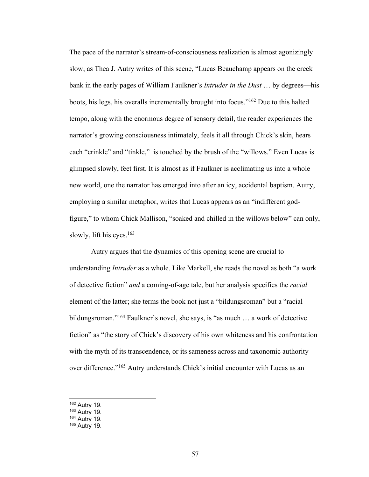The pace of the narrator's stream-of-consciousness realization is almost agonizingly slow; as Thea J. Autry writes of this scene, "Lucas Beauchamp appears on the creek bank in the early pages of William Faulkner's *Intruder in the Dust* … by degrees—his boots, his legs, his overalls incrementally brought into focus."162 Due to this halted tempo, along with the enormous degree of sensory detail, the reader experiences the narrator's growing consciousness intimately, feels it all through Chick's skin, hears each "crinkle" and "tinkle," is touched by the brush of the "willows." Even Lucas is glimpsed slowly, feet first. It is almost as if Faulkner is acclimating us into a whole new world, one the narrator has emerged into after an icy, accidental baptism. Autry, employing a similar metaphor, writes that Lucas appears as an "indifferent godfigure," to whom Chick Mallison, "soaked and chilled in the willows below" can only, slowly, lift his eyes. 163

Autry argues that the dynamics of this opening scene are crucial to understanding *Intruder* as a whole. Like Markell, she reads the novel as both "a work of detective fiction" *and* a coming-of-age tale, but her analysis specifies the *racial*  element of the latter; she terms the book not just a "bildungsroman" but a "racial bildungsroman."164 Faulkner's novel, she says, is "as much … a work of detective fiction" as "the story of Chick's discovery of his own whiteness and his confrontation with the myth of its transcendence, or its sameness across and taxonomic authority over difference."165 Autry understands Chick's initial encounter with Lucas as an

<sup>162</sup> Autry 19.

<sup>163</sup> Autry 19.

<sup>164</sup> Autry 19.

<sup>165</sup> Autry 19.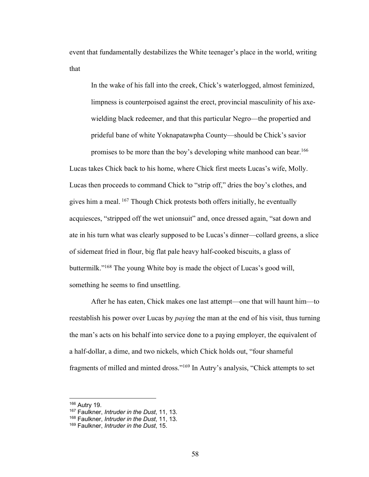event that fundamentally destabilizes the White teenager's place in the world, writing that

In the wake of his fall into the creek, Chick's waterlogged, almost feminized, limpness is counterpoised against the erect, provincial masculinity of his axewielding black redeemer, and that this particular Negro—the propertied and prideful bane of white Yoknapatawpha County—should be Chick's savior promises to be more than the boy's developing white manhood can bear.<sup>166</sup>

Lucas takes Chick back to his home, where Chick first meets Lucas's wife, Molly. Lucas then proceeds to command Chick to "strip off," dries the boy's clothes, and gives him a meal. <sup>167</sup> Though Chick protests both offers initially, he eventually acquiesces, "stripped off the wet unionsuit" and, once dressed again, "sat down and ate in his turn what was clearly supposed to be Lucas's dinner—collard greens, a slice of sidemeat fried in flour, big flat pale heavy half-cooked biscuits, a glass of buttermilk."168 The young White boy is made the object of Lucas's good will, something he seems to find unsettling.

After he has eaten, Chick makes one last attempt—one that will haunt him—to reestablish his power over Lucas by *paying* the man at the end of his visit, thus turning the man's acts on his behalf into service done to a paying employer, the equivalent of a half-dollar, a dime, and two nickels, which Chick holds out, "four shameful fragments of milled and minted dross."169 In Autry's analysis, "Chick attempts to set

<sup>166</sup> Autry 19.

<sup>167</sup> Faulkner, *Intruder in the Dust*, 11, 13.

<sup>168</sup> Faulkner, *Intruder in the Dust*, 11, 13.

<sup>169</sup> Faulkner, *Intruder in the Dust*, 15.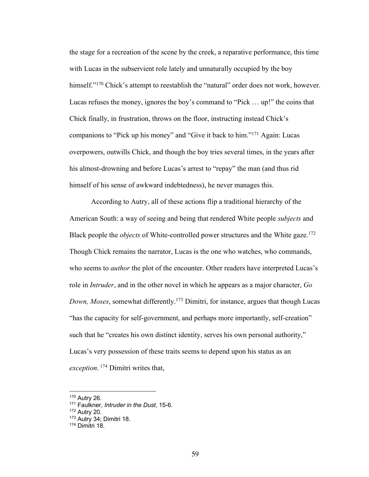the stage for a recreation of the scene by the creek, a reparative performance, this time with Lucas in the subservient role lately and unnaturally occupied by the boy himself."<sup>170</sup> Chick's attempt to reestablish the "natural" order does not work, however. Lucas refuses the money, ignores the boy's command to "Pick … up!" the coins that Chick finally, in frustration, throws on the floor, instructing instead Chick's companions to "Pick up his money" and "Give it back to him."171 Again: Lucas overpowers, outwills Chick, and though the boy tries several times, in the years after his almost-drowning and before Lucas's arrest to "repay" the man (and thus rid himself of his sense of awkward indebtedness), he never manages this.

According to Autry, all of these actions flip a traditional hierarchy of the American South: a way of seeing and being that rendered White people *subjects* and Black people the *objects* of White-controlled power structures and the White gaze.<sup>172</sup> Though Chick remains the narrator, Lucas is the one who watches, who commands, who seems to *author* the plot of the encounter. Other readers have interpreted Lucas's role in *Intruder*, and in the other novel in which he appears as a major character, *Go Down, Moses, somewhat differently.*<sup>173</sup> Dimitri, for instance, argues that though Lucas "has the capacity for self-government, and perhaps more importantly, self-creation" such that he "creates his own distinct identity, serves his own personal authority," Lucas's very possession of these traits seems to depend upon his status as an *exception*. <sup>174</sup> Dimitri writes that,

<sup>170</sup> Autry 26.

<sup>171</sup> Faulkner, *Intruder in the Dust*, 15-6.

<sup>172</sup> Autry 20.

<sup>173</sup> Autry 34; Dimitri 18.

<sup>174</sup> Dimitri 18.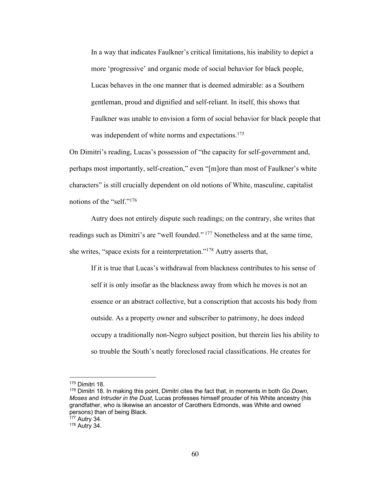In a way that indicates Faulkner's critical limitations, his inability to depict a more 'progressive' and organic mode of social behavior for black people, Lucas behaves in the one manner that is deemed admirable: as a Southern gentleman, proud and dignified and self-reliant. In itself, this shows that Faulkner was unable to envision a form of social behavior for black people that was independent of white norms and expectations.<sup>175</sup>

On Dimitri's reading, Lucas's possession of "the capacity for self-government and, perhaps most importantly, self-creation," even "[m]ore than most of Faulkner's white characters" is still crucially dependent on old notions of White, masculine, capitalist notions of the "self."176

Autry does not entirely dispute such readings; on the contrary, she writes that readings such as Dimitri's are "well founded." <sup>177</sup> Nonetheless and at the same time, she writes, "space exists for a reinterpretation."178 Autry asserts that,

If it is true that Lucas's withdrawal from blackness contributes to his sense of self it is only insofar as the blackness away from which he moves is not an essence or an abstract collective, but a conscription that accosts his body from outside. As a property owner and subscriber to patrimony, he does indeed occupy a traditionally non-Negro subject position, but therein lies his ability to so trouble the South's neatly foreclosed racial classifications. He creates for

<sup>175</sup> Dimitri 18.

<sup>176</sup> Dimitri 18. In making this point, Dimitri cites the fact that, in moments in both *Go Down, Moses* and *Intruder in the Dust*, Lucas professes himself prouder of his White ancestry (his grandfather, who is likewise an ancestor of Carothers Edmonds, was White and owned persons) than of being Black.

 $177$  Autry 34.

<sup>178</sup> Autry 34.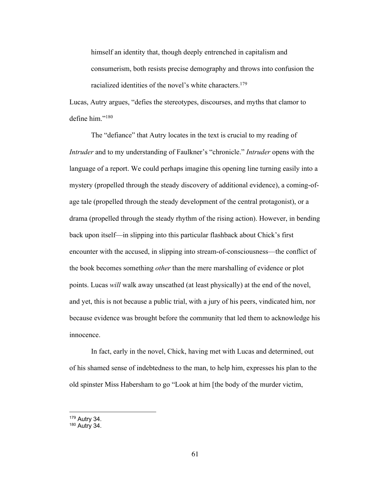himself an identity that, though deeply entrenched in capitalism and consumerism, both resists precise demography and throws into confusion the racialized identities of the novel's white characters. 179

Lucas, Autry argues, "defies the stereotypes, discourses, and myths that clamor to define him."180

The "defiance" that Autry locates in the text is crucial to my reading of *Intruder* and to my understanding of Faulkner's "chronicle." *Intruder* opens with the language of a report. We could perhaps imagine this opening line turning easily into a mystery (propelled through the steady discovery of additional evidence), a coming-ofage tale (propelled through the steady development of the central protagonist), or a drama (propelled through the steady rhythm of the rising action). However, in bending back upon itself—in slipping into this particular flashback about Chick's first encounter with the accused, in slipping into stream-of-consciousness—the conflict of the book becomes something *other* than the mere marshalling of evidence or plot points. Lucas *will* walk away unscathed (at least physically) at the end of the novel, and yet, this is not because a public trial, with a jury of his peers, vindicated him, nor because evidence was brought before the community that led them to acknowledge his innocence.

In fact, early in the novel, Chick, having met with Lucas and determined, out of his shamed sense of indebtedness to the man, to help him, expresses his plan to the old spinster Miss Habersham to go "Look at him [the body of the murder victim,

<sup>179</sup> Autry 34.

<sup>180</sup> Autry 34.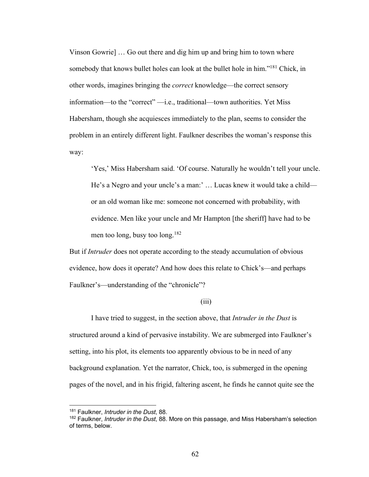Vinson Gowrie] … Go out there and dig him up and bring him to town where somebody that knows bullet holes can look at the bullet hole in him."181 Chick, in other words, imagines bringing the *correct* knowledge—the correct sensory information—to the "correct" —i.e., traditional—town authorities. Yet Miss Habersham, though she acquiesces immediately to the plan, seems to consider the problem in an entirely different light. Faulkner describes the woman's response this way:

'Yes,' Miss Habersham said. 'Of course. Naturally he wouldn't tell your uncle. He's a Negro and your uncle's a man:' … Lucas knew it would take a child or an old woman like me: someone not concerned with probability, with evidence. Men like your uncle and Mr Hampton [the sheriff] have had to be men too long, busy too long.182

But if *Intruder* does not operate according to the steady accumulation of obvious evidence, how does it operate? And how does this relate to Chick's—and perhaps Faulkner's—understanding of the "chronicle"?

## (iii)

I have tried to suggest, in the section above, that *Intruder in the Dust* is structured around a kind of pervasive instability. We are submerged into Faulkner's setting, into his plot, its elements too apparently obvious to be in need of any background explanation. Yet the narrator, Chick, too, is submerged in the opening pages of the novel, and in his frigid, faltering ascent, he finds he cannot quite see the

<sup>181</sup> Faulkner, *Intruder in the Dust*, 88.

<sup>182</sup> Faulkner, *Intruder in the Dust*, 88. More on this passage, and Miss Habersham's selection of terms, below.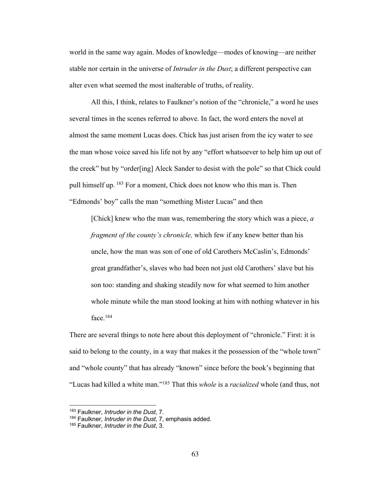world in the same way again. Modes of knowledge—modes of knowing—are neither stable nor certain in the universe of *Intruder in the Dust*; a different perspective can alter even what seemed the most inalterable of truths, of reality.

All this, I think, relates to Faulkner's notion of the "chronicle," a word he uses several times in the scenes referred to above. In fact, the word enters the novel at almost the same moment Lucas does. Chick has just arisen from the icy water to see the man whose voice saved his life not by any "effort whatsoever to help him up out of the creek" but by "order[ing] Aleck Sander to desist with the pole" so that Chick could pull himself up. <sup>183</sup> For a moment, Chick does not know who this man is. Then "Edmonds' boy" calls the man "something Mister Lucas" and then

[Chick] knew who the man was, remembering the story which was a piece, *a fragment of the county's chronicle,* which few if any knew better than his uncle, how the man was son of one of old Carothers McCaslin's, Edmonds' great grandfather's, slaves who had been not just old Carothers' slave but his son too: standing and shaking steadily now for what seemed to him another whole minute while the man stood looking at him with nothing whatever in his face.184

There are several things to note here about this deployment of "chronicle." First: it is said to belong to the county, in a way that makes it the possession of the "whole town" and "whole county" that has already "known" since before the book's beginning that "Lucas had killed a white man."185 That this *whole* is a *racialized* whole (and thus, not

<sup>183</sup> Faulkner, *Intruder in the Dust*, 7.

<sup>184</sup> Faulkner, *Intruder in the Dust*, 7, emphasis added.

<sup>185</sup> Faulkner, *Intruder in the Dust*, 3.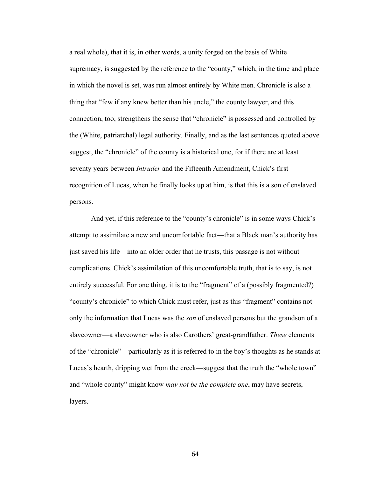a real whole), that it is, in other words, a unity forged on the basis of White supremacy, is suggested by the reference to the "county," which, in the time and place in which the novel is set, was run almost entirely by White men. Chronicle is also a thing that "few if any knew better than his uncle," the county lawyer, and this connection, too, strengthens the sense that "chronicle" is possessed and controlled by the (White, patriarchal) legal authority. Finally, and as the last sentences quoted above suggest, the "chronicle" of the county is a historical one, for if there are at least seventy years between *Intruder* and the Fifteenth Amendment, Chick's first recognition of Lucas, when he finally looks up at him, is that this is a son of enslaved persons.

And yet, if this reference to the "county's chronicle" is in some ways Chick's attempt to assimilate a new and uncomfortable fact—that a Black man's authority has just saved his life—into an older order that he trusts, this passage is not without complications. Chick's assimilation of this uncomfortable truth, that is to say, is not entirely successful. For one thing, it is to the "fragment" of a (possibly fragmented?) "county's chronicle" to which Chick must refer, just as this "fragment" contains not only the information that Lucas was the *son* of enslaved persons but the grandson of a slaveowner—a slaveowner who is also Carothers' great-grandfather. *These* elements of the "chronicle"—particularly as it is referred to in the boy's thoughts as he stands at Lucas's hearth, dripping wet from the creek—suggest that the truth the "whole town" and "whole county" might know *may not be the complete one*, may have secrets, layers.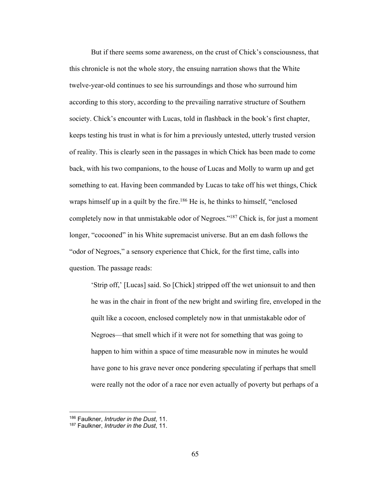But if there seems some awareness, on the crust of Chick's consciousness, that this chronicle is not the whole story, the ensuing narration shows that the White twelve-year-old continues to see his surroundings and those who surround him according to this story, according to the prevailing narrative structure of Southern society. Chick's encounter with Lucas, told in flashback in the book's first chapter, keeps testing his trust in what is for him a previously untested, utterly trusted version of reality. This is clearly seen in the passages in which Chick has been made to come back, with his two companions, to the house of Lucas and Molly to warm up and get something to eat. Having been commanded by Lucas to take off his wet things, Chick wraps himself up in a quilt by the fire.<sup>186</sup> He is, he thinks to himself, "enclosed completely now in that unmistakable odor of Negroes."187 Chick is, for just a moment longer, "cocooned" in his White supremacist universe. But an em dash follows the "odor of Negroes," a sensory experience that Chick, for the first time, calls into question. The passage reads:

'Strip off,' [Lucas] said. So [Chick] stripped off the wet unionsuit to and then he was in the chair in front of the new bright and swirling fire, enveloped in the quilt like a cocoon, enclosed completely now in that unmistakable odor of Negroes—that smell which if it were not for something that was going to happen to him within a space of time measurable now in minutes he would have gone to his grave never once pondering speculating if perhaps that smell were really not the odor of a race nor even actually of poverty but perhaps of a

<sup>186</sup> Faulkner, *Intruder in the Dust*, 11.

<sup>187</sup> Faulkner, *Intruder in the Dust*, 11.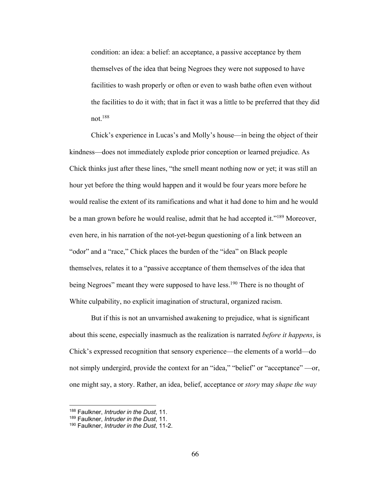condition: an idea: a belief: an acceptance, a passive acceptance by them themselves of the idea that being Negroes they were not supposed to have facilities to wash properly or often or even to wash bathe often even without the facilities to do it with; that in fact it was a little to be preferred that they did not.188

Chick's experience in Lucas's and Molly's house—in being the object of their kindness—does not immediately explode prior conception or learned prejudice. As Chick thinks just after these lines, "the smell meant nothing now or yet; it was still an hour yet before the thing would happen and it would be four years more before he would realise the extent of its ramifications and what it had done to him and he would be a man grown before he would realise, admit that he had accepted it."<sup>189</sup> Moreover, even here, in his narration of the not-yet-begun questioning of a link between an "odor" and a "race," Chick places the burden of the "idea" on Black people themselves, relates it to a "passive acceptance of them themselves of the idea that being Negroes" meant they were supposed to have less.<sup>190</sup> There is no thought of White culpability, no explicit imagination of structural, organized racism.

But if this is not an unvarnished awakening to prejudice, what is significant about this scene, especially inasmuch as the realization is narrated *before it happens*, is Chick's expressed recognition that sensory experience—the elements of a world—do not simply undergird, provide the context for an "idea," "belief" or "acceptance" —or, one might say, a story. Rather, an idea, belief, acceptance or *story* may *shape the way* 

<sup>188</sup> Faulkner, *Intruder in the Dust*, 11.

<sup>189</sup> Faulkner, *Intruder in the Dust*, 11.

<sup>190</sup> Faulkner, *Intruder in the Dust*, 11-2.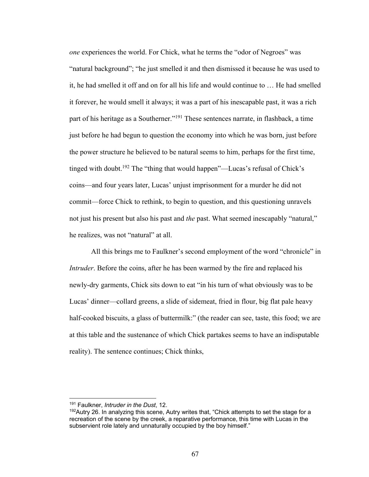*one* experiences the world. For Chick, what he terms the "odor of Negroes" was "natural background"; "he just smelled it and then dismissed it because he was used to it, he had smelled it off and on for all his life and would continue to … He had smelled it forever, he would smell it always; it was a part of his inescapable past, it was a rich part of his heritage as a Southerner."191 These sentences narrate, in flashback, a time just before he had begun to question the economy into which he was born, just before the power structure he believed to be natural seems to him, perhaps for the first time, tinged with doubt.192 The "thing that would happen"—Lucas's refusal of Chick's coins—and four years later, Lucas' unjust imprisonment for a murder he did not commit—force Chick to rethink, to begin to question, and this questioning unravels not just his present but also his past and *the* past. What seemed inescapably "natural," he realizes, was not "natural" at all.

All this brings me to Faulkner's second employment of the word "chronicle" in *Intruder*. Before the coins, after he has been warmed by the fire and replaced his newly-dry garments, Chick sits down to eat "in his turn of what obviously was to be Lucas' dinner—collard greens, a slide of sidemeat, fried in flour, big flat pale heavy half-cooked biscuits, a glass of buttermilk:" (the reader can see, taste, this food; we are at this table and the sustenance of which Chick partakes seems to have an indisputable reality). The sentence continues; Chick thinks,

<sup>191</sup> Faulkner, *Intruder in the Dust*, 12.

 $192$ Autry 26. In analyzing this scene, Autry writes that, "Chick attempts to set the stage for a recreation of the scene by the creek, a reparative performance, this time with Lucas in the subservient role lately and unnaturally occupied by the boy himself."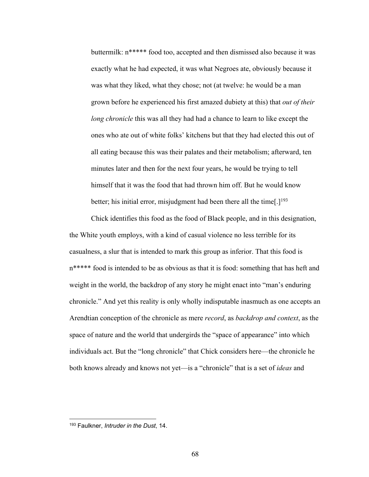buttermilk: n\*\*\*\*\* food too, accepted and then dismissed also because it was exactly what he had expected, it was what Negroes ate, obviously because it was what they liked, what they chose; not (at twelve: he would be a man grown before he experienced his first amazed dubiety at this) that *out of their long chronicle* this was all they had had a chance to learn to like except the ones who ate out of white folks' kitchens but that they had elected this out of all eating because this was their palates and their metabolism; afterward, ten minutes later and then for the next four years, he would be trying to tell himself that it was the food that had thrown him off. But he would know better; his initial error, misjudgment had been there all the time[ $.1^{193}$ ]

Chick identifies this food as the food of Black people, and in this designation, the White youth employs, with a kind of casual violence no less terrible for its casualness, a slur that is intended to mark this group as inferior. That this food is n\*\*\*\*\* food is intended to be as obvious as that it is food: something that has heft and weight in the world, the backdrop of any story he might enact into "man's enduring chronicle." And yet this reality is only wholly indisputable inasmuch as one accepts an Arendtian conception of the chronicle as mere *record*, as *backdrop and context*, as the space of nature and the world that undergirds the "space of appearance" into which individuals act. But the "long chronicle" that Chick considers here—the chronicle he both knows already and knows not yet—is a "chronicle" that is a set of *ideas* and

<sup>193</sup> Faulkner, *Intruder in the Dust*, 14.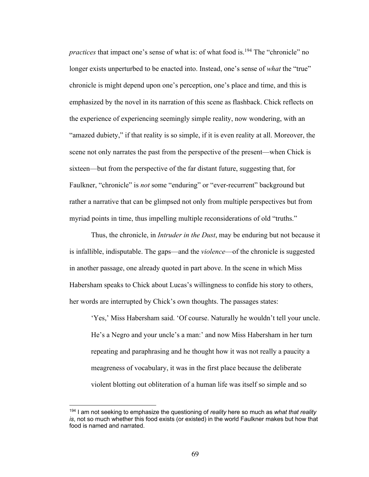*practices* that impact one's sense of what is: of what food is.<sup>194</sup> The "chronicle" no longer exists unperturbed to be enacted into. Instead, one's sense of *what* the "true" chronicle is might depend upon one's perception, one's place and time, and this is emphasized by the novel in its narration of this scene as flashback. Chick reflects on the experience of experiencing seemingly simple reality, now wondering, with an "amazed dubiety," if that reality is so simple, if it is even reality at all. Moreover, the scene not only narrates the past from the perspective of the present—when Chick is sixteen—but from the perspective of the far distant future, suggesting that, for Faulkner, "chronicle" is *not* some "enduring" or "ever-recurrent" background but rather a narrative that can be glimpsed not only from multiple perspectives but from myriad points in time, thus impelling multiple reconsiderations of old "truths."

Thus, the chronicle, in *Intruder in the Dust*, may be enduring but not because it is infallible, indisputable. The gaps—and the *violence*—of the chronicle is suggested in another passage, one already quoted in part above. In the scene in which Miss Habersham speaks to Chick about Lucas's willingness to confide his story to others, her words are interrupted by Chick's own thoughts. The passages states:

'Yes,' Miss Habersham said. 'Of course. Naturally he wouldn't tell your uncle. He's a Negro and your uncle's a man:' and now Miss Habersham in her turn repeating and paraphrasing and he thought how it was not really a paucity a meagreness of vocabulary, it was in the first place because the deliberate violent blotting out obliteration of a human life was itself so simple and so

<sup>194</sup> I am not seeking to emphasize the questioning of *reality* here so much as *what that reality is*, not so much whether this food exists (or existed) in the world Faulkner makes but how that food is named and narrated.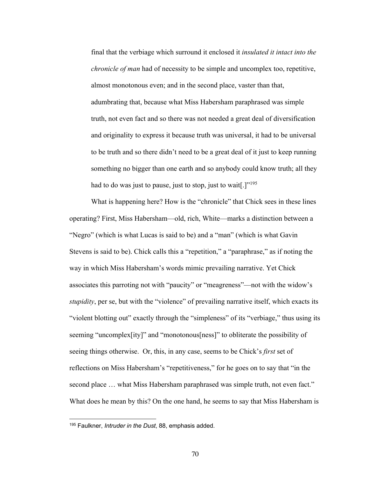final that the verbiage which surround it enclosed it *insulated it intact into the chronicle of man* had of necessity to be simple and uncomplex too, repetitive, almost monotonous even; and in the second place, vaster than that, adumbrating that, because what Miss Habersham paraphrased was simple truth, not even fact and so there was not needed a great deal of diversification and originality to express it because truth was universal, it had to be universal to be truth and so there didn't need to be a great deal of it just to keep running something no bigger than one earth and so anybody could know truth; all they had to do was just to pause, just to stop, just to wait[.]"<sup>195</sup>

What is happening here? How is the "chronicle" that Chick sees in these lines operating? First, Miss Habersham—old, rich, White—marks a distinction between a "Negro" (which is what Lucas is said to be) and a "man" (which is what Gavin Stevens is said to be). Chick calls this a "repetition," a "paraphrase," as if noting the way in which Miss Habersham's words mimic prevailing narrative. Yet Chick associates this parroting not with "paucity" or "meagreness"—not with the widow's *stupidity*, per se, but with the "violence" of prevailing narrative itself, which exacts its "violent blotting out" exactly through the "simpleness" of its "verbiage," thus using its seeming "uncomplex[ity]" and "monotonous[ness]" to obliterate the possibility of seeing things otherwise. Or, this, in any case, seems to be Chick's *first* set of reflections on Miss Habersham's "repetitiveness," for he goes on to say that "in the second place … what Miss Habersham paraphrased was simple truth, not even fact." What does he mean by this? On the one hand, he seems to say that Miss Habersham is

<sup>195</sup> Faulkner, *Intruder in the Dust*, 88, emphasis added.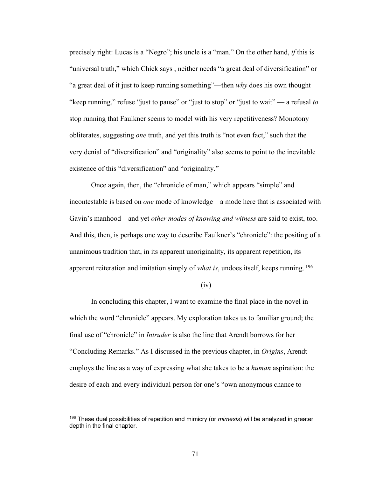precisely right: Lucas is a "Negro"; his uncle is a "man." On the other hand, *if* this is "universal truth," which Chick says , neither needs "a great deal of diversification" or "a great deal of it just to keep running something"—then *why* does his own thought "keep running," refuse "just to pause" or "just to stop" or "just to wait" — a refusal *to*  stop running that Faulkner seems to model with his very repetitiveness? Monotony obliterates, suggesting *one* truth, and yet this truth is "not even fact," such that the very denial of "diversification" and "originality" also seems to point to the inevitable existence of this "diversification" and "originality."

Once again, then, the "chronicle of man," which appears "simple" and incontestable is based on *one* mode of knowledge—a mode here that is associated with Gavin's manhood—and yet *other modes of knowing and witness* are said to exist, too. And this, then, is perhaps one way to describe Faulkner's "chronicle": the positing of a unanimous tradition that, in its apparent unoriginality, its apparent repetition, its apparent reiteration and imitation simply of *what is*, undoes itself, keeps running. <sup>196</sup>

### (iv)

In concluding this chapter, I want to examine the final place in the novel in which the word "chronicle" appears. My exploration takes us to familiar ground; the final use of "chronicle" in *Intruder* is also the line that Arendt borrows for her "Concluding Remarks." As I discussed in the previous chapter, in *Origins*, Arendt employs the line as a way of expressing what she takes to be a *human* aspiration: the desire of each and every individual person for one's "own anonymous chance to

<sup>196</sup> These dual possibilities of repetition and mimicry (or *mimesis*) will be analyzed in greater depth in the final chapter.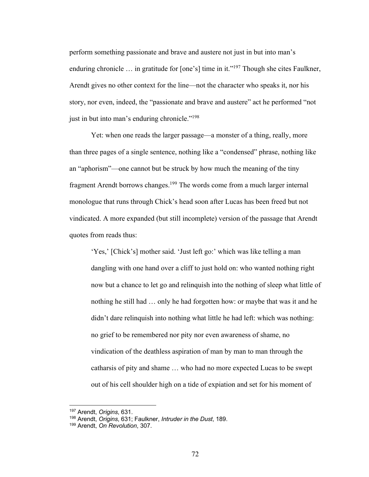perform something passionate and brave and austere not just in but into man's enduring chronicle ... in gratitude for [one's] time in it."<sup>197</sup> Though she cites Faulkner, Arendt gives no other context for the line—not the character who speaks it, nor his story, nor even, indeed, the "passionate and brave and austere" act he performed "not just in but into man's enduring chronicle."198

Yet: when one reads the larger passage—a monster of a thing, really, more than three pages of a single sentence, nothing like a "condensed" phrase, nothing like an "aphorism"—one cannot but be struck by how much the meaning of the tiny fragment Arendt borrows changes.199 The words come from a much larger internal monologue that runs through Chick's head soon after Lucas has been freed but not vindicated. A more expanded (but still incomplete) version of the passage that Arendt quotes from reads thus:

'Yes,' [Chick's] mother said. 'Just left go:' which was like telling a man dangling with one hand over a cliff to just hold on: who wanted nothing right now but a chance to let go and relinquish into the nothing of sleep what little of nothing he still had … only he had forgotten how: or maybe that was it and he didn't dare relinquish into nothing what little he had left: which was nothing: no grief to be remembered nor pity nor even awareness of shame, no vindication of the deathless aspiration of man by man to man through the catharsis of pity and shame … who had no more expected Lucas to be swept out of his cell shoulder high on a tide of expiation and set for his moment of

<sup>197</sup> Arendt, *Origins*, 631.

<sup>198</sup> Arendt, *Origins*, 631; Faulkner, *Intruder in the Dust*, 189.

<sup>199</sup> Arendt, *On Revolution*, 307.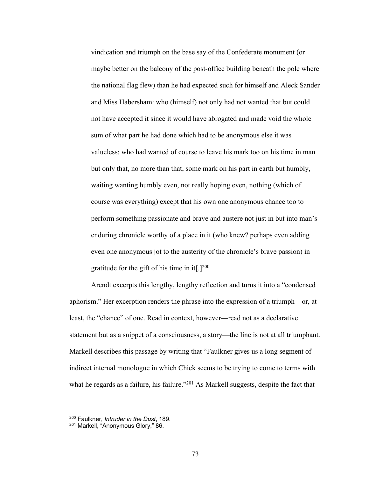vindication and triumph on the base say of the Confederate monument (or maybe better on the balcony of the post-office building beneath the pole where the national flag flew) than he had expected such for himself and Aleck Sander and Miss Habersham: who (himself) not only had not wanted that but could not have accepted it since it would have abrogated and made void the whole sum of what part he had done which had to be anonymous else it was valueless: who had wanted of course to leave his mark too on his time in man but only that, no more than that, some mark on his part in earth but humbly, waiting wanting humbly even, not really hoping even, nothing (which of course was everything) except that his own one anonymous chance too to perform something passionate and brave and austere not just in but into man's enduring chronicle worthy of a place in it (who knew? perhaps even adding even one anonymous jot to the austerity of the chronicle's brave passion) in gratitude for the gift of his time in it[.] $^{200}$ 

Arendt excerpts this lengthy, lengthy reflection and turns it into a "condensed aphorism." Her excerption renders the phrase into the expression of a triumph—or, at least, the "chance" of one. Read in context, however—read not as a declarative statement but as a snippet of a consciousness, a story—the line is not at all triumphant. Markell describes this passage by writing that "Faulkner gives us a long segment of indirect internal monologue in which Chick seems to be trying to come to terms with what he regards as a failure, his failure."<sup>201</sup> As Markell suggests, despite the fact that

<sup>200</sup> Faulkner, *Intruder in the Dust*, 189.

<sup>201</sup> Markell, "Anonymous Glory," 86.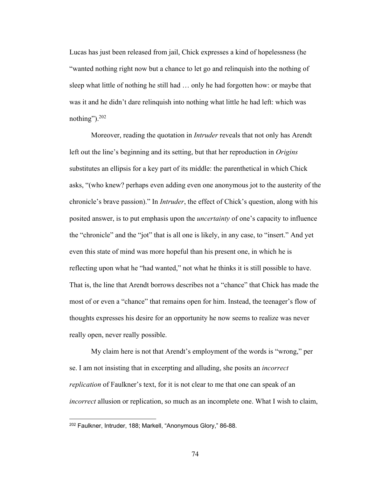Lucas has just been released from jail, Chick expresses a kind of hopelessness (he "wanted nothing right now but a chance to let go and relinquish into the nothing of sleep what little of nothing he still had … only he had forgotten how: or maybe that was it and he didn't dare relinquish into nothing what little he had left: which was nothing"). $202$ 

Moreover, reading the quotation in *Intruder* reveals that not only has Arendt left out the line's beginning and its setting, but that her reproduction in *Origins*  substitutes an ellipsis for a key part of its middle: the parenthetical in which Chick asks, "(who knew? perhaps even adding even one anonymous jot to the austerity of the chronicle's brave passion)." In *Intruder*, the effect of Chick's question, along with his posited answer, is to put emphasis upon the *uncertainty* of one's capacity to influence the "chronicle" and the "jot" that is all one is likely, in any case, to "insert." And yet even this state of mind was more hopeful than his present one, in which he is reflecting upon what he "had wanted," not what he thinks it is still possible to have. That is, the line that Arendt borrows describes not a "chance" that Chick has made the most of or even a "chance" that remains open for him. Instead, the teenager's flow of thoughts expresses his desire for an opportunity he now seems to realize was never really open, never really possible.

My claim here is not that Arendt's employment of the words is "wrong," per se. I am not insisting that in excerpting and alluding, she posits an *incorrect replication* of Faulkner's text, for it is not clear to me that one can speak of an *incorrect* allusion or replication, so much as an incomplete one. What I wish to claim,

<sup>202</sup> Faulkner, Intruder, 188; Markell, "Anonymous Glory," 86-88.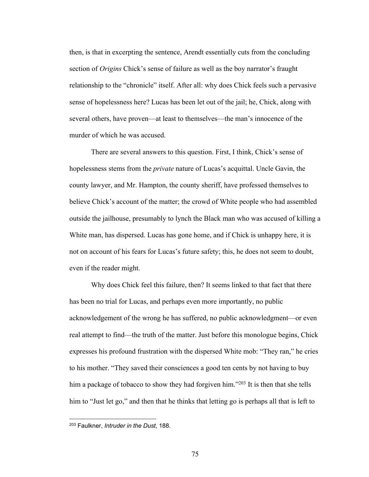then, is that in excerpting the sentence, Arendt essentially cuts from the concluding section of *Origins* Chick's sense of failure as well as the boy narrator's fraught relationship to the "chronicle" itself. After all: why does Chick feels such a pervasive sense of hopelessness here? Lucas has been let out of the jail; he, Chick, along with several others, have proven—at least to themselves—the man's innocence of the murder of which he was accused.

There are several answers to this question. First, I think, Chick's sense of hopelessness stems from the *private* nature of Lucas's acquittal. Uncle Gavin, the county lawyer, and Mr. Hampton, the county sheriff, have professed themselves to believe Chick's account of the matter; the crowd of White people who had assembled outside the jailhouse, presumably to lynch the Black man who was accused of killing a White man, has dispersed. Lucas has gone home, and if Chick is unhappy here, it is not on account of his fears for Lucas's future safety; this, he does not seem to doubt, even if the reader might.

Why does Chick feel this failure, then? It seems linked to that fact that there has been no trial for Lucas, and perhaps even more importantly, no public acknowledgement of the wrong he has suffered, no public acknowledgment—or even real attempt to find—the truth of the matter. Just before this monologue begins, Chick expresses his profound frustration with the dispersed White mob: "They ran," he cries to his mother. "They saved their consciences a good ten cents by not having to buy him a package of tobacco to show they had forgiven him."<sup>203</sup> It is then that she tells him to "Just let go," and then that he thinks that letting go is perhaps all that is left to

<sup>203</sup> Faulkner, *Intruder in the Dust*, 188.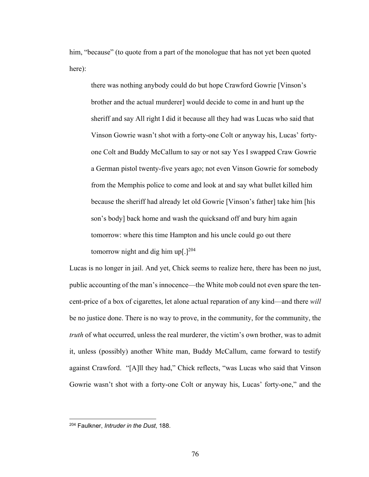him, "because" (to quote from a part of the monologue that has not yet been quoted here):

there was nothing anybody could do but hope Crawford Gowrie [Vinson's brother and the actual murderer] would decide to come in and hunt up the sheriff and say All right I did it because all they had was Lucas who said that Vinson Gowrie wasn't shot with a forty-one Colt or anyway his, Lucas' fortyone Colt and Buddy McCallum to say or not say Yes I swapped Craw Gowrie a German pistol twenty-five years ago; not even Vinson Gowrie for somebody from the Memphis police to come and look at and say what bullet killed him because the sheriff had already let old Gowrie [Vinson's father] take him [his son's body] back home and wash the quicksand off and bury him again tomorrow: where this time Hampton and his uncle could go out there tomorrow night and dig him up[.] $^{204}$ 

Lucas is no longer in jail. And yet, Chick seems to realize here, there has been no just, public accounting of the man's innocence—the White mob could not even spare the tencent-price of a box of cigarettes, let alone actual reparation of any kind—and there *will*  be no justice done. There is no way to prove, in the community, for the community, the *truth* of what occurred, unless the real murderer, the victim's own brother, was to admit it, unless (possibly) another White man, Buddy McCallum, came forward to testify against Crawford. "[A]ll they had," Chick reflects, "was Lucas who said that Vinson Gowrie wasn't shot with a forty-one Colt or anyway his, Lucas' forty-one," and the

<sup>204</sup> Faulkner, *Intruder in the Dust*, 188.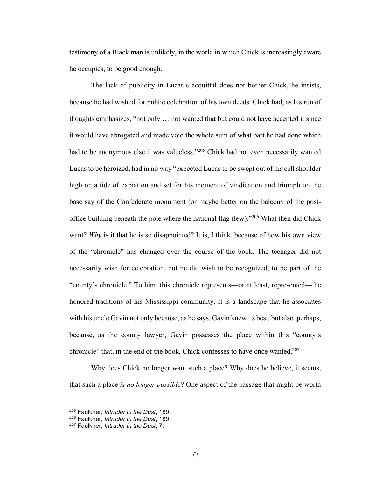testimony of a Black man is unlikely, in the world in which Chick is increasingly aware he occupies, to be good enough.

The lack of publicity in Lucas's acquittal does not bother Chick, he insists, because he had wished for public celebration of his own deeds. Chick had, as his run of thoughts emphasizes, "not only … not wanted that but could not have accepted it since it would have abrogated and made void the whole sum of what part he had done which had to be anonymous else it was valueless."205 Chick had not even necessarily wanted Lucas to be heroized, had in no way "expected Lucas to be swept out of his cell shoulder high on a tide of expiation and set for his moment of vindication and triumph on the base say of the Confederate monument (or maybe better on the balcony of the postoffice building beneath the pole where the national flag flew)."206 What then did Chick want? Why is it that he is so disappointed? It is, I think, because of how his own view of the "chronicle" has changed over the course of the book. The teenager did not necessarily wish for celebration, but he did wish to be recognized, to be part of the "county's chronicle." To him, this chronicle represents—or at least, represented—the honored traditions of his Mississippi community. It is a landscape that he associates with his uncle Gavin not only because, as he says, Gavin knew its best, but also, perhaps, because, as the county lawyer, Gavin possesses the place within this "county's chronicle" that, in the end of the book, Chick confesses to have once wanted.207

Why does Chick no longer want such a place? Why does he believe, it seems, that such a place *is no longer possible*? One aspect of the passage that might be worth

<sup>205</sup> Faulkner, *Intruder in the Dust*, 189.

<sup>206</sup> Faulkner, *Intruder in the Dust*, 189.

<sup>207</sup> Faulkner, *Intruder in the Dust*, 7.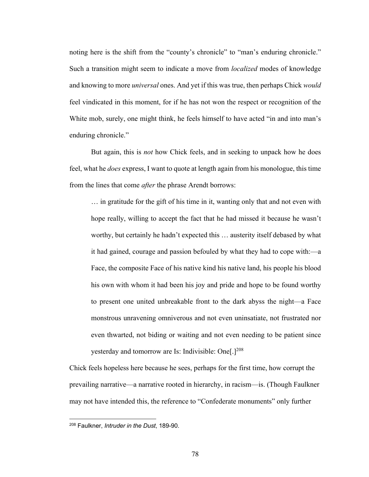noting here is the shift from the "county's chronicle" to "man's enduring chronicle." Such a transition might seem to indicate a move from *localized* modes of knowledge and knowing to more *universal* ones. And yet if this was true, then perhaps Chick *would* feel vindicated in this moment, for if he has not won the respect or recognition of the White mob, surely, one might think, he feels himself to have acted "in and into man's enduring chronicle."

But again, this is *not* how Chick feels, and in seeking to unpack how he does feel, what he *does* express, I want to quote at length again from his monologue, this time from the lines that come *after* the phrase Arendt borrows:

… in gratitude for the gift of his time in it, wanting only that and not even with hope really, willing to accept the fact that he had missed it because he wasn't worthy, but certainly he hadn't expected this … austerity itself debased by what it had gained, courage and passion befouled by what they had to cope with:—a Face, the composite Face of his native kind his native land, his people his blood his own with whom it had been his joy and pride and hope to be found worthy to present one united unbreakable front to the dark abyss the night—a Face monstrous unravening omniverous and not even uninsatiate, not frustrated nor even thwarted, not biding or waiting and not even needing to be patient since yesterday and tomorrow are Is: Indivisible: One $[.]^{208}$ 

Chick feels hopeless here because he sees, perhaps for the first time, how corrupt the prevailing narrative—a narrative rooted in hierarchy, in racism—is. (Though Faulkner may not have intended this, the reference to "Confederate monuments" only further

<sup>208</sup> Faulkner, *Intruder in the Dust*, 189-90.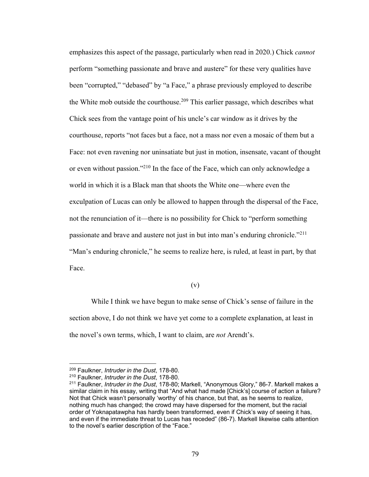emphasizes this aspect of the passage, particularly when read in 2020.) Chick *cannot*  perform "something passionate and brave and austere" for these very qualities have been "corrupted," "debased" by "a Face," a phrase previously employed to describe the White mob outside the courthouse.<sup>209</sup> This earlier passage, which describes what Chick sees from the vantage point of his uncle's car window as it drives by the courthouse, reports "not faces but a face, not a mass nor even a mosaic of them but a Face: not even ravening nor uninsatiate but just in motion, insensate, vacant of thought or even without passion."210 In the face of the Face, which can only acknowledge a world in which it is a Black man that shoots the White one—where even the exculpation of Lucas can only be allowed to happen through the dispersal of the Face, not the renunciation of it—there is no possibility for Chick to "perform something passionate and brave and austere not just in but into man's enduring chronicle."211 "Man's enduring chronicle," he seems to realize here, is ruled, at least in part, by that Face.

# (v)

While I think we have begun to make sense of Chick's sense of failure in the section above, I do not think we have yet come to a complete explanation, at least in the novel's own terms, which, I want to claim, are *not* Arendt's.

<sup>209</sup> Faulkner, *Intruder in the Dust*, 178-80.

<sup>210</sup> Faulkner, *Intruder in the Dust*, 178-80.

<sup>211</sup> Faulkner, *Intruder in the Dust*, 178-80; Markell, "Anonymous Glory," 86-7. Markell makes a similar claim in his essay, writing that "And what had made [Chick's] course of action a failure? Not that Chick wasn't personally 'worthy' of his chance, but that, as he seems to realize, nothing much has changed; the crowd may have dispersed for the moment, but the racial order of Yoknapatawpha has hardly been transformed, even if Chick's way of seeing it has, and even if the immediate threat to Lucas has receded" (86-7). Markell likewise calls attention to the novel's earlier description of the "Face."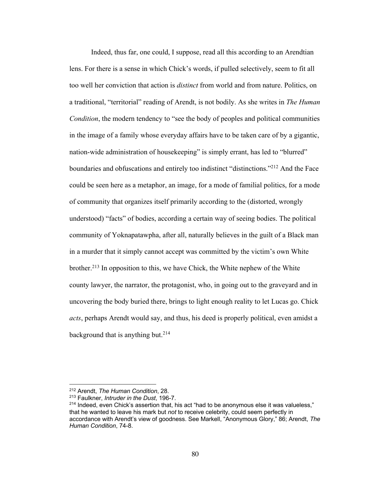Indeed, thus far, one could, I suppose, read all this according to an Arendtian lens. For there is a sense in which Chick's words, if pulled selectively, seem to fit all too well her conviction that action is *distinct* from world and from nature. Politics, on a traditional, "territorial" reading of Arendt, is not bodily. As she writes in *The Human Condition*, the modern tendency to "see the body of peoples and political communities in the image of a family whose everyday affairs have to be taken care of by a gigantic, nation-wide administration of housekeeping" is simply errant, has led to "blurred" boundaries and obfuscations and entirely too indistinct "distinctions."212 And the Face could be seen here as a metaphor, an image, for a mode of familial politics, for a mode of community that organizes itself primarily according to the (distorted, wrongly understood) "facts" of bodies, according a certain way of seeing bodies. The political community of Yoknapatawpha, after all, naturally believes in the guilt of a Black man in a murder that it simply cannot accept was committed by the victim's own White brother.213 In opposition to this, we have Chick, the White nephew of the White county lawyer, the narrator, the protagonist, who, in going out to the graveyard and in uncovering the body buried there, brings to light enough reality to let Lucas go. Chick *acts*, perhaps Arendt would say, and thus, his deed is properly political, even amidst a background that is anything but.<sup>214</sup>

<sup>212</sup> Arendt, *The Human Condition*, 28.

<sup>213</sup> Faulkner, *Intruder in the Dust*, 196-7.

 $214$  Indeed, even Chick's assertion that, his act "had to be anonymous else it was valueless," that he wanted to leave his mark but *not* to receive celebrity, could seem perfectly in accordance with Arendt's view of goodness. See Markell, "Anonymous Glory," 86; Arendt, *The Human Condition*, 74-8.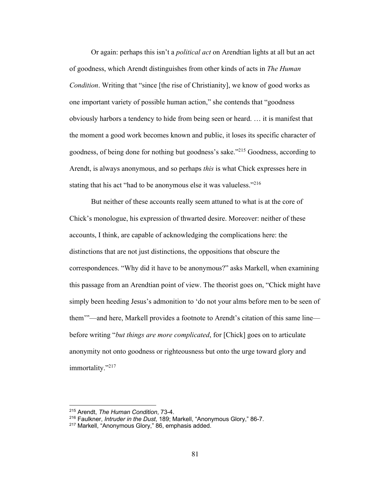Or again: perhaps this isn't a *political act* on Arendtian lights at all but an act of goodness, which Arendt distinguishes from other kinds of acts in *The Human Condition*. Writing that "since [the rise of Christianity], we know of good works as one important variety of possible human action," she contends that "goodness obviously harbors a tendency to hide from being seen or heard. … it is manifest that the moment a good work becomes known and public, it loses its specific character of goodness, of being done for nothing but goodness's sake."215 Goodness, according to Arendt, is always anonymous, and so perhaps *this* is what Chick expresses here in stating that his act "had to be anonymous else it was valueless."<sup>216</sup>

But neither of these accounts really seem attuned to what is at the core of Chick's monologue, his expression of thwarted desire. Moreover: neither of these accounts, I think, are capable of acknowledging the complications here: the distinctions that are not just distinctions, the oppositions that obscure the correspondences. "Why did it have to be anonymous?" asks Markell, when examining this passage from an Arendtian point of view. The theorist goes on, "Chick might have simply been heeding Jesus's admonition to 'do not your alms before men to be seen of them'"—and here, Markell provides a footnote to Arendt's citation of this same line before writing "*but things are more complicated*, for [Chick] goes on to articulate anonymity not onto goodness or righteousness but onto the urge toward glory and immortality."<sup>217</sup>

<sup>215</sup> Arendt, *The Human Condition*, 73-4.

<sup>216</sup> Faulkner, *Intruder in the Dust*, 189; Markell, "Anonymous Glory," 86-7.

<sup>217</sup> Markell, "Anonymous Glory," 86, emphasis added.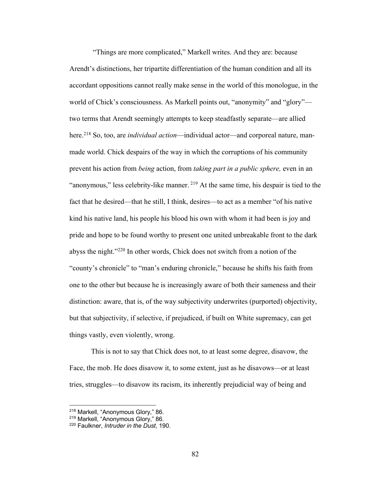"Things are more complicated," Markell writes. And they are: because Arendt's distinctions, her tripartite differentiation of the human condition and all its accordant oppositions cannot really make sense in the world of this monologue, in the world of Chick's consciousness. As Markell points out, "anonymity" and "glory" two terms that Arendt seemingly attempts to keep steadfastly separate—are allied here.<sup>218</sup> So, too, are *individual action*—individual actor—and corporeal nature, manmade world. Chick despairs of the way in which the corruptions of his community prevent his action from *being* action, from *taking part in a public sphere,* even in an "anonymous," less celebrity-like manner.<sup>219</sup> At the same time, his despair is tied to the fact that he desired—that he still, I think, desires—to act as a member "of his native kind his native land, his people his blood his own with whom it had been is joy and pride and hope to be found worthy to present one united unbreakable front to the dark abyss the night."220 In other words, Chick does not switch from a notion of the "county's chronicle" to "man's enduring chronicle," because he shifts his faith from one to the other but because he is increasingly aware of both their sameness and their distinction: aware, that is, of the way subjectivity underwrites (purported) objectivity, but that subjectivity, if selective, if prejudiced, if built on White supremacy, can get things vastly, even violently, wrong.

This is not to say that Chick does not, to at least some degree, disavow, the Face, the mob. He does disavow it, to some extent, just as he disavows—or at least tries, struggles—to disavow its racism, its inherently prejudicial way of being and

<sup>218</sup> Markell, "Anonymous Glory," 86.

<sup>219</sup> Markell, "Anonymous Glory," 86.

<sup>220</sup> Faulkner, *Intruder in the Dust*, 190.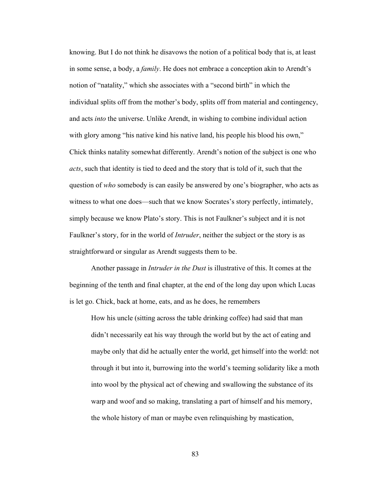knowing. But I do not think he disavows the notion of a political body that is, at least in some sense, a body, a *family*. He does not embrace a conception akin to Arendt's notion of "natality," which she associates with a "second birth" in which the individual splits off from the mother's body, splits off from material and contingency, and acts *into* the universe. Unlike Arendt, in wishing to combine individual action with glory among "his native kind his native land, his people his blood his own," Chick thinks natality somewhat differently. Arendt's notion of the subject is one who *acts*, such that identity is tied to deed and the story that is told of it, such that the question of *who* somebody is can easily be answered by one's biographer, who acts as witness to what one does—such that we know Socrates's story perfectly, intimately, simply because we know Plato's story. This is not Faulkner's subject and it is not Faulkner's story, for in the world of *Intruder*, neither the subject or the story is as straightforward or singular as Arendt suggests them to be.

Another passage in *Intruder in the Dust* is illustrative of this. It comes at the beginning of the tenth and final chapter, at the end of the long day upon which Lucas is let go. Chick, back at home, eats, and as he does, he remembers

How his uncle (sitting across the table drinking coffee) had said that man didn't necessarily eat his way through the world but by the act of eating and maybe only that did he actually enter the world, get himself into the world: not through it but into it, burrowing into the world's teeming solidarity like a moth into wool by the physical act of chewing and swallowing the substance of its warp and woof and so making, translating a part of himself and his memory, the whole history of man or maybe even relinquishing by mastication,

83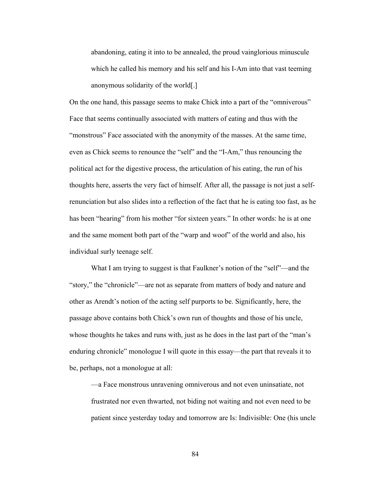abandoning, eating it into to be annealed, the proud vainglorious minuscule which he called his memory and his self and his I-Am into that vast teeming anonymous solidarity of the world[.]

On the one hand, this passage seems to make Chick into a part of the "omniverous" Face that seems continually associated with matters of eating and thus with the "monstrous" Face associated with the anonymity of the masses. At the same time, even as Chick seems to renounce the "self" and the "I-Am," thus renouncing the political act for the digestive process, the articulation of his eating, the run of his thoughts here, asserts the very fact of himself. After all, the passage is not just a selfrenunciation but also slides into a reflection of the fact that he is eating too fast, as he has been "hearing" from his mother "for sixteen years." In other words: he is at one and the same moment both part of the "warp and woof" of the world and also, his individual surly teenage self.

What I am trying to suggest is that Faulkner's notion of the "self"—and the "story," the "chronicle"—are not as separate from matters of body and nature and other as Arendt's notion of the acting self purports to be. Significantly, here, the passage above contains both Chick's own run of thoughts and those of his uncle, whose thoughts he takes and runs with, just as he does in the last part of the "man's enduring chronicle" monologue I will quote in this essay—the part that reveals it to be, perhaps, not a monologue at all:

—a Face monstrous unravening omniverous and not even uninsatiate, not frustrated nor even thwarted, not biding not waiting and not even need to be patient since yesterday today and tomorrow are Is: Indivisible: One (his uncle

84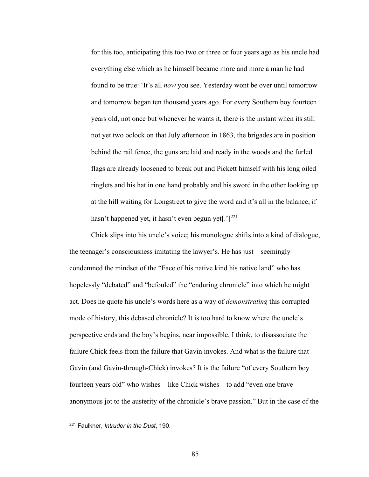for this too, anticipating this too two or three or four years ago as his uncle had everything else which as he himself became more and more a man he had found to be true: 'It's all *now* you see. Yesterday wont be over until tomorrow and tomorrow began ten thousand years ago. For every Southern boy fourteen years old, not once but whenever he wants it, there is the instant when its still not yet two oclock on that July afternoon in 1863, the brigades are in position behind the rail fence, the guns are laid and ready in the woods and the furled flags are already loosened to break out and Pickett himself with his long oiled ringlets and his hat in one hand probably and his sword in the other looking up at the hill waiting for Longstreet to give the word and it's all in the balance, if hasn't happened yet, it hasn't even begun yet[.' $]^{221}$ 

Chick slips into his uncle's voice; his monologue shifts into a kind of dialogue, the teenager's consciousness imitating the lawyer's. He has just—seemingly condemned the mindset of the "Face of his native kind his native land" who has hopelessly "debated" and "befouled" the "enduring chronicle" into which he might act. Does he quote his uncle's words here as a way of *demonstrating* this corrupted mode of history, this debased chronicle? It is too hard to know where the uncle's perspective ends and the boy's begins, near impossible, I think, to disassociate the failure Chick feels from the failure that Gavin invokes. And what is the failure that Gavin (and Gavin-through-Chick) invokes? It is the failure "of every Southern boy fourteen years old" who wishes—like Chick wishes—to add "even one brave anonymous jot to the austerity of the chronicle's brave passion." But in the case of the

<sup>221</sup> Faulkner, *Intruder in the Dust*, 190.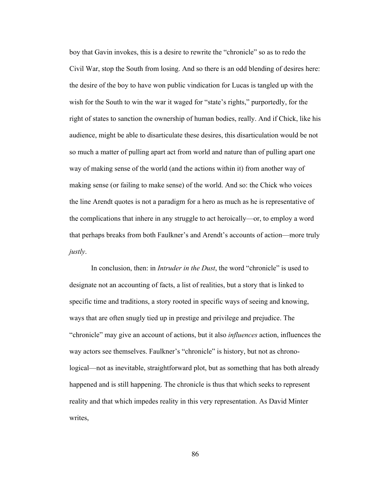boy that Gavin invokes, this is a desire to rewrite the "chronicle" so as to redo the Civil War, stop the South from losing. And so there is an odd blending of desires here: the desire of the boy to have won public vindication for Lucas is tangled up with the wish for the South to win the war it waged for "state's rights," purportedly, for the right of states to sanction the ownership of human bodies, really. And if Chick, like his audience, might be able to disarticulate these desires, this disarticulation would be not so much a matter of pulling apart act from world and nature than of pulling apart one way of making sense of the world (and the actions within it) from another way of making sense (or failing to make sense) of the world. And so: the Chick who voices the line Arendt quotes is not a paradigm for a hero as much as he is representative of the complications that inhere in any struggle to act heroically—or, to employ a word that perhaps breaks from both Faulkner's and Arendt's accounts of action—more truly *justly*.

In conclusion, then: in *Intruder in the Dust*, the word "chronicle" is used to designate not an accounting of facts, a list of realities, but a story that is linked to specific time and traditions, a story rooted in specific ways of seeing and knowing, ways that are often snugly tied up in prestige and privilege and prejudice. The "chronicle" may give an account of actions, but it also *influences* action, influences the way actors see themselves. Faulkner's "chronicle" is history, but not as chronological—not as inevitable, straightforward plot, but as something that has both already happened and is still happening. The chronicle is thus that which seeks to represent reality and that which impedes reality in this very representation. As David Minter writes,

86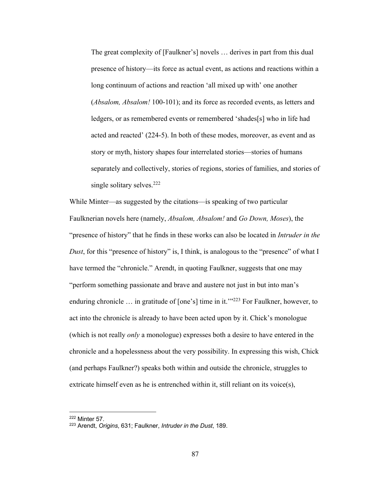The great complexity of [Faulkner's] novels … derives in part from this dual presence of history—its force as actual event, as actions and reactions within a long continuum of actions and reaction 'all mixed up with' one another (*Absalom, Absalom!* 100-101); and its force as recorded events, as letters and ledgers, or as remembered events or remembered 'shades[s] who in life had acted and reacted' (224-5). In both of these modes, moreover, as event and as story or myth, history shapes four interrelated stories—stories of humans separately and collectively, stories of regions, stories of families, and stories of single solitary selves.<sup>222</sup>

While Minter—as suggested by the citations—is speaking of two particular Faulknerian novels here (namely, *Absalom, Absalom!* and *Go Down, Moses*), the "presence of history" that he finds in these works can also be located in *Intruder in the Dust*, for this "presence of history" is, I think, is analogous to the "presence" of what I have termed the "chronicle." Arendt, in quoting Faulkner, suggests that one may "perform something passionate and brave and austere not just in but into man's enduring chronicle ... in gratitude of [one's] time in it."<sup>223</sup> For Faulkner, however, to act into the chronicle is already to have been acted upon by it. Chick's monologue (which is not really *only* a monologue) expresses both a desire to have entered in the chronicle and a hopelessness about the very possibility. In expressing this wish, Chick (and perhaps Faulkner?) speaks both within and outside the chronicle, struggles to extricate himself even as he is entrenched within it, still reliant on its voice(s),

<sup>222</sup> Minter 57.

<sup>223</sup> Arendt, *Origins*, 631; Faulkner, *Intruder in the Dust*, 189.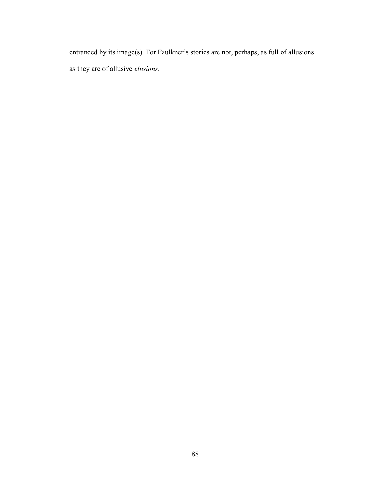entranced by its image(s). For Faulkner's stories are not, perhaps, as full of allusions as they are of allusive *elusions*.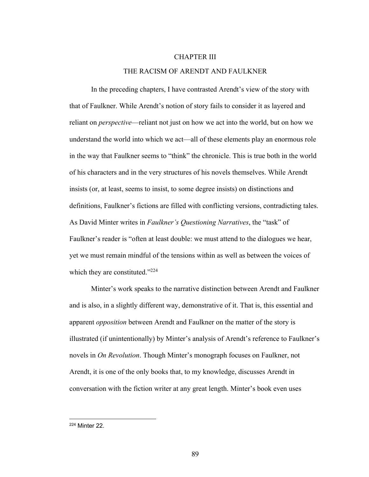## CHAPTER III

# THE RACISM OF ARENDT AND FAULKNER

In the preceding chapters, I have contrasted Arendt's view of the story with that of Faulkner. While Arendt's notion of story fails to consider it as layered and reliant on *perspective*—reliant not just on how we act into the world, but on how we understand the world into which we act—all of these elements play an enormous role in the way that Faulkner seems to "think" the chronicle. This is true both in the world of his characters and in the very structures of his novels themselves. While Arendt insists (or, at least, seems to insist, to some degree insists) on distinctions and definitions, Faulkner's fictions are filled with conflicting versions, contradicting tales. As David Minter writes in *Faulkner's Questioning Narratives*, the "task" of Faulkner's reader is "often at least double: we must attend to the dialogues we hear, yet we must remain mindful of the tensions within as well as between the voices of which they are constituted."<sup>224</sup>

Minter's work speaks to the narrative distinction between Arendt and Faulkner and is also, in a slightly different way, demonstrative of it. That is, this essential and apparent *opposition* between Arendt and Faulkner on the matter of the story is illustrated (if unintentionally) by Minter's analysis of Arendt's reference to Faulkner's novels in *On Revolution*. Though Minter's monograph focuses on Faulkner, not Arendt, it is one of the only books that, to my knowledge, discusses Arendt in conversation with the fiction writer at any great length. Minter's book even uses

<sup>224</sup> Minter 22.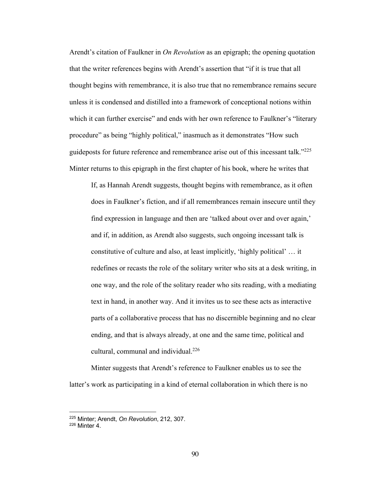Arendt's citation of Faulkner in *On Revolution* as an epigraph; the opening quotation that the writer references begins with Arendt's assertion that "if it is true that all thought begins with remembrance, it is also true that no remembrance remains secure unless it is condensed and distilled into a framework of conceptional notions within which it can further exercise" and ends with her own reference to Faulkner's "literary procedure" as being "highly political," inasmuch as it demonstrates "How such guideposts for future reference and remembrance arise out of this incessant talk."225 Minter returns to this epigraph in the first chapter of his book, where he writes that

If, as Hannah Arendt suggests, thought begins with remembrance, as it often does in Faulkner's fiction, and if all remembrances remain insecure until they find expression in language and then are 'talked about over and over again,' and if, in addition, as Arendt also suggests, such ongoing incessant talk is constitutive of culture and also, at least implicitly, 'highly political' … it redefines or recasts the role of the solitary writer who sits at a desk writing, in one way, and the role of the solitary reader who sits reading, with a mediating text in hand, in another way. And it invites us to see these acts as interactive parts of a collaborative process that has no discernible beginning and no clear ending, and that is always already, at one and the same time, political and cultural, communal and individual.226

Minter suggests that Arendt's reference to Faulkner enables us to see the latter's work as participating in a kind of eternal collaboration in which there is no

<sup>225</sup> Minter; Arendt, *On Revolution*, 212, 307.

<sup>226</sup> Minter 4.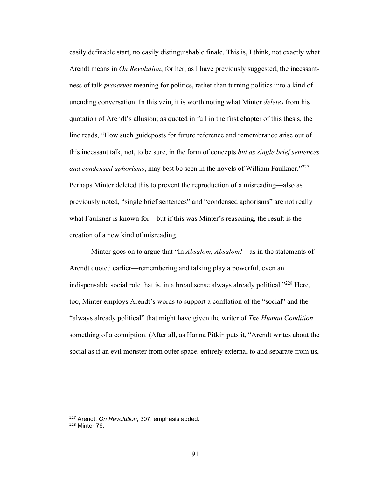easily definable start, no easily distinguishable finale. This is, I think, not exactly what Arendt means in *On Revolution*; for her, as I have previously suggested, the incessantness of talk *preserves* meaning for politics, rather than turning politics into a kind of unending conversation. In this vein, it is worth noting what Minter *deletes* from his quotation of Arendt's allusion; as quoted in full in the first chapter of this thesis, the line reads, "How such guideposts for future reference and remembrance arise out of this incessant talk, not, to be sure, in the form of concepts *but as single brief sentences and condensed aphorisms*, may best be seen in the novels of William Faulkner."227 Perhaps Minter deleted this to prevent the reproduction of a misreading—also as previously noted, "single brief sentences" and "condensed aphorisms" are not really what Faulkner is known for—but if this was Minter's reasoning, the result is the creation of a new kind of misreading.

Minter goes on to argue that "In *Absalom, Absalom!*—as in the statements of Arendt quoted earlier—remembering and talking play a powerful, even an indispensable social role that is, in a broad sense always already political."228 Here, too, Minter employs Arendt's words to support a conflation of the "social" and the "always already political" that might have given the writer of *The Human Condition* something of a conniption. (After all, as Hanna Pitkin puts it, "Arendt writes about the social as if an evil monster from outer space, entirely external to and separate from us,

<sup>227</sup> Arendt, *On Revolution*, 307, emphasis added.

<sup>228</sup> Minter 76.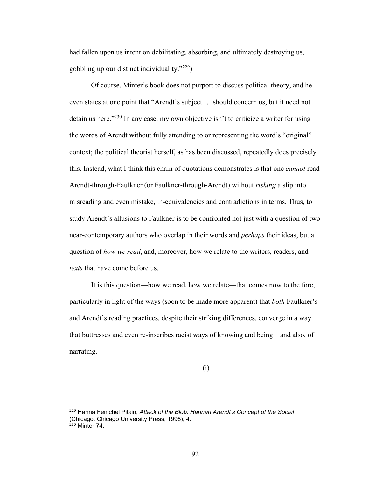had fallen upon us intent on debilitating, absorbing, and ultimately destroying us, gobbling up our distinct individuality."229)

Of course, Minter's book does not purport to discuss political theory, and he even states at one point that "Arendt's subject … should concern us, but it need not detain us here."230 In any case, my own objective isn't to criticize a writer for using the words of Arendt without fully attending to or representing the word's "original" context; the political theorist herself, as has been discussed, repeatedly does precisely this. Instead, what I think this chain of quotations demonstrates is that one *cannot* read Arendt-through-Faulkner (or Faulkner-through-Arendt) without *risking* a slip into misreading and even mistake, in-equivalencies and contradictions in terms. Thus, to study Arendt's allusions to Faulkner is to be confronted not just with a question of two near-contemporary authors who overlap in their words and *perhaps* their ideas, but a question of *how we read*, and, moreover, how we relate to the writers, readers, and *texts* that have come before us.

It is this question—how we read, how we relate—that comes now to the fore, particularly in light of the ways (soon to be made more apparent) that *both* Faulkner's and Arendt's reading practices, despite their striking differences, converge in a way that buttresses and even re-inscribes racist ways of knowing and being—and also, of narrating.

(i)

<sup>229</sup> Hanna Fenichel Pitkin, *Attack of the Blob: Hannah Arendt's Concept of the Social* (Chicago: Chicago University Press, 1998), 4.  $230$  Minter 74.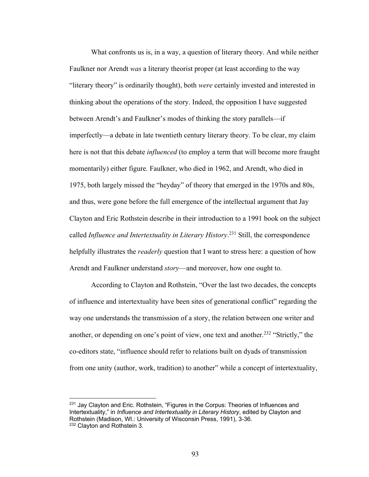What confronts us is, in a way, a question of literary theory. And while neither Faulkner nor Arendt *was* a literary theorist proper (at least according to the way "literary theory" is ordinarily thought), both *were* certainly invested and interested in thinking about the operations of the story. Indeed, the opposition I have suggested between Arendt's and Faulkner's modes of thinking the story parallels—if imperfectly—a debate in late twentieth century literary theory. To be clear, my claim here is not that this debate *influenced* (to employ a term that will become more fraught momentarily) either figure. Faulkner, who died in 1962, and Arendt, who died in 1975, both largely missed the "heyday" of theory that emerged in the 1970s and 80s, and thus, were gone before the full emergence of the intellectual argument that Jay Clayton and Eric Rothstein describe in their introduction to a 1991 book on the subject called *Influence and Intertextuality in Literary History*. <sup>231</sup> Still, the correspondence helpfully illustrates the *readerly* question that I want to stress here: a question of how Arendt and Faulkner understand *story*—and moreover, how one ought to.

According to Clayton and Rothstein, "Over the last two decades, the concepts of influence and intertextuality have been sites of generational conflict" regarding the way one understands the transmission of a story, the relation between one writer and another, or depending on one's point of view, one text and another.232 "Strictly," the co-editors state, "influence should refer to relations built on dyads of transmission from one unity (author, work, tradition) to another" while a concept of intertextuality,

<sup>&</sup>lt;sup>231</sup> Jay Clayton and Eric. Rothstein, "Figures in the Corpus: Theories of Influences and Intertextuality," in *Influence and Intertextuality in Literary History*, edited by Clayton and Rothstein (Madison, WI.: University of Wisconsin Press, 1991), 3-36. <sup>232</sup> Clayton and Rothstein 3.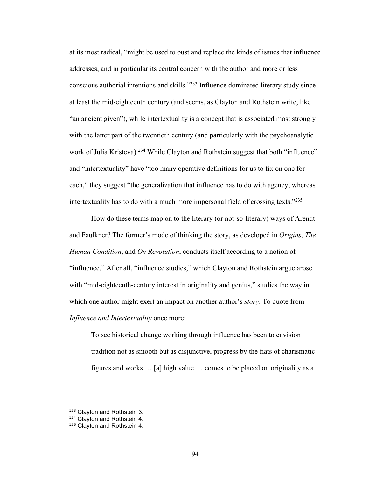at its most radical, "might be used to oust and replace the kinds of issues that influence addresses, and in particular its central concern with the author and more or less conscious authorial intentions and skills."233 Influence dominated literary study since at least the mid-eighteenth century (and seems, as Clayton and Rothstein write, like "an ancient given"), while intertextuality is a concept that is associated most strongly with the latter part of the twentieth century (and particularly with the psychoanalytic work of Julia Kristeva).<sup>234</sup> While Clayton and Rothstein suggest that both "influence" and "intertextuality" have "too many operative definitions for us to fix on one for each," they suggest "the generalization that influence has to do with agency, whereas intertextuality has to do with a much more impersonal field of crossing texts."235

How do these terms map on to the literary (or not-so-literary) ways of Arendt and Faulkner? The former's mode of thinking the story, as developed in *Origins*, *The Human Condition*, and *On Revolution*, conducts itself according to a notion of "influence." After all, "influence studies," which Clayton and Rothstein argue arose with "mid-eighteenth-century interest in originality and genius," studies the way in which one author might exert an impact on another author's *story*. To quote from *Influence and Intertextuality* once more:

To see historical change working through influence has been to envision tradition not as smooth but as disjunctive, progress by the fiats of charismatic figures and works … [a] high value … comes to be placed on originality as a

<sup>233</sup> Clayton and Rothstein 3.

<sup>&</sup>lt;sup>234</sup> Clayton and Rothstein 4.

<sup>&</sup>lt;sup>235</sup> Clayton and Rothstein 4.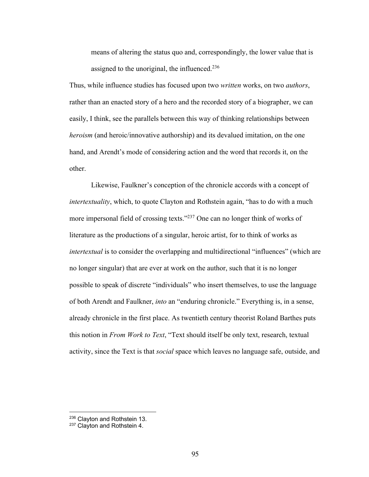means of altering the status quo and, correspondingly, the lower value that is assigned to the unoriginal, the influenced.<sup>236</sup>

Thus, while influence studies has focused upon two *written* works, on two *authors*, rather than an enacted story of a hero and the recorded story of a biographer, we can easily, I think, see the parallels between this way of thinking relationships between *heroism* (and heroic/innovative authorship) and its devalued imitation, on the one hand, and Arendt's mode of considering action and the word that records it, on the other.

Likewise, Faulkner's conception of the chronicle accords with a concept of *intertextuality*, which, to quote Clayton and Rothstein again, "has to do with a much more impersonal field of crossing texts."237 One can no longer think of works of literature as the productions of a singular, heroic artist, for to think of works as *intertextual* is to consider the overlapping and multidirectional "influences" (which are no longer singular) that are ever at work on the author, such that it is no longer possible to speak of discrete "individuals" who insert themselves, to use the language of both Arendt and Faulkner, *into* an "enduring chronicle." Everything is, in a sense, already chronicle in the first place. As twentieth century theorist Roland Barthes puts this notion in *From Work to Text*, "Text should itself be only text, research, textual activity, since the Text is that *social* space which leaves no language safe, outside, and

<sup>236</sup> Clayton and Rothstein 13.

<sup>&</sup>lt;sup>237</sup> Clayton and Rothstein 4.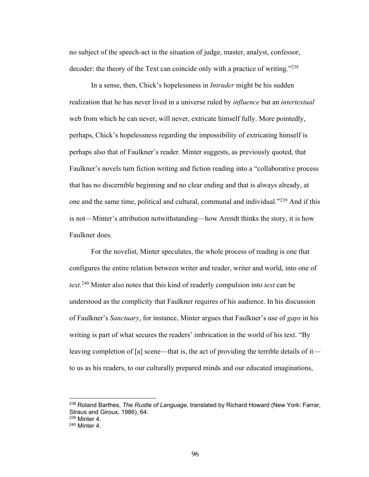no subject of the speech-act in the situation of judge, master, analyst, confessor, decoder: the theory of the Text can coincide only with a practice of writing."<sup>238</sup>

In a sense, then, Chick's hopelessness in *Intruder* might be his sudden realization that he has never lived in a universe ruled by *influence* but an *intertextual*  web from which he can never, will never, extricate himself fully. More pointedly, perhaps, Chick's hopelessness regarding the impossibility of extricating himself is perhaps also that of Faulkner's reader. Minter suggests, as previously quoted, that Faulkner's novels turn fiction writing and fiction reading into a "collaborative process that has no discernible beginning and no clear ending and that is always already, at one and the same time, political and cultural, communal and individual."239 And if this is not—Minter's attribution notwithstanding—how Arendt thinks the story, it is how Faulkner does.

For the novelist, Minter speculates, the whole process of reading is one that configures the entire relation between writer and reader, writer and world, into one of *text*. <sup>240</sup> Minter also notes that this kind of readerly compulsion into *text* can be understood as the complicity that Faulkner requires of his audience. In his discussion of Faulkner's *Sanctuary*, for instance, Minter argues that Faulkner's use of *gaps* in his writing is part of what secures the readers' imbrication in the world of his text. "By leaving completion of [a] scene—that is, the act of providing the terrible details of it to us as his readers, to our culturally prepared minds and our educated imaginations,

<sup>238</sup> Roland Barthes, *The Rustle of Language,* translated by Richard Howard (New York: Farrar, Straus and Giroux, 1986), 64.

<sup>239</sup> Minter 4.

<sup>240</sup> Minter 4.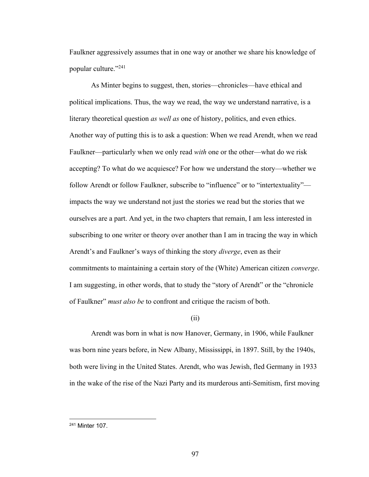Faulkner aggressively assumes that in one way or another we share his knowledge of popular culture."241

As Minter begins to suggest, then, stories—chronicles—have ethical and political implications. Thus, the way we read, the way we understand narrative, is a literary theoretical question *as well as* one of history, politics, and even ethics. Another way of putting this is to ask a question: When we read Arendt, when we read Faulkner—particularly when we only read *with* one or the other—what do we risk accepting? To what do we acquiesce? For how we understand the story—whether we follow Arendt or follow Faulkner, subscribe to "influence" or to "intertextuality" impacts the way we understand not just the stories we read but the stories that we ourselves are a part. And yet, in the two chapters that remain, I am less interested in subscribing to one writer or theory over another than I am in tracing the way in which Arendt's and Faulkner's ways of thinking the story *diverge*, even as their commitments to maintaining a certain story of the (White) American citizen *converge*. I am suggesting, in other words, that to study the "story of Arendt" or the "chronicle of Faulkner" *must also be* to confront and critique the racism of both.

#### (ii)

Arendt was born in what is now Hanover, Germany, in 1906, while Faulkner was born nine years before, in New Albany, Mississippi, in 1897. Still, by the 1940s, both were living in the United States. Arendt, who was Jewish, fled Germany in 1933 in the wake of the rise of the Nazi Party and its murderous anti-Semitism, first moving

<sup>241</sup> Minter 107.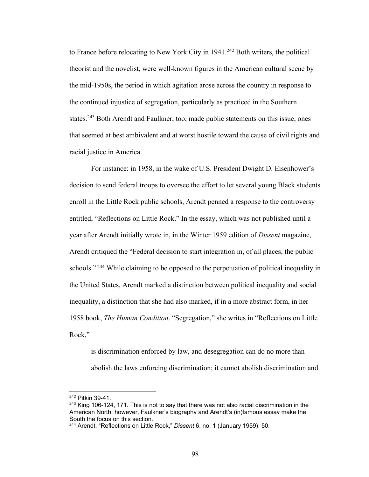to France before relocating to New York City in 1941.<sup>242</sup> Both writers, the political theorist and the novelist, were well-known figures in the American cultural scene by the mid-1950s, the period in which agitation arose across the country in response to the continued injustice of segregation, particularly as practiced in the Southern states.243 Both Arendt and Faulkner, too, made public statements on this issue, ones that seemed at best ambivalent and at worst hostile toward the cause of civil rights and racial justice in America.

For instance: in 1958, in the wake of U.S. President Dwight D. Eisenhower's decision to send federal troops to oversee the effort to let several young Black students enroll in the Little Rock public schools, Arendt penned a response to the controversy entitled, "Reflections on Little Rock." In the essay, which was not published until a year after Arendt initially wrote in, in the Winter 1959 edition of *Dissent* magazine, Arendt critiqued the "Federal decision to start integration in, of all places, the public schools."<sup>244</sup> While claiming to be opposed to the perpetuation of political inequality in the United States, Arendt marked a distinction between political inequality and social inequality, a distinction that she had also marked, if in a more abstract form, in her 1958 book, *The Human Condition*. "Segregation," she writes in "Reflections on Little Rock,"

is discrimination enforced by law, and desegregation can do no more than abolish the laws enforcing discrimination; it cannot abolish discrimination and

<sup>242</sup> Pitkin 39-41.

 $243$  King 106-124, 171. This is not to say that there was not also racial discrimination in the American North; however, Faulkner's biography and Arendt's (in)famous essay make the South the focus on this section.

<sup>244</sup> Arendt, "Reflections on Little Rock," *Dissent* 6, no. 1 (January 1959): 50.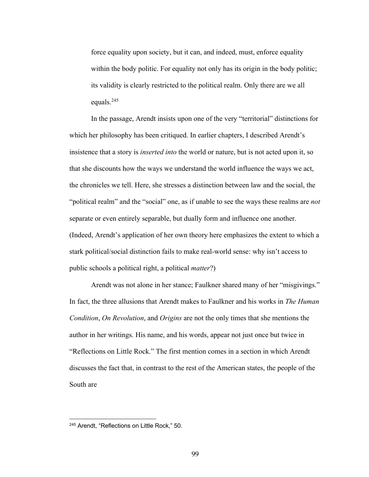force equality upon society, but it can, and indeed, must, enforce equality within the body politic. For equality not only has its origin in the body politic; its validity is clearly restricted to the political realm. Only there are we all equals. 245

In the passage, Arendt insists upon one of the very "territorial" distinctions for which her philosophy has been critiqued. In earlier chapters, I described Arendt's insistence that a story is *inserted into* the world or nature, but is not acted upon it, so that she discounts how the ways we understand the world influence the ways we act, the chronicles we tell. Here, she stresses a distinction between law and the social, the "political realm" and the "social" one, as if unable to see the ways these realms are *not*  separate or even entirely separable, but dually form and influence one another. (Indeed, Arendt's application of her own theory here emphasizes the extent to which a stark political/social distinction fails to make real-world sense: why isn't access to public schools a political right, a political *matter*?)

Arendt was not alone in her stance; Faulkner shared many of her "misgivings." In fact, the three allusions that Arendt makes to Faulkner and his works in *The Human Condition*, *On Revolution*, and *Origins* are not the only times that she mentions the author in her writings. His name, and his words, appear not just once but twice in "Reflections on Little Rock." The first mention comes in a section in which Arendt discusses the fact that, in contrast to the rest of the American states, the people of the South are

<sup>&</sup>lt;sup>245</sup> Arendt, "Reflections on Little Rock," 50.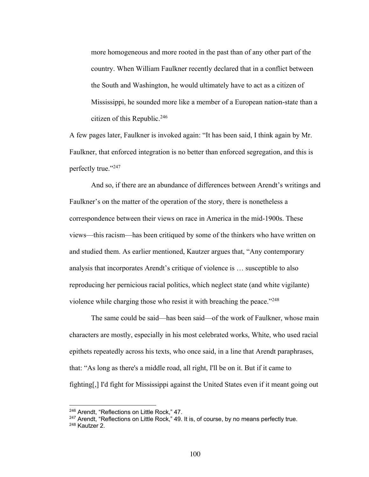more homogeneous and more rooted in the past than of any other part of the country. When William Faulkner recently declared that in a conflict between the South and Washington, he would ultimately have to act as a citizen of Mississippi, he sounded more like a member of a European nation-state than a citizen of this Republic.246

A few pages later, Faulkner is invoked again: "It has been said, I think again by Mr. Faulkner, that enforced integration is no better than enforced segregation, and this is perfectly true."247

And so, if there are an abundance of differences between Arendt's writings and Faulkner's on the matter of the operation of the story, there is nonetheless a correspondence between their views on race in America in the mid-1900s. These views—this racism—has been critiqued by some of the thinkers who have written on and studied them. As earlier mentioned, Kautzer argues that, "Any contemporary analysis that incorporates Arendt's critique of violence is … susceptible to also reproducing her pernicious racial politics, which neglect state (and white vigilante) violence while charging those who resist it with breaching the peace."248

The same could be said—has been said—of the work of Faulkner, whose main characters are mostly, especially in his most celebrated works, White, who used racial epithets repeatedly across his texts, who once said, in a line that Arendt paraphrases, that: "As long as there's a middle road, all right, I'll be on it. But if it came to fighting[,] I'd fight for Mississippi against the United States even if it meant going out

<sup>246</sup> Arendt, "Reflections on Little Rock," 47.

<sup>&</sup>lt;sup>247</sup> Arendt, "Reflections on Little Rock," 49. It is, of course, by no means perfectly true. <sup>248</sup> Kautzer 2.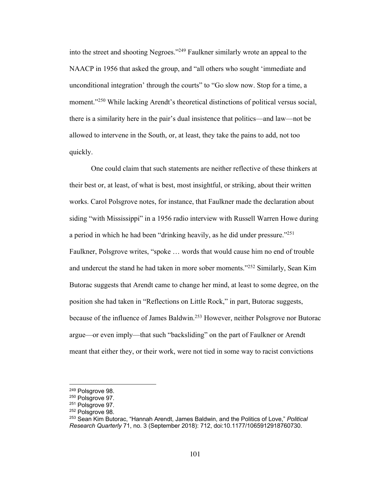into the street and shooting Negroes."249 Faulkner similarly wrote an appeal to the NAACP in 1956 that asked the group, and "all others who sought 'immediate and unconditional integration' through the courts" to "Go slow now. Stop for a time, a moment."250 While lacking Arendt's theoretical distinctions of political versus social, there is a similarity here in the pair's dual insistence that politics—and law—not be allowed to intervene in the South, or, at least, they take the pains to add, not too quickly.

One could claim that such statements are neither reflective of these thinkers at their best or, at least, of what is best, most insightful, or striking, about their written works. Carol Polsgrove notes, for instance, that Faulkner made the declaration about siding "with Mississippi" in a 1956 radio interview with Russell Warren Howe during a period in which he had been "drinking heavily, as he did under pressure."251 Faulkner, Polsgrove writes, "spoke … words that would cause him no end of trouble and undercut the stand he had taken in more sober moments."252 Similarly, Sean Kim Butorac suggests that Arendt came to change her mind, at least to some degree, on the position she had taken in "Reflections on Little Rock," in part, Butorac suggests, because of the influence of James Baldwin.253 However, neither Polsgrove nor Butorac argue—or even imply—that such "backsliding" on the part of Faulkner or Arendt meant that either they, or their work, were not tied in some way to racist convictions

<sup>249</sup> Polsgrove 98.

<sup>250</sup> Polsgrove 97.

<sup>&</sup>lt;sup>251</sup> Polsgrove 97.

<sup>&</sup>lt;sup>252</sup> Polsgrove 98.

<sup>253</sup> Sean Kim Butorac, "Hannah Arendt, James Baldwin, and the Politics of Love," *Political Research Quarterly* 71, no. 3 (September 2018): 712, doi:10.1177/1065912918760730.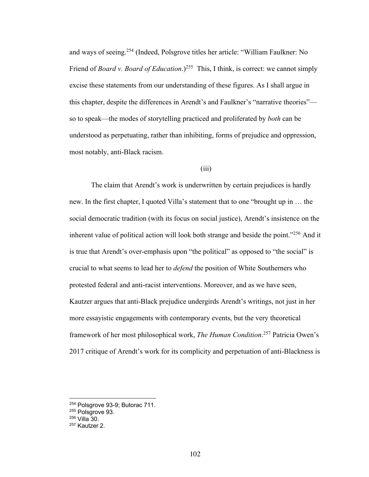and ways of seeing.254 (Indeed, Polsgrove titles her article: "William Faulkner: No Friend of *Board v. Board of Education*.)<sup>255</sup> This, I think, is correct: we cannot simply excise these statements from our understanding of these figures. As I shall argue in this chapter, despite the differences in Arendt's and Faulkner's "narrative theories" so to speak—the modes of storytelling practiced and proliferated by *both* can be understood as perpetuating, rather than inhibiting, forms of prejudice and oppression, most notably, anti-Black racism.

## (iii)

The claim that Arendt's work is underwritten by certain prejudices is hardly new. In the first chapter, I quoted Villa's statement that to one "brought up in … the social democratic tradition (with its focus on social justice), Arendt's insistence on the inherent value of political action will look both strange and beside the point."256 And it is true that Arendt's over-emphasis upon "the political" as opposed to "the social" is crucial to what seems to lead her to *defend* the position of White Southerners who protested federal and anti-racist interventions. Moreover, and as we have seen, Kautzer argues that anti-Black prejudice undergirds Arendt's writings, not just in her more essayistic engagements with contemporary events, but the very theoretical framework of her most philosophical work, *The Human Condition*. <sup>257</sup> Patricia Owen's 2017 critique of Arendt's work for its complicity and perpetuation of anti-Blackness is

<sup>254</sup> Polsgrove 93-9; Butorac 711.

<sup>255</sup> Polsgrove 93.

<sup>256</sup> Villa 30.

<sup>257</sup> Kautzer 2.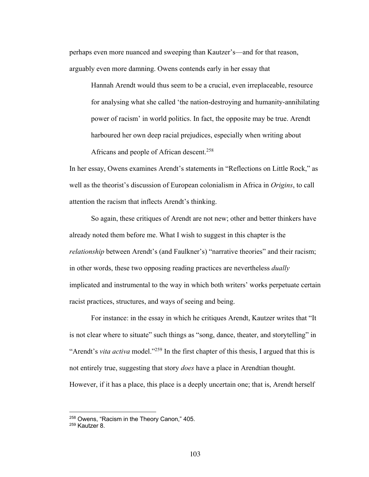perhaps even more nuanced and sweeping than Kautzer's—and for that reason, arguably even more damning. Owens contends early in her essay that

Hannah Arendt would thus seem to be a crucial, even irreplaceable, resource for analysing what she called 'the nation-destroying and humanity-annihilating power of racism' in world politics. In fact, the opposite may be true. Arendt harboured her own deep racial prejudices, especially when writing about Africans and people of African descent.258

In her essay, Owens examines Arendt's statements in "Reflections on Little Rock," as well as the theorist's discussion of European colonialism in Africa in *Origins*, to call attention the racism that inflects Arendt's thinking.

So again, these critiques of Arendt are not new; other and better thinkers have already noted them before me. What I wish to suggest in this chapter is the *relationship* between Arendt's (and Faulkner's) "narrative theories" and their racism; in other words, these two opposing reading practices are nevertheless *dually* implicated and instrumental to the way in which both writers' works perpetuate certain racist practices, structures, and ways of seeing and being.

For instance: in the essay in which he critiques Arendt, Kautzer writes that "It is not clear where to situate" such things as "song, dance, theater, and storytelling" in "Arendt's *vita activa* model."259 In the first chapter of this thesis, I argued that this is not entirely true, suggesting that story *does* have a place in Arendtian thought. However, if it has a place, this place is a deeply uncertain one; that is, Arendt herself

<sup>258</sup> Owens, "Racism in the Theory Canon," 405.

<sup>259</sup> Kautzer 8.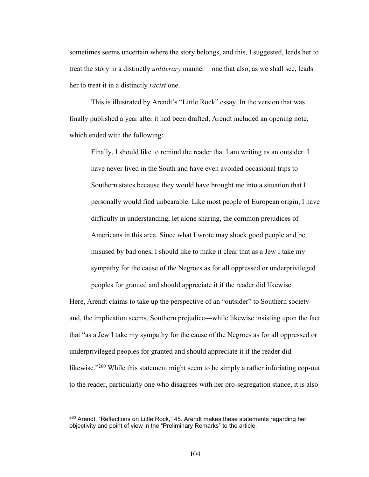sometimes seems uncertain where the story belongs, and this, I suggested, leads her to treat the story in a distinctly *unliterary* manner—one that also, as we shall see, leads her to treat it in a distinctly *racist* one.

This is illustrated by Arendt's "Little Rock" essay. In the version that was finally published a year after it had been drafted, Arendt included an opening note, which ended with the following:

Finally, I should like to remind the reader that I am writing as an outsider. I have never lived in the South and have even avoided occasional trips to Southern states because they would have brought me into a situation that I personally would find unbearable. Like most people of European origin, I have difficulty in understanding, let alone sharing, the common prejudices of Americans in this area. Since what I wrote may shock good people and be misused by bad ones, I should like to make it clear that as a Jew I take my sympathy for the cause of the Negroes as for all oppressed or underprivileged peoples for granted and should appreciate it if the reader did likewise.

Here, Arendt claims to take up the perspective of an "outsider" to Southern society and, the implication seems, Southern prejudice—while likewise insisting upon the fact that "as a Jew I take my sympathy for the cause of the Negroes as for all oppressed or underprivileged peoples for granted and should appreciate it if the reader did likewise."<sup>260</sup> While this statement might seem to be simply a rather infuriating cop-out to the reader, particularly one who disagrees with her pro-segregation stance, it is also

<sup>&</sup>lt;sup>260</sup> Arendt, "Reflections on Little Rock," 45. Arendt makes these statements regarding her objectivity and point of view in the "Preliminary Remarks" to the article.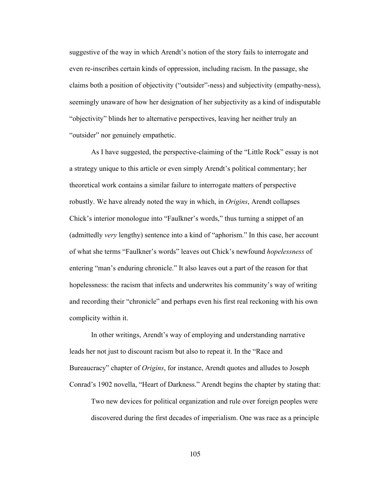suggestive of the way in which Arendt's notion of the story fails to interrogate and even re-inscribes certain kinds of oppression, including racism. In the passage, she claims both a position of objectivity ("outsider"-ness) and subjectivity (empathy-ness), seemingly unaware of how her designation of her subjectivity as a kind of indisputable "objectivity" blinds her to alternative perspectives, leaving her neither truly an "outsider" nor genuinely empathetic.

As I have suggested, the perspective-claiming of the "Little Rock" essay is not a strategy unique to this article or even simply Arendt's political commentary; her theoretical work contains a similar failure to interrogate matters of perspective robustly. We have already noted the way in which, in *Origins*, Arendt collapses Chick's interior monologue into "Faulkner's words," thus turning a snippet of an (admittedly *very* lengthy) sentence into a kind of "aphorism." In this case, her account of what she terms "Faulkner's words" leaves out Chick's newfound *hopelessness* of entering "man's enduring chronicle." It also leaves out a part of the reason for that hopelessness: the racism that infects and underwrites his community's way of writing and recording their "chronicle" and perhaps even his first real reckoning with his own complicity within it.

In other writings, Arendt's way of employing and understanding narrative leads her not just to discount racism but also to repeat it. In the "Race and Bureaucracy" chapter of *Origins*, for instance, Arendt quotes and alludes to Joseph Conrad's 1902 novella, "Heart of Darkness." Arendt begins the chapter by stating that:

Two new devices for political organization and rule over foreign peoples were discovered during the first decades of imperialism. One was race as a principle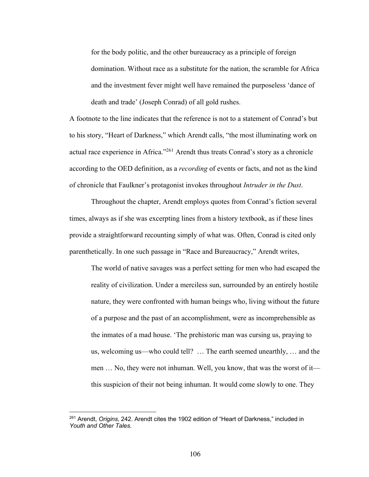for the body politic, and the other bureaucracy as a principle of foreign domination. Without race as a substitute for the nation, the scramble for Africa and the investment fever might well have remained the purposeless 'dance of death and trade' (Joseph Conrad) of all gold rushes.

A footnote to the line indicates that the reference is not to a statement of Conrad's but to his story, "Heart of Darkness," which Arendt calls, "the most illuminating work on actual race experience in Africa."261 Arendt thus treats Conrad's story as a chronicle according to the OED definition, as a *recording* of events or facts, and not as the kind of chronicle that Faulkner's protagonist invokes throughout *Intruder in the Dust*.

Throughout the chapter, Arendt employs quotes from Conrad's fiction several times, always as if she was excerpting lines from a history textbook, as if these lines provide a straightforward recounting simply of what was. Often, Conrad is cited only parenthetically. In one such passage in "Race and Bureaucracy," Arendt writes,

The world of native savages was a perfect setting for men who had escaped the reality of civilization. Under a merciless sun, surrounded by an entirely hostile nature, they were confronted with human beings who, living without the future of a purpose and the past of an accomplishment, were as incomprehensible as the inmates of a mad house. 'The prehistoric man was cursing us, praying to us, welcoming us—who could tell? … The earth seemed unearthly, … and the men … No, they were not inhuman. Well, you know, that was the worst of it this suspicion of their not being inhuman. It would come slowly to one. They

<sup>261</sup> Arendt, *Origins*, 242. Arendt cites the 1902 edition of "Heart of Darkness," included in *Youth and Other Tales*.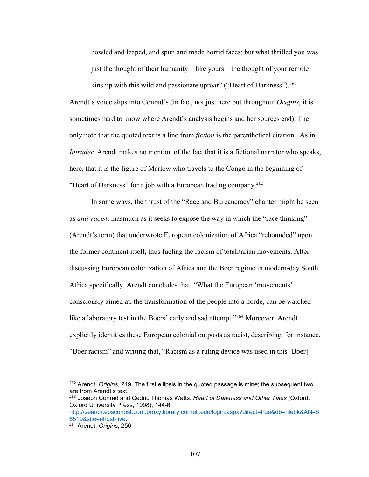howled and leaped, and spun and made horrid faces; but what thrilled you was just the thought of their humanity—like yours—the thought of your remote

kinship with this wild and passionate uproar" ("Heart of Darkness").<sup>262</sup> Arendt's voice slips into Conrad's (in fact, not just here but throughout *Origins*, it is sometimes hard to know where Arendt's analysis begins and her sources end). The only note that the quoted text is a line from *fiction* is the parenthetical citation. As in *Intruder,* Arendt makes no mention of the fact that it is a fictional narrator who speaks, here, that it is the figure of Marlow who travels to the Congo in the beginning of "Heart of Darkness" for a job with a European trading company.<sup>263</sup>

In some ways, the thrust of the "Race and Bureaucracy" chapter might be seen as *anti-racist*, inasmuch as it seeks to expose the way in which the "race thinking" (Arendt's term) that underwrote European colonization of Africa "rebounded" upon the former continent itself, thus fueling the racism of totalitarian movements. After discussing European colonization of Africa and the Boer regime in modern-day South Africa specifically, Arendt concludes that, "What the European 'movements' consciously aimed at, the transformation of the people into a horde, can be watched like a laboratory test in the Boers' early and sad attempt."264 Moreover, Arendt explicitly identities these European colonial outposts as racist, describing, for instance, "Boer racism" and writing that, "Racism as a ruling device was used in this [Boer]

<sup>262</sup> Arendt, *Origins*, 249. The first ellipsis in the quoted passage is mine; the subsequent two are from Arendt's text.

<sup>263</sup> Joseph Conrad and Cedric Thomas Watts. *Heart of Darkness and Other Tales* (Oxford: Oxford University Press, 1998), 144-6,

http://search.ebscohost.com.proxy.library.cornell.edu/login.aspx?direct=true&db=nlebk&AN=5<br>6519&site=ehost-live.

<sup>&</sup>lt;sup>264</sup> Arendt, *Origins*, 256.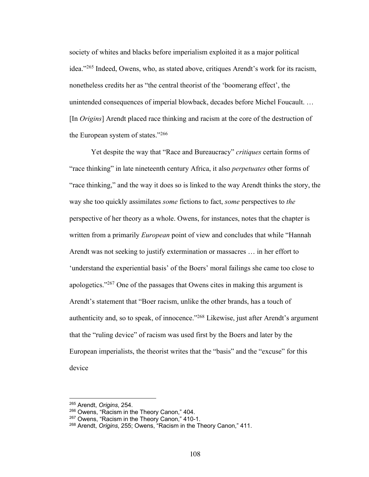society of whites and blacks before imperialism exploited it as a major political idea."265 Indeed, Owens, who, as stated above, critiques Arendt's work for its racism, nonetheless credits her as "the central theorist of the 'boomerang effect', the unintended consequences of imperial blowback, decades before Michel Foucault. … [In *Origins*] Arendt placed race thinking and racism at the core of the destruction of the European system of states."266

Yet despite the way that "Race and Bureaucracy" *critiques* certain forms of "race thinking" in late nineteenth century Africa, it also *perpetuates* other forms of "race thinking," and the way it does so is linked to the way Arendt thinks the story, the way she too quickly assimilates *some* fictions to fact, *some* perspectives to *the*  perspective of her theory as a whole. Owens, for instances, notes that the chapter is written from a primarily *European* point of view and concludes that while "Hannah Arendt was not seeking to justify extermination or massacres … in her effort to 'understand the experiential basis' of the Boers' moral failings she came too close to apologetics."267 One of the passages that Owens cites in making this argument is Arendt's statement that "Boer racism, unlike the other brands, has a touch of authenticity and, so to speak, of innocence."<sup>268</sup> Likewise, just after Arendt's argument that the "ruling device" of racism was used first by the Boers and later by the European imperialists, the theorist writes that the "basis" and the "excuse" for this device

<sup>265</sup> Arendt, *Origins*, 254.

<sup>&</sup>lt;sup>266</sup> Owens, "Racism in the Theory Canon," 404.

<sup>&</sup>lt;sup>267</sup> Owens, "Racism in the Theory Canon," 410-1.

<sup>268</sup> Arendt, *Origins*, 255; Owens, "Racism in the Theory Canon," 411.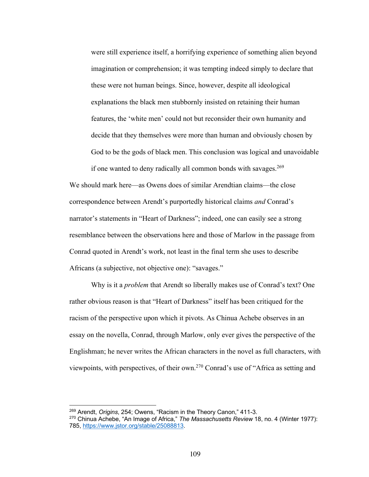were still experience itself, a horrifying experience of something alien beyond imagination or comprehension; it was tempting indeed simply to declare that these were not human beings. Since, however, despite all ideological explanations the black men stubbornly insisted on retaining their human features, the 'white men' could not but reconsider their own humanity and decide that they themselves were more than human and obviously chosen by God to be the gods of black men. This conclusion was logical and unavoidable if one wanted to deny radically all common bonds with savages.<sup>269</sup>

We should mark here—as Owens does of similar Arendtian claims—the close correspondence between Arendt's purportedly historical claims *and* Conrad's narrator's statements in "Heart of Darkness"; indeed, one can easily see a strong resemblance between the observations here and those of Marlow in the passage from Conrad quoted in Arendt's work, not least in the final term she uses to describe Africans (a subjective, not objective one): "savages."

Why is it a *problem* that Arendt so liberally makes use of Conrad's text? One rather obvious reason is that "Heart of Darkness" itself has been critiqued for the racism of the perspective upon which it pivots. As Chinua Achebe observes in an essay on the novella, Conrad, through Marlow, only ever gives the perspective of the Englishman; he never writes the African characters in the novel as full characters, with viewpoints, with perspectives, of their own.270 Conrad's use of "Africa as setting and

<sup>269</sup> Arendt, *Origins*, 254; Owens, "Racism in the Theory Canon," 411-3.

<sup>270</sup> Chinua Achebe, "An Image of Africa," *The Massachusetts Review* 18, no. 4 (Winter 1977): 785, https://www.jstor.org/stable/25088813.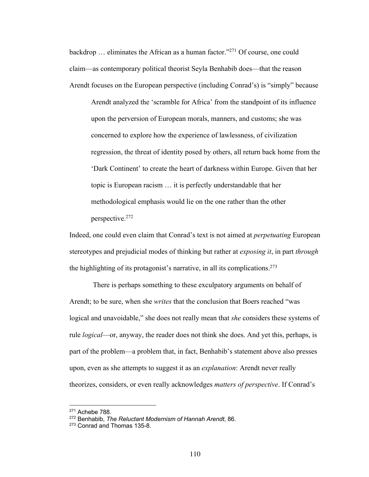backdrop … eliminates the African as a human factor."271 Of course, one could claim—as contemporary political theorist Seyla Benhabib does—that the reason Arendt focuses on the European perspective (including Conrad's) is "simply" because

Arendt analyzed the 'scramble for Africa' from the standpoint of its influence upon the perversion of European morals, manners, and customs; she was concerned to explore how the experience of lawlessness, of civilization regression, the threat of identity posed by others, all return back home from the 'Dark Continent' to create the heart of darkness within Europe. Given that her topic is European racism … it is perfectly understandable that her methodological emphasis would lie on the one rather than the other perspective.272

Indeed, one could even claim that Conrad's text is not aimed at *perpetuating* European stereotypes and prejudicial modes of thinking but rather at *exposing it*, in part *through*  the highlighting of its protagonist's narrative, in all its complications.273

There is perhaps something to these exculpatory arguments on behalf of Arendt; to be sure, when she *writes* that the conclusion that Boers reached "was logical and unavoidable," she does not really mean that *she* considers these systems of rule *logical*—or, anyway, the reader does not think she does. And yet this, perhaps, is part of the problem—a problem that, in fact, Benhabib's statement above also presses upon, even as she attempts to suggest it as an *explanation*: Arendt never really theorizes, considers, or even really acknowledges *matters of perspective*. If Conrad's

<sup>271</sup> Achebe 788.

<sup>272</sup> Benhabib, *The Reluctant Modernism of Hannah Arendt*, 86.

<sup>273</sup> Conrad and Thomas 135-8.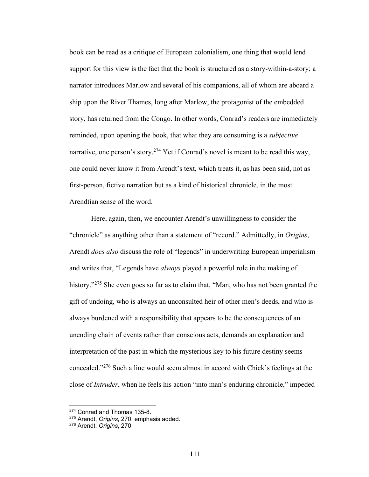book can be read as a critique of European colonialism, one thing that would lend support for this view is the fact that the book is structured as a story-within-a-story; a narrator introduces Marlow and several of his companions, all of whom are aboard a ship upon the River Thames, long after Marlow, the protagonist of the embedded story, has returned from the Congo. In other words, Conrad's readers are immediately reminded, upon opening the book, that what they are consuming is a *subjective*  narrative, one person's story.<sup>274</sup> Yet if Conrad's novel is meant to be read this way, one could never know it from Arendt's text, which treats it, as has been said, not as first-person, fictive narration but as a kind of historical chronicle, in the most Arendtian sense of the word.

Here, again, then, we encounter Arendt's unwillingness to consider the "chronicle" as anything other than a statement of "record." Admittedly, in *Origins*, Arendt *does also* discuss the role of "legends" in underwriting European imperialism and writes that, "Legends have *always* played a powerful role in the making of history."<sup>275</sup> She even goes so far as to claim that, "Man, who has not been granted the gift of undoing, who is always an unconsulted heir of other men's deeds, and who is always burdened with a responsibility that appears to be the consequences of an unending chain of events rather than conscious acts, demands an explanation and interpretation of the past in which the mysterious key to his future destiny seems concealed."276 Such a line would seem almost in accord with Chick's feelings at the close of *Intruder*, when he feels his action "into man's enduring chronicle," impeded

<sup>274</sup> Conrad and Thomas 135-8.

<sup>275</sup> Arendt, *Origins*, 270, emphasis added.

<sup>276</sup> Arendt, *Origins*, 270.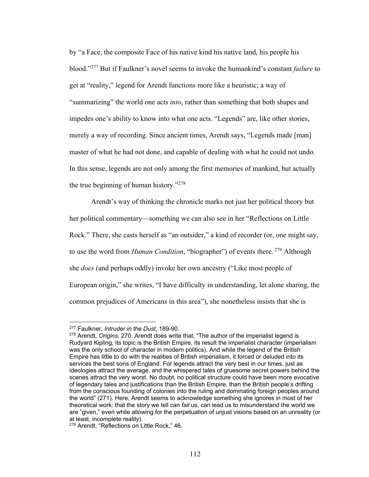by "a Face, the composite Face of his native kind his native land, his people his blood."277 But if Faulkner's novel seems to invoke the humankind's constant *failure* to get at "reality," legend for Arendt functions more like a heuristic; a way of "summarizing" the world one acts *into*, rather than something that both shapes and impedes one's ability to know into what one acts. "Legends" are, like other stories, merely a way of recording. Since ancient times, Arendt says, "Legends made [man] master of what he had not done, and capable of dealing with what he could not undo. In this sense, legends are not only among the first memories of mankind, but actually the true beginning of human history."278

Arendt's way of thinking the chronicle marks not just her political theory but her political commentary—something we can also see in her "Reflections on Little Rock." There, she casts herself as "an outsider," a kind of recorder (or, one might say, to use the word from *Human Condition*, "biographer") of events there. <sup>279</sup> Although she *does* (and perhaps oddly) invoke her own ancestry ("Like most people of European origin," she writes, "I have difficulty in understanding, let alone sharing, the common prejudices of Americans in this area"), she nonetheless insists that she is

<sup>277</sup> Faulkner, *Intruder in the Dust*, 189-90.

<sup>278</sup> Arendt, *Origins*, 270. Arendt does write that, "The author of the imperialist legend is Rudyard Kipling, its topic is the British Empire, its result the imperialist character (imperialism was the only school of character in modern politics). And while the legend of the British Empire has little to do with the realities of British imperialism, it forced or deluded into its services the best sons of England. For legends attract the very best in our times, just as ideologies attract the average, and the whispered tales of gruesome secret powers behind the scenes attract the very worst. No doubt, no political structure could have been more evocative of legendary tales and justifications than the British Empire, than the British people's drifting from the conscious founding of colonies into the ruling and dominating foreign peoples around the world" (271). Here, Arendt seems to acknowledge something she ignores in most of her theoretical work: that the story we tell can *fail* us, can lead us to misunderstand the world we are "given," even while allowing for the perpetuation of unjust visions based on an unreality (or at least, incomplete reality).

<sup>279</sup> Arendt, "Reflections on Little Rock," 46.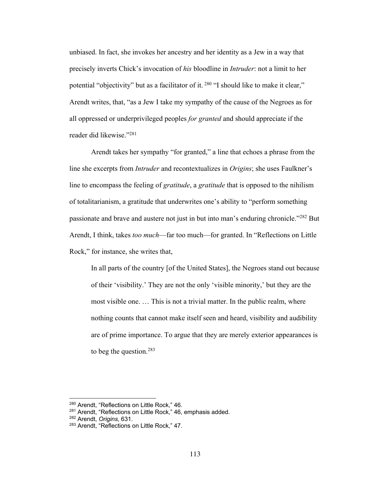unbiased. In fact, she invokes her ancestry and her identity as a Jew in a way that precisely inverts Chick's invocation of *his* bloodline in *Intruder*: not a limit to her potential "objectivity" but as a facilitator of it. <sup>280</sup> "I should like to make it clear," Arendt writes, that, "as a Jew I take my sympathy of the cause of the Negroes as for all oppressed or underprivileged peoples *for granted* and should appreciate if the reader did likewise."281

Arendt takes her sympathy "for granted," a line that echoes a phrase from the line she excerpts from *Intruder* and recontextualizes in *Origins*; she uses Faulkner's line to encompass the feeling of *gratitude*, a *gratitude* that is opposed to the nihilism of totalitarianism, a gratitude that underwrites one's ability to "perform something passionate and brave and austere not just in but into man's enduring chronicle."282 But Arendt, I think, takes *too much*—far too much—for granted. In "Reflections on Little Rock," for instance, she writes that,

In all parts of the country [of the United States], the Negroes stand out because of their 'visibility.' They are not the only 'visible minority,' but they are the most visible one. … This is not a trivial matter. In the public realm, where nothing counts that cannot make itself seen and heard, visibility and audibility are of prime importance. To argue that they are merely exterior appearances is to beg the question.<sup>283</sup>

<sup>280</sup> Arendt, "Reflections on Little Rock," 46.

<sup>281</sup> Arendt, "Reflections on Little Rock," 46, emphasis added.

<sup>282</sup> Arendt, *Origins*, 631.

<sup>283</sup> Arendt, "Reflections on Little Rock," 47.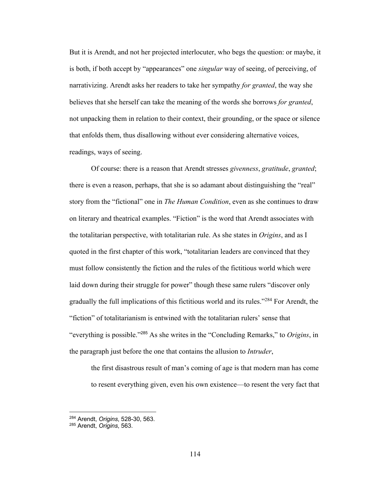But it is Arendt, and not her projected interlocuter, who begs the question: or maybe, it is both, if both accept by "appearances" one *singular* way of seeing, of perceiving, of narrativizing. Arendt asks her readers to take her sympathy *for granted*, the way she believes that she herself can take the meaning of the words she borrows *for granted*, not unpacking them in relation to their context, their grounding, or the space or silence that enfolds them, thus disallowing without ever considering alternative voices, readings, ways of seeing.

Of course: there is a reason that Arendt stresses *givenness*, *gratitude*, *granted*; there is even a reason, perhaps, that she is so adamant about distinguishing the "real" story from the "fictional" one in *The Human Condition*, even as she continues to draw on literary and theatrical examples. "Fiction" is the word that Arendt associates with the totalitarian perspective, with totalitarian rule. As she states in *Origins*, and as I quoted in the first chapter of this work, "totalitarian leaders are convinced that they must follow consistently the fiction and the rules of the fictitious world which were laid down during their struggle for power" though these same rulers "discover only gradually the full implications of this fictitious world and its rules."284 For Arendt, the "fiction" of totalitarianism is entwined with the totalitarian rulers' sense that "everything is possible."<sup>285</sup> As she writes in the "Concluding Remarks," to *Origins*, in the paragraph just before the one that contains the allusion to *Intruder*,

the first disastrous result of man's coming of age is that modern man has come to resent everything given, even his own existence—to resent the very fact that

<sup>284</sup> Arendt, *Origins*, 528-30, 563.

<sup>285</sup> Arendt, *Origins*, 563.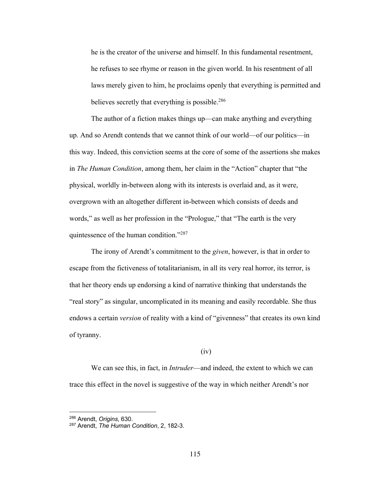he is the creator of the universe and himself. In this fundamental resentment, he refuses to see rhyme or reason in the given world. In his resentment of all laws merely given to him, he proclaims openly that everything is permitted and believes secretly that everything is possible.<sup>286</sup>

The author of a fiction makes things up—can make anything and everything up. And so Arendt contends that we cannot think of our world—of our politics—in this way. Indeed, this conviction seems at the core of some of the assertions she makes in *The Human Condition*, among them, her claim in the "Action" chapter that "the physical, worldly in-between along with its interests is overlaid and, as it were, overgrown with an altogether different in-between which consists of deeds and words," as well as her profession in the "Prologue," that "The earth is the very quintessence of the human condition."287

The irony of Arendt's commitment to the *given*, however, is that in order to escape from the fictiveness of totalitarianism, in all its very real horror, its terror, is that her theory ends up endorsing a kind of narrative thinking that understands the "real story" as singular, uncomplicated in its meaning and easily recordable. She thus endows a certain *version* of reality with a kind of "givenness" that creates its own kind of tyranny.

## (iv)

We can see this, in fact, in *Intruder*—and indeed, the extent to which we can trace this effect in the novel is suggestive of the way in which neither Arendt's nor

<sup>286</sup> Arendt, *Origins*, 630.

<sup>287</sup> Arendt, *The Human Condition*, 2, 182-3.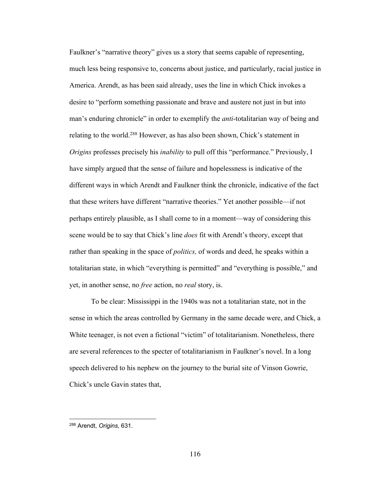Faulkner's "narrative theory" gives us a story that seems capable of representing, much less being responsive to, concerns about justice, and particularly, racial justice in America. Arendt, as has been said already, uses the line in which Chick invokes a desire to "perform something passionate and brave and austere not just in but into man's enduring chronicle" in order to exemplify the *anti*-totalitarian way of being and relating to the world.288 However, as has also been shown, Chick's statement in *Origins* professes precisely his *inability* to pull off this "performance." Previously, I have simply argued that the sense of failure and hopelessness is indicative of the different ways in which Arendt and Faulkner think the chronicle, indicative of the fact that these writers have different "narrative theories." Yet another possible—if not perhaps entirely plausible, as I shall come to in a moment—way of considering this scene would be to say that Chick's line *does* fit with Arendt's theory, except that rather than speaking in the space of *politics,* of words and deed, he speaks within a totalitarian state, in which "everything is permitted" and "everything is possible," and yet, in another sense, no *free* action, no *real* story, is.

To be clear: Mississippi in the 1940s was not a totalitarian state, not in the sense in which the areas controlled by Germany in the same decade were, and Chick, a White teenager, is not even a fictional "victim" of totalitarianism. Nonetheless, there are several references to the specter of totalitarianism in Faulkner's novel. In a long speech delivered to his nephew on the journey to the burial site of Vinson Gowrie, Chick's uncle Gavin states that,

<sup>288</sup> Arendt, *Origins*, 631.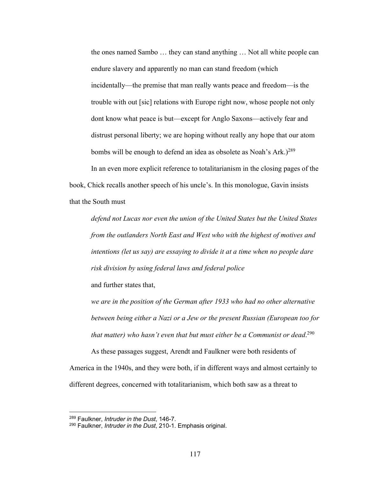the ones named Sambo … they can stand anything … Not all white people can endure slavery and apparently no man can stand freedom (which incidentally—the premise that man really wants peace and freedom—is the trouble with out [sic] relations with Europe right now, whose people not only dont know what peace is but—except for Anglo Saxons—actively fear and distrust personal liberty; we are hoping without really any hope that our atom bombs will be enough to defend an idea as obsolete as Noah's Ark.)<sup>289</sup>

In an even more explicit reference to totalitarianism in the closing pages of the book, Chick recalls another speech of his uncle's. In this monologue, Gavin insists that the South must

*defend not Lucas nor even the union of the United States but the United States from the outlanders North East and West who with the highest of motives and intentions (let us say) are essaying to divide it at a time when no people dare risk division by using federal laws and federal police* and further states that,

*we are in the position of the German after 1933 who had no other alternative between being either a Nazi or a Jew or the present Russian (European too for that matter) who hasn't even that but must either be a Communist or dead*. 290

As these passages suggest, Arendt and Faulkner were both residents of America in the 1940s, and they were both, if in different ways and almost certainly to different degrees, concerned with totalitarianism, which both saw as a threat to

<sup>289</sup> Faulkner, *Intruder in the Dust*, 146-7.

<sup>290</sup> Faulkner, *Intruder in the Dust*, 210-1. Emphasis original.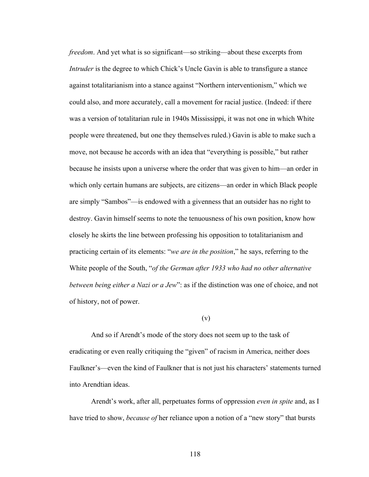*freedom*. And yet what is so significant—so striking—about these excerpts from *Intruder* is the degree to which Chick's Uncle Gavin is able to transfigure a stance against totalitarianism into a stance against "Northern interventionism," which we could also, and more accurately, call a movement for racial justice. (Indeed: if there was a version of totalitarian rule in 1940s Mississippi, it was not one in which White people were threatened, but one they themselves ruled.) Gavin is able to make such a move, not because he accords with an idea that "everything is possible," but rather because he insists upon a universe where the order that was given to him—an order in which only certain humans are subjects, are citizens—an order in which Black people are simply "Sambos"—is endowed with a givenness that an outsider has no right to destroy. Gavin himself seems to note the tenuousness of his own position, know how closely he skirts the line between professing his opposition to totalitarianism and practicing certain of its elements: "*we are in the position*," he says, referring to the White people of the South, "*of the German after 1933 who had no other alternative between being either a Nazi or a Jew*": as if the distinction was one of choice, and not of history, not of power.

#### (v)

And so if Arendt's mode of the story does not seem up to the task of eradicating or even really critiquing the "given" of racism in America, neither does Faulkner's—even the kind of Faulkner that is not just his characters' statements turned into Arendtian ideas.

Arendt's work, after all, perpetuates forms of oppression *even in spite* and, as I have tried to show, *because of* her reliance upon a notion of a "new story" that bursts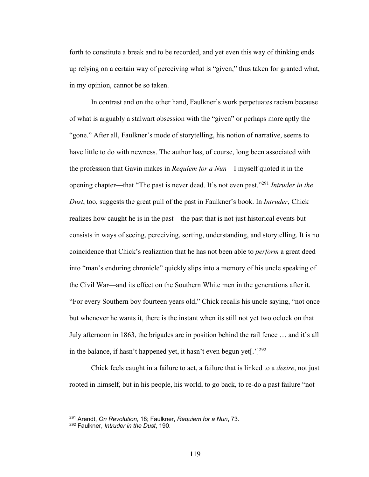forth to constitute a break and to be recorded, and yet even this way of thinking ends up relying on a certain way of perceiving what is "given," thus taken for granted what, in my opinion, cannot be so taken.

In contrast and on the other hand, Faulkner's work perpetuates racism because of what is arguably a stalwart obsession with the "given" or perhaps more aptly the "gone." After all, Faulkner's mode of storytelling, his notion of narrative, seems to have little to do with newness. The author has, of course, long been associated with the profession that Gavin makes in *Requiem for a Nun*—I myself quoted it in the opening chapter—that "The past is never dead. It's not even past."291 *Intruder in the Dust*, too, suggests the great pull of the past in Faulkner's book. In *Intruder*, Chick realizes how caught he is in the past—the past that is not just historical events but consists in ways of seeing, perceiving, sorting, understanding, and storytelling. It is no coincidence that Chick's realization that he has not been able to *perform* a great deed into "man's enduring chronicle" quickly slips into a memory of his uncle speaking of the Civil War—and its effect on the Southern White men in the generations after it. "For every Southern boy fourteen years old," Chick recalls his uncle saying, "not once but whenever he wants it, there is the instant when its still not yet two oclock on that July afternoon in 1863, the brigades are in position behind the rail fence … and it's all in the balance, if hasn't happened yet, it hasn't even begun yet[.' $]^{292}$ 

Chick feels caught in a failure to act, a failure that is linked to a *desire*, not just rooted in himself, but in his people, his world, to go back, to re-do a past failure "not

<sup>291</sup> Arendt, *On Revolution*, 18; Faulkner, *Requiem for a Nun*, 73.

<sup>292</sup> Faulkner, *Intruder in the Dust*, 190.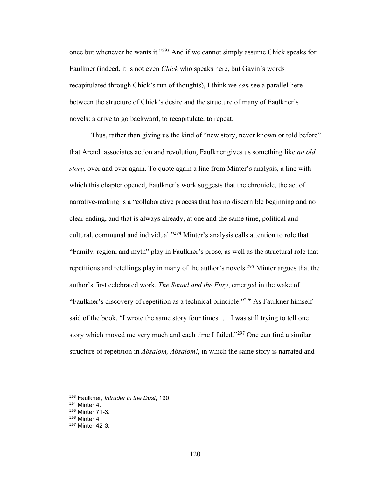once but whenever he wants it."293 And if we cannot simply assume Chick speaks for Faulkner (indeed, it is not even *Chick* who speaks here, but Gavin's words recapitulated through Chick's run of thoughts), I think we *can* see a parallel here between the structure of Chick's desire and the structure of many of Faulkner's novels: a drive to go backward, to recapitulate, to repeat.

Thus, rather than giving us the kind of "new story, never known or told before" that Arendt associates action and revolution, Faulkner gives us something like *an old story*, over and over again. To quote again a line from Minter's analysis, a line with which this chapter opened, Faulkner's work suggests that the chronicle, the act of narrative-making is a "collaborative process that has no discernible beginning and no clear ending, and that is always already, at one and the same time, political and cultural, communal and individual."294 Minter's analysis calls attention to role that "Family, region, and myth" play in Faulkner's prose, as well as the structural role that repetitions and retellings play in many of the author's novels.295 Minter argues that the author's first celebrated work, *The Sound and the Fury*, emerged in the wake of "Faulkner's discovery of repetition as a technical principle."296 As Faulkner himself said of the book, "I wrote the same story four times …. I was still trying to tell one story which moved me very much and each time I failed."297 One can find a similar structure of repetition in *Absalom, Absalom!*, in which the same story is narrated and

<sup>293</sup> Faulkner, *Intruder in the Dust*, 190.

<sup>294</sup> Minter 4.

<sup>295</sup> Minter 71-3.

<sup>296</sup> Minter 4

<sup>297</sup> Minter 42-3.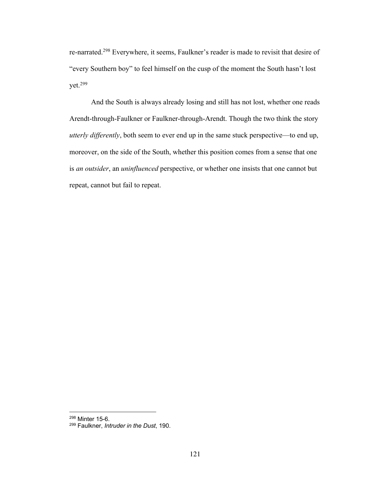re-narrated.298 Everywhere, it seems, Faulkner's reader is made to revisit that desire of "every Southern boy" to feel himself on the cusp of the moment the South hasn't lost yet.299

And the South is always already losing and still has not lost, whether one reads Arendt-through-Faulkner or Faulkner-through-Arendt. Though the two think the story *utterly differently*, both seem to ever end up in the same stuck perspective—to end up, moreover, on the side of the South, whether this position comes from a sense that one is *an outsider*, an *uninfluenced* perspective, or whether one insists that one cannot but repeat, cannot but fail to repeat.

<sup>298</sup> Minter 15-6.

<sup>299</sup> Faulkner, *Intruder in the Dust*, 190.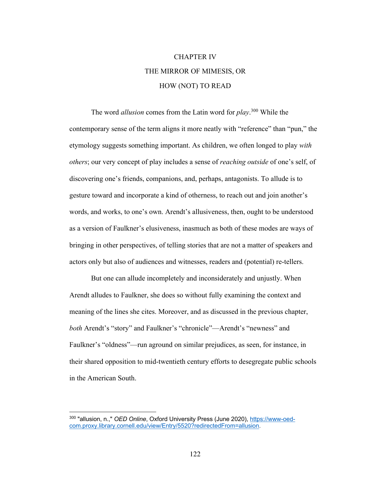# CHAPTER IV THE MIRROR OF MIMESIS, OR HOW (NOT) TO READ

The word *allusion* comes from the Latin word for *play*. <sup>300</sup> While the contemporary sense of the term aligns it more neatly with "reference" than "pun," the etymology suggests something important. As children, we often longed to play *with others*; our very concept of play includes a sense of *reaching outside* of one's self, of discovering one's friends, companions, and, perhaps, antagonists. To allude is to gesture toward and incorporate a kind of otherness, to reach out and join another's words, and works, to one's own. Arendt's allusiveness, then, ought to be understood as a version of Faulkner's elusiveness, inasmuch as both of these modes are ways of bringing in other perspectives, of telling stories that are not a matter of speakers and actors only but also of audiences and witnesses, readers and (potential) re-tellers.

But one can allude incompletely and inconsiderately and unjustly. When Arendt alludes to Faulkner, she does so without fully examining the context and meaning of the lines she cites. Moreover, and as discussed in the previous chapter, *both* Arendt's "story" and Faulkner's "chronicle"—Arendt's "newness" and Faulkner's "oldness"—run aground on similar prejudices, as seen, for instance, in their shared opposition to mid-twentieth century efforts to desegregate public schools in the American South.

<sup>300</sup> "allusion, n.," *OED Online*, Oxford University Press (June 2020), https://www-oedcom.proxy.library.cornell.edu/view/Entry/5520?redirectedFrom=allusion.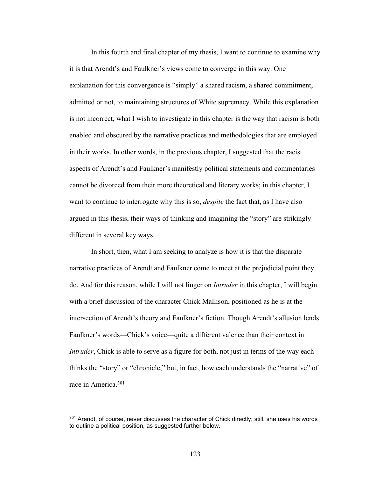In this fourth and final chapter of my thesis, I want to continue to examine why it is that Arendt's and Faulkner's views come to converge in this way. One explanation for this convergence is "simply" a shared racism, a shared commitment, admitted or not, to maintaining structures of White supremacy. While this explanation is not incorrect, what I wish to investigate in this chapter is the way that racism is both enabled and obscured by the narrative practices and methodologies that are employed in their works. In other words, in the previous chapter, I suggested that the racist aspects of Arendt's and Faulkner's manifestly political statements and commentaries cannot be divorced from their more theoretical and literary works; in this chapter, I want to continue to interrogate why this is so, *despite* the fact that, as I have also argued in this thesis, their ways of thinking and imagining the "story" are strikingly different in several key ways.

In short, then, what I am seeking to analyze is how it is that the disparate narrative practices of Arendt and Faulkner come to meet at the prejudicial point they do. And for this reason, while I will not linger on *Intruder* in this chapter, I will begin with a brief discussion of the character Chick Mallison, positioned as he is at the intersection of Arendt's theory and Faulkner's fiction. Though Arendt's allusion lends Faulkner's words—Chick's voice—quite a different valence than their context in *Intruder*, Chick is able to serve as a figure for both, not just in terms of the way each thinks the "story" or "chronicle," but, in fact, how each understands the "narrative" of race in America.301

<sup>301</sup> Arendt, of course, never discusses the character of Chick directly; still, she uses his words to outline a political position, as suggested further below.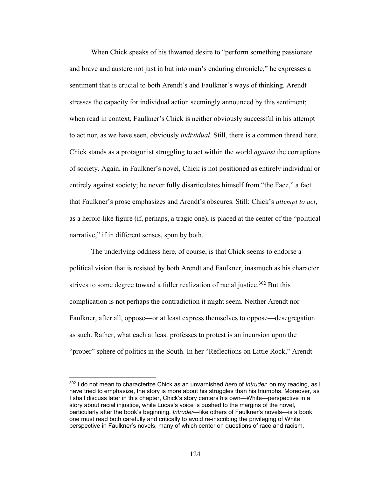When Chick speaks of his thwarted desire to "perform something passionate and brave and austere not just in but into man's enduring chronicle," he expresses a sentiment that is crucial to both Arendt's and Faulkner's ways of thinking. Arendt stresses the capacity for individual action seemingly announced by this sentiment; when read in context, Faulkner's Chick is neither obviously successful in his attempt to act nor, as we have seen, obviously *individual*. Still, there is a common thread here. Chick stands as a protagonist struggling to act within the world *against* the corruptions of society. Again, in Faulkner's novel, Chick is not positioned as entirely individual or entirely against society; he never fully disarticulates himself from "the Face," a fact that Faulkner's prose emphasizes and Arendt's obscures. Still: Chick's *attempt to act*, as a heroic-like figure (if, perhaps, a tragic one), is placed at the center of the "political narrative," if in different senses, spun by both.

The underlying oddness here, of course, is that Chick seems to endorse a political vision that is resisted by both Arendt and Faulkner, inasmuch as his character strives to some degree toward a fuller realization of racial justice.<sup>302</sup> But this complication is not perhaps the contradiction it might seem. Neither Arendt nor Faulkner, after all, oppose—or at least express themselves to oppose—desegregation as such. Rather, what each at least professes to protest is an incursion upon the "proper" sphere of politics in the South. In her "Reflections on Little Rock," Arendt

<sup>302</sup> I do not mean to characterize Chick as an unvarnished *hero* of *Intruder*; on my reading, as I have tried to emphasize, the story is more about his struggles than his triumphs. Moreover, as I shall discuss later in this chapter, Chick's story centers his own—White—perspective in a story about racial injustice, while Lucas's voice is pushed to the margins of the novel, particularly after the book's beginning. *Intruder*—like others of Faulkner's novels—is a book one must read both carefully and critically to avoid re-inscribing the privileging of White perspective in Faulkner's novels, many of which center on questions of race and racism.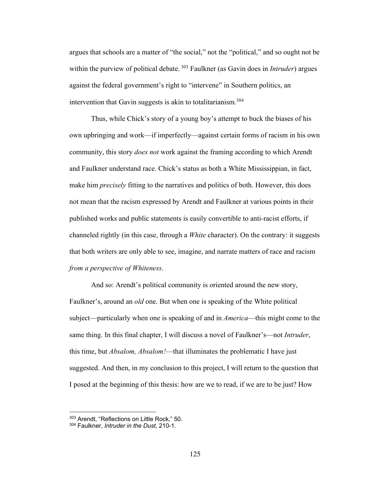argues that schools are a matter of "the social," not the "political," and so ought not be within the purview of political debate.<sup>303</sup> Faulkner (as Gavin does in *Intruder*) argues against the federal government's right to "intervene" in Southern politics, an intervention that Gavin suggests is akin to totalitarianism.<sup>304</sup>

Thus, while Chick's story of a young boy's attempt to buck the biases of his own upbringing and work—if imperfectly—against certain forms of racism in his own community, this story *does not* work against the framing according to which Arendt and Faulkner understand race. Chick's status as both a White Mississippian, in fact, make him *precisely* fitting to the narratives and politics of both. However, this does not mean that the racism expressed by Arendt and Faulkner at various points in their published works and public statements is easily convertible to anti-racist efforts, if channeled rightly (in this case, through a *White* character). On the contrary: it suggests that both writers are only able to see, imagine, and narrate matters of race and racism *from a perspective of Whiteness*.

And so: Arendt's political community is oriented around the new story, Faulkner's, around an *old* one. But when one is speaking of the White political subject—particularly when one is speaking of and in *America*—this might come to the same thing. In this final chapter, I will discuss a novel of Faulkner's—not *Intruder*, this time, but *Absalom, Absalom!*—that illuminates the problematic I have just suggested. And then, in my conclusion to this project, I will return to the question that I posed at the beginning of this thesis: how are we to read, if we are to be just? How

<sup>303</sup> Arendt, "Reflections on Little Rock," 50.

<sup>304</sup> Faulkner, *Intruder in the Dust*, 210-1.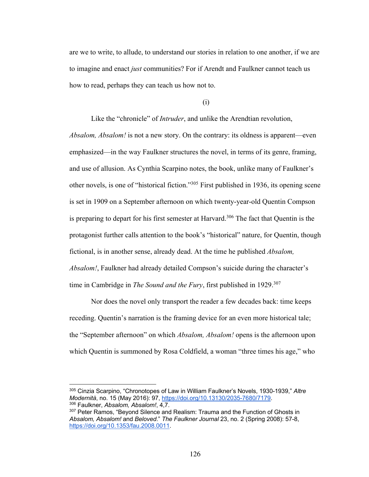are we to write, to allude, to understand our stories in relation to one another, if we are to imagine and enact *just* communities? For if Arendt and Faulkner cannot teach us how to read, perhaps they can teach us how not to.

### (i)

Like the "chronicle" of *Intruder*, and unlike the Arendtian revolution, *Absalom, Absalom!* is not a new story. On the contrary: its oldness is apparent—even emphasized—in the way Faulkner structures the novel, in terms of its genre, framing, and use of allusion. As Cynthia Scarpino notes, the book, unlike many of Faulkner's other novels, is one of "historical fiction."305 First published in 1936, its opening scene is set in 1909 on a September afternoon on which twenty-year-old Quentin Compson is preparing to depart for his first semester at Harvard.<sup>306</sup> The fact that Quentin is the protagonist further calls attention to the book's "historical" nature, for Quentin, though fictional, is in another sense, already dead. At the time he published *Absalom, Absalom!*, Faulkner had already detailed Compson's suicide during the character's time in Cambridge in *The Sound and the Fury*, first published in 1929.<sup>307</sup>

Nor does the novel only transport the reader a few decades back: time keeps receding. Quentin's narration is the framing device for an even more historical tale; the "September afternoon" on which *Absalom, Absalom!* opens is the afternoon upon which Quentin is summoned by Rosa Coldfield, a woman "three times his age," who

<sup>305</sup> Cinzia Scarpino, "Chronotopes of Law in William Faulkner's Novels, 1930-1939," *Altre Modernità*, no. 15 (May 2016): 97, https://doi.org/10.13130/2035-7680/7179. <sup>306</sup> Faulkner, *Absalom, Absalom!*, 4,7.

<sup>&</sup>lt;sup>307</sup> Peter Ramos, "Beyond Silence and Realism: Trauma and the Function of Ghosts in *Absalom, Absalom!* and *Beloved*." *The Faulkner Journal* 23, no. 2 (Spring 2008): 57-8, https://doi.org/10.1353/fau.2008.0011.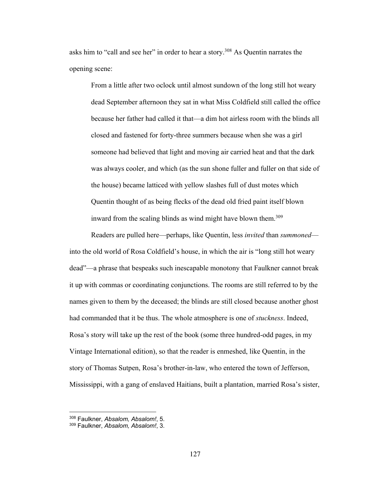asks him to "call and see her" in order to hear a story.<sup>308</sup> As Quentin narrates the opening scene:

From a little after two oclock until almost sundown of the long still hot weary dead September afternoon they sat in what Miss Coldfield still called the office because her father had called it that—a dim hot airless room with the blinds all closed and fastened for forty-three summers because when she was a girl someone had believed that light and moving air carried heat and that the dark was always cooler, and which (as the sun shone fuller and fuller on that side of the house) became latticed with yellow slashes full of dust motes which Quentin thought of as being flecks of the dead old fried paint itself blown inward from the scaling blinds as wind might have blown them.<sup>309</sup>

Readers are pulled here—perhaps, like Quentin, less *invited* than *summoned* into the old world of Rosa Coldfield's house, in which the air is "long still hot weary dead"—a phrase that bespeaks such inescapable monotony that Faulkner cannot break it up with commas or coordinating conjunctions. The rooms are still referred to by the names given to them by the deceased; the blinds are still closed because another ghost had commanded that it be thus. The whole atmosphere is one of *stuckness*. Indeed, Rosa's story will take up the rest of the book (some three hundred-odd pages, in my Vintage International edition), so that the reader is enmeshed, like Quentin, in the story of Thomas Sutpen, Rosa's brother-in-law, who entered the town of Jefferson, Mississippi, with a gang of enslaved Haitians, built a plantation, married Rosa's sister,

<sup>308</sup> Faulkner, *Absalom, Absalom!*, 5.

<sup>309</sup> Faulkner, *Absalom, Absalom!*, 3.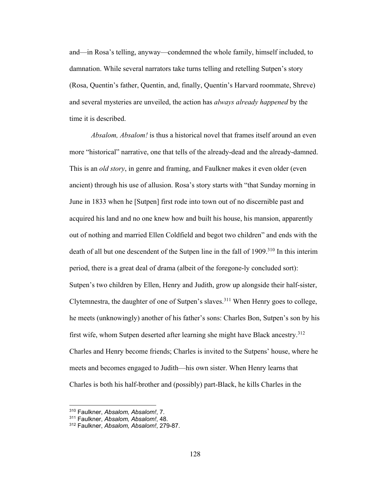and—in Rosa's telling, anyway—condemned the whole family, himself included, to damnation. While several narrators take turns telling and retelling Sutpen's story (Rosa, Quentin's father, Quentin, and, finally, Quentin's Harvard roommate, Shreve) and several mysteries are unveiled, the action has *always already happened* by the time it is described.

*Absalom, Absalom!* is thus a historical novel that frames itself around an even more "historical" narrative, one that tells of the already-dead and the already-damned. This is an *old story*, in genre and framing, and Faulkner makes it even older (even ancient) through his use of allusion. Rosa's story starts with "that Sunday morning in June in 1833 when he [Sutpen] first rode into town out of no discernible past and acquired his land and no one knew how and built his house, his mansion, apparently out of nothing and married Ellen Coldfield and begot two children" and ends with the death of all but one descendent of the Sutpen line in the fall of 1909.<sup>310</sup> In this interim period, there is a great deal of drama (albeit of the foregone-ly concluded sort): Sutpen's two children by Ellen, Henry and Judith, grow up alongside their half-sister, Clytemnestra, the daughter of one of Sutpen's slaves.311 When Henry goes to college, he meets (unknowingly) another of his father's sons: Charles Bon, Sutpen's son by his first wife, whom Sutpen deserted after learning she might have Black ancestry.312 Charles and Henry become friends; Charles is invited to the Sutpens' house, where he meets and becomes engaged to Judith—his own sister. When Henry learns that Charles is both his half-brother and (possibly) part-Black, he kills Charles in the

<sup>310</sup> Faulkner, *Absalom, Absalom!*, 7.

<sup>311</sup> Faulkner, *Absalom, Absalom!*, 48.

<sup>312</sup> Faulkner, *Absalom, Absalom!*, 279-87.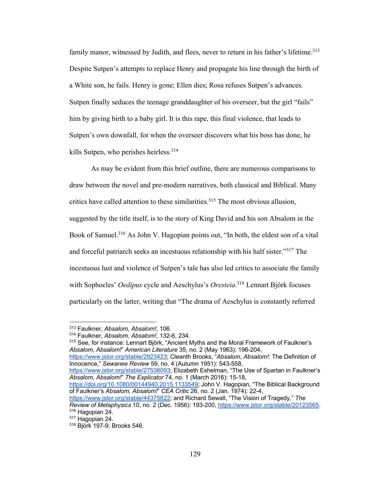family manor, witnessed by Judith, and flees, never to return in his father's lifetime.<sup>313</sup> Despite Sutpen's attempts to replace Henry and propagate his line through the birth of a White son, he fails. Henry is gone; Ellen dies; Rosa refuses Sutpen's advances. Sutpen finally seduces the teenage granddaughter of his overseer, but the girl "fails" him by giving birth to a baby girl. It is this rape, this final violence, that leads to Sutpen's own downfall, for when the overseer discovers what his boss has done, he kills Sutpen, who perishes heirless.<sup>314</sup>

As may be evident from this brief outline, there are numerous comparisons to draw between the novel and pre-modern narratives, both classical and Biblical. Many critics have called attention to these similarities. <sup>315</sup> The most obvious allusion, suggested by the title itself, is to the story of King David and his son Absalom in the Book of Samuel.<sup>316</sup> As John V. Hagopian points out, "In both, the eldest son of a vital and forceful patriarch seeks an incestuous relationship with his half sister."317 The incestuous lust and violence of Sutpen's tale has also led critics to associate the family with Sophocles' *Oedipus* cycle and Aeschylus's *Oresteia*. <sup>318</sup> Lennart Björk focuses particularly on the latter, writing that "The drama of Aeschylus is constantly referred

<sup>315</sup> See, for instance: Lennart Björk, "Ancient Myths and the Moral Framework of Faulkner's *Absalom, Absalom!*" *American Literature* 35, no. 2 (May 1963): 196-204,

https://www.jstor.org/stable/2923423; Cleanth Brooks, "*Absalom, Absalom!*: The Definition of Innocence," *Sewanee Review* 59, no. 4 (Autumn 1951): 543-558,

https://www.jstor.org/stable/27538093; Elizabeth Eshelman, "The Use of Spartan in Faulkner's *Absalom, Absalom!*" *The Explicator* 74, no. 1 (March 2016): 15-18,

https://doi.org/10.1080/00144940.2015.1133549; John V. Hagopian, "The Biblical Background of Faulkner's *Absalom, Absalom!*" *CEA Critic* 26, no. 2 (Jan. 1974): 22-4,

https://www.jstor.org/stable/44375822; and Richard Sewall, "The Vision of Tragedy," *The* 

<sup>313</sup> Faulkner, *Absalom, Absalom!*, 106.

<sup>314</sup> Faulkner, *Absalom, Absalom!*, 132-6, 234.

*Review of Metaphysics* 10, no. 2 (Dec. 1956): 193-200, https://www.jstor.org/stable/20123565. 316 Hagopian 24.

<sup>&</sup>lt;sup>317</sup> Hagopian 24.

<sup>318</sup> Björk 197-9; Brooks 546.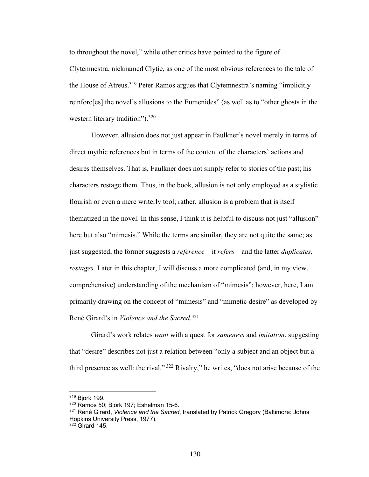to throughout the novel," while other critics have pointed to the figure of Clytemnestra, nicknamed Clytie, as one of the most obvious references to the tale of the House of Atreus.319 Peter Ramos argues that Clytemnestra's naming "implicitly reinforc[es] the novel's allusions to the Eumenides" (as well as to "other ghosts in the western literary tradition").<sup>320</sup>

However, allusion does not just appear in Faulkner's novel merely in terms of direct mythic references but in terms of the content of the characters' actions and desires themselves. That is, Faulkner does not simply refer to stories of the past; his characters restage them. Thus, in the book, allusion is not only employed as a stylistic flourish or even a mere writerly tool; rather, allusion is a problem that is itself thematized in the novel. In this sense, I think it is helpful to discuss not just "allusion" here but also "mimesis." While the terms are similar, they are not quite the same; as just suggested, the former suggests a *reference*—it *refers*—and the latter *duplicates, restages*. Later in this chapter, I will discuss a more complicated (and, in my view, comprehensive) understanding of the mechanism of "mimesis"; however, here, I am primarily drawing on the concept of "mimesis" and "mimetic desire" as developed by René Girard's in *Violence and the Sacred*. 321

Girard's work relates *want* with a quest for *sameness* and *imitation*, suggesting that "desire" describes not just a relation between "only a subject and an object but a third presence as well: the rival." <sup>322</sup> Rivalry," he writes, "does not arise because of the

<sup>319</sup> Björk 199.

<sup>320</sup> Ramos 50; Björk 197; Eshelman 15-6.

<sup>321</sup> René Girard, *Violence and the Sacred*, translated by Patrick Gregory (Baltimore: Johns Hopkins University Press, 1977).

<sup>322</sup> Girard 145.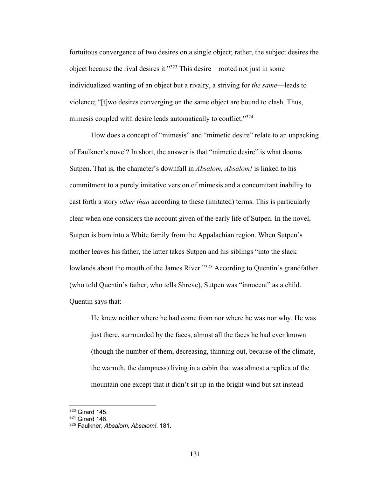fortuitous convergence of two desires on a single object; rather, the subject desires the object because the rival desires it."<sup>323</sup> This desire—rooted not just in some individualized wanting of an object but a rivalry, a striving for *the same*—leads to violence; "[t]wo desires converging on the same object are bound to clash. Thus, mimesis coupled with desire leads automatically to conflict."<sup>324</sup>

How does a concept of "mimesis" and "mimetic desire" relate to an unpacking of Faulkner's novel? In short, the answer is that "mimetic desire" is what dooms Sutpen. That is, the character's downfall in *Absalom, Absalom!* is linked to his commitment to a purely imitative version of mimesis and a concomitant inability to cast forth a story *other than* according to these (imitated) terms. This is particularly clear when one considers the account given of the early life of Sutpen. In the novel, Sutpen is born into a White family from the Appalachian region. When Sutpen's mother leaves his father, the latter takes Sutpen and his siblings "into the slack lowlands about the mouth of the James River."<sup>325</sup> According to Quentin's grandfather (who told Quentin's father, who tells Shreve), Sutpen was "innocent" as a child. Quentin says that:

He knew neither where he had come from nor where he was nor why. He was just there, surrounded by the faces, almost all the faces he had ever known (though the number of them, decreasing, thinning out, because of the climate, the warmth, the dampness) living in a cabin that was almost a replica of the mountain one except that it didn't sit up in the bright wind but sat instead

<sup>323</sup> Girard 145.

<sup>324</sup> Girard 146.

<sup>325</sup> Faulkner, *Absalom, Absalom!*, 181.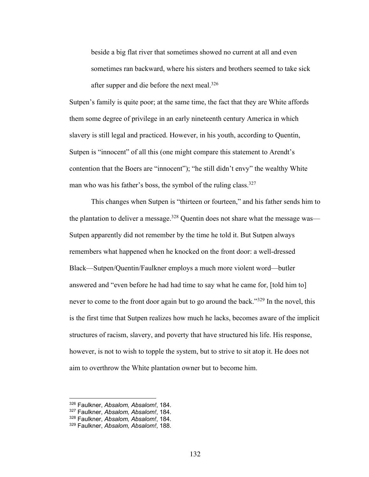beside a big flat river that sometimes showed no current at all and even sometimes ran backward, where his sisters and brothers seemed to take sick after supper and die before the next meal.<sup>326</sup>

Sutpen's family is quite poor; at the same time, the fact that they are White affords them some degree of privilege in an early nineteenth century America in which slavery is still legal and practiced. However, in his youth, according to Quentin, Sutpen is "innocent" of all this (one might compare this statement to Arendt's contention that the Boers are "innocent"); "he still didn't envy" the wealthy White man who was his father's boss, the symbol of the ruling class.<sup>327</sup>

This changes when Sutpen is "thirteen or fourteen," and his father sends him to the plantation to deliver a message.<sup>328</sup> Quentin does not share what the message was— Sutpen apparently did not remember by the time he told it. But Sutpen always remembers what happened when he knocked on the front door: a well-dressed Black—Sutpen/Quentin/Faulkner employs a much more violent word—butler answered and "even before he had had time to say what he came for, [told him to] never to come to the front door again but to go around the back."<sup>329</sup> In the novel, this is the first time that Sutpen realizes how much he lacks, becomes aware of the implicit structures of racism, slavery, and poverty that have structured his life. His response, however, is not to wish to topple the system, but to strive to sit atop it. He does not aim to overthrow the White plantation owner but to become him.

<sup>326</sup> Faulkner, *Absalom, Absalom!*, 184.

<sup>327</sup> Faulkner, *Absalom, Absalom!*, 184.

<sup>328</sup> Faulkner, *Absalom, Absalom!*, 184.

<sup>329</sup> Faulkner, *Absalom, Absalom!*, 188.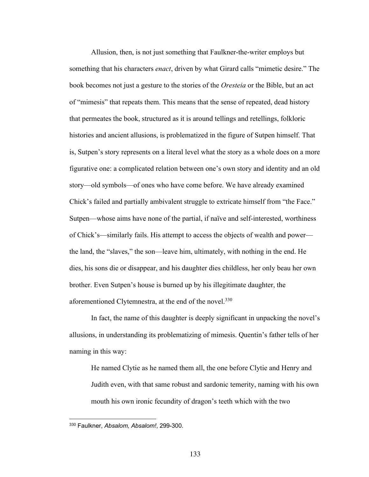Allusion, then, is not just something that Faulkner-the-writer employs but something that his characters *enact*, driven by what Girard calls "mimetic desire." The book becomes not just a gesture to the stories of the *Oresteia* or the Bible, but an act of "mimesis" that repeats them. This means that the sense of repeated, dead history that permeates the book, structured as it is around tellings and retellings, folkloric histories and ancient allusions, is problematized in the figure of Sutpen himself. That is, Sutpen's story represents on a literal level what the story as a whole does on a more figurative one: a complicated relation between one's own story and identity and an old story—old symbols—of ones who have come before. We have already examined Chick's failed and partially ambivalent struggle to extricate himself from "the Face." Sutpen—whose aims have none of the partial, if naïve and self-interested, worthiness of Chick's—similarly fails. His attempt to access the objects of wealth and power the land, the "slaves," the son—leave him, ultimately, with nothing in the end. He dies, his sons die or disappear, and his daughter dies childless, her only beau her own brother. Even Sutpen's house is burned up by his illegitimate daughter, the aforementioned Clytemnestra, at the end of the novel.<sup>330</sup>

In fact, the name of this daughter is deeply significant in unpacking the novel's allusions, in understanding its problematizing of mimesis. Quentin's father tells of her naming in this way:

He named Clytie as he named them all, the one before Clytie and Henry and Judith even, with that same robust and sardonic temerity, naming with his own mouth his own ironic fecundity of dragon's teeth which with the two

<sup>330</sup> Faulkner, *Absalom, Absalom!*, 299-300.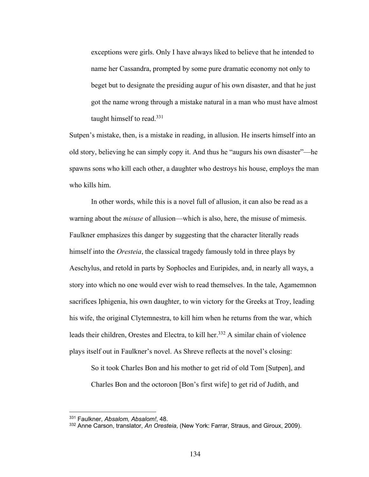exceptions were girls. Only I have always liked to believe that he intended to name her Cassandra, prompted by some pure dramatic economy not only to beget but to designate the presiding augur of his own disaster, and that he just got the name wrong through a mistake natural in a man who must have almost taught himself to read.331

Sutpen's mistake, then, is a mistake in reading, in allusion. He inserts himself into an old story, believing he can simply copy it. And thus he "augurs his own disaster"—he spawns sons who kill each other, a daughter who destroys his house, employs the man who kills him.

In other words, while this is a novel full of allusion, it can also be read as a warning about the *misuse* of allusion—which is also, here, the misuse of mimesis. Faulkner emphasizes this danger by suggesting that the character literally reads himself into the *Oresteia*, the classical tragedy famously told in three plays by Aeschylus, and retold in parts by Sophocles and Euripides, and, in nearly all ways, a story into which no one would ever wish to read themselves. In the tale, Agamemnon sacrifices Iphigenia, his own daughter, to win victory for the Greeks at Troy, leading his wife, the original Clytemnestra, to kill him when he returns from the war, which leads their children, Orestes and Electra, to kill her.<sup>332</sup> A similar chain of violence plays itself out in Faulkner's novel. As Shreve reflects at the novel's closing:

So it took Charles Bon and his mother to get rid of old Tom [Sutpen], and Charles Bon and the octoroon [Bon's first wife] to get rid of Judith, and

<sup>331</sup> Faulkner, *Absalom, Absalom!*, 48.

<sup>332</sup> Anne Carson, translator, *An Oresteia*, (New York: Farrar, Straus, and Giroux, 2009).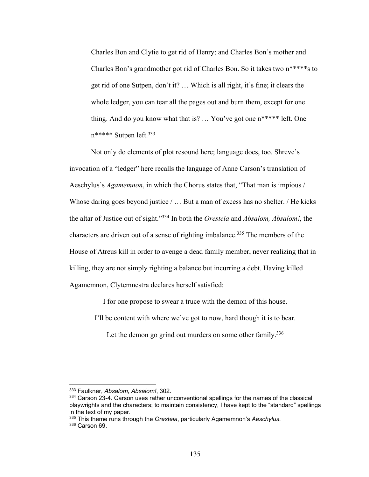Charles Bon and Clytie to get rid of Henry; and Charles Bon's mother and Charles Bon's grandmother got rid of Charles Bon. So it takes two n\*\*\*\*\*s to get rid of one Sutpen, don't it? … Which is all right, it's fine; it clears the whole ledger, you can tear all the pages out and burn them, except for one thing. And do you know what that is? … You've got one n\*\*\*\*\* left. One n\*\*\*\*\* Sutpen left.333

Not only do elements of plot resound here; language does, too. Shreve's invocation of a "ledger" here recalls the language of Anne Carson's translation of Aeschylus's *Agamemnon*, in which the Chorus states that, "That man is impious / Whose daring goes beyond justice / ... But a man of excess has no shelter. / He kicks the altar of Justice out of sight."334 In both the *Oresteia* and *Absalom, Absalom!*, the characters are driven out of a sense of righting imbalance.335 The members of the House of Atreus kill in order to avenge a dead family member, never realizing that in killing, they are not simply righting a balance but incurring a debt. Having killed Agamemnon, Clytemnestra declares herself satisfied:

I for one propose to swear a truce with the demon of this house.

I'll be content with where we've got to now, hard though it is to bear.

Let the demon go grind out murders on some other family.<sup>336</sup>

<sup>333</sup> Faulkner, *Absalom, Absalom!*, 302.

<sup>&</sup>lt;sup>334</sup> Carson 23-4. Carson uses rather unconventional spellings for the names of the classical playwrights and the characters; to maintain consistency, I have kept to the "standard" spellings in the text of my paper.

<sup>335</sup> This theme runs through the *Oresteia*, particularly Agamemnon's *Aeschylus*. <sup>336</sup> Carson 69.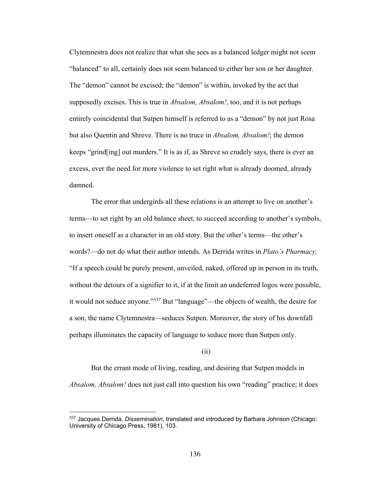Clytemnestra does not realize that what she sees as a balanced ledger might not seem "balanced" to all, certainly does not seem balanced to either her son or her daughter. The "demon" cannot be excised; the "demon" is within, invoked by the act that supposedly excises. This is true in *Absalom, Absalom!*, too, and it is not perhaps entirely coincidental that Sutpen himself is referred to as a "demon" by not just Rosa but also Quentin and Shreve. There is no truce in *Absalom, Absalom!*; the demon keeps "grind[ing] out murders." It is as if, as Shreve so crudely says, there is ever an excess, ever the need for more violence to set right what is already doomed, already damned.

The error that undergirds all these relations is an attempt to live on another's terms—to set right by an old balance sheet, to succeed according to another's symbols, to insert oneself as a character in an old story. But the other's terms—the other's words?—do not do what their author intends. As Derrida writes in *Plato's Pharmacy,*  "If a speech could be purely present, unveiled, naked, offered up in person in its truth, without the detours of a signifier to it, if at the limit an undeferred logos were possible, it would not seduce anyone."337 But "language"—the objects of wealth, the desire for a son, the name Clytemnestra—seduces Sutpen. Moreover, the story of his downfall perhaps illuminates the capacity of language to seduce more than Sutpen only.

### (ii)

But the errant mode of living, reading, and desiring that Sutpen models in *Absalom, Absalom!* does not just call into question his own "reading" practice; it does

<sup>337</sup> Jacques Derrida, *Dissemination*, translated and introduced by Barbara Johnson (Chicago: University of Chicago Press, 1981), 103.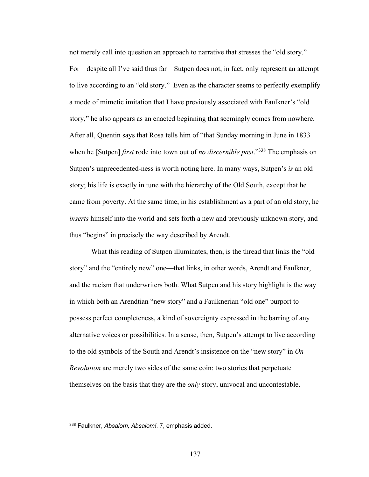not merely call into question an approach to narrative that stresses the "old story." For—despite all I've said thus far—Sutpen does not, in fact, only represent an attempt to live according to an "old story." Even as the character seems to perfectly exemplify a mode of mimetic imitation that I have previously associated with Faulkner's "old story," he also appears as an enacted beginning that seemingly comes from nowhere. After all, Quentin says that Rosa tells him of "that Sunday morning in June in 1833 when he [Sutpen] *first* rode into town out of *no discernible past*."338 The emphasis on Sutpen's unprecedented-ness is worth noting here. In many ways, Sutpen's *is* an old story; his life is exactly in tune with the hierarchy of the Old South, except that he came from poverty. At the same time, in his establishment *as* a part of an old story, he *inserts* himself into the world and sets forth a new and previously unknown story, and thus "begins" in precisely the way described by Arendt.

What this reading of Sutpen illuminates, then, is the thread that links the "old story" and the "entirely new" one—that links, in other words, Arendt and Faulkner, and the racism that underwriters both. What Sutpen and his story highlight is the way in which both an Arendtian "new story" and a Faulknerian "old one" purport to possess perfect completeness, a kind of sovereignty expressed in the barring of any alternative voices or possibilities. In a sense, then, Sutpen's attempt to live according to the old symbols of the South and Arendt's insistence on the "new story" in *On Revolution* are merely two sides of the same coin: two stories that perpetuate themselves on the basis that they are the *only* story, univocal and uncontestable.

<sup>338</sup> Faulkner, *Absalom, Absalom!*, 7, emphasis added.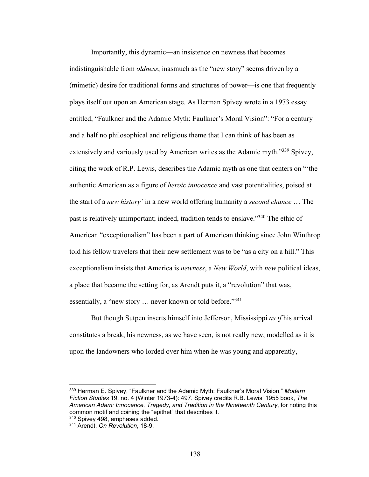Importantly, this dynamic—an insistence on newness that becomes indistinguishable from *oldness*, inasmuch as the "new story" seems driven by a (mimetic) desire for traditional forms and structures of power—is one that frequently plays itself out upon an American stage. As Herman Spivey wrote in a 1973 essay entitled, "Faulkner and the Adamic Myth: Faulkner's Moral Vision": "For a century and a half no philosophical and religious theme that I can think of has been as extensively and variously used by American writes as the Adamic myth."339 Spivey, citing the work of R.P. Lewis, describes the Adamic myth as one that centers on "'the authentic American as a figure of *heroic innocence* and vast potentialities, poised at the start of a *new history'* in a new world offering humanity a *second chance* … The past is relatively unimportant; indeed, tradition tends to enslave."340 The ethic of American "exceptionalism" has been a part of American thinking since John Winthrop told his fellow travelers that their new settlement was to be "as a city on a hill." This exceptionalism insists that America is *newness*, a *New World*, with *new* political ideas, a place that became the setting for, as Arendt puts it, a "revolution" that was, essentially, a "new story ... never known or told before."<sup>341</sup>

But though Sutpen inserts himself into Jefferson, Mississippi *as if* his arrival constitutes a break, his newness, as we have seen, is not really new, modelled as it is upon the landowners who lorded over him when he was young and apparently,

<sup>339</sup> Herman E. Spivey, "Faulkner and the Adamic Myth: Faulkner's Moral Vision," *Modern Fiction Studies* 19, no. 4 (Winter 1973-4): 497. Spivey credits R.B. Lewis' 1955 book, *The American Adam: Innocence, Tragedy, and Tradition in the Nineteenth Century*, for noting this common motif and coining the "epithet" that describes it.

<sup>340</sup> Spivey 498, emphases added.

<sup>341</sup> Arendt, *On Revolution*, 18-9.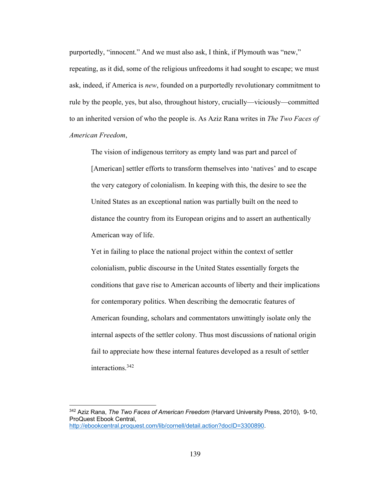purportedly, "innocent." And we must also ask, I think, if Plymouth was "new," repeating, as it did, some of the religious unfreedoms it had sought to escape; we must ask, indeed, if America is *new*, founded on a purportedly revolutionary commitment to rule by the people, yes, but also, throughout history, crucially—viciously—committed to an inherited version of who the people is. As Aziz Rana writes in *The Two Faces of American Freedom*,

The vision of indigenous territory as empty land was part and parcel of [American] settler efforts to transform themselves into 'natives' and to escape the very category of colonialism. In keeping with this, the desire to see the United States as an exceptional nation was partially built on the need to distance the country from its European origins and to assert an authentically American way of life.

Yet in failing to place the national project within the context of settler colonialism, public discourse in the United States essentially forgets the conditions that gave rise to American accounts of liberty and their implications for contemporary politics. When describing the democratic features of American founding, scholars and commentators unwittingly isolate only the internal aspects of the settler colony. Thus most discussions of national origin fail to appreciate how these internal features developed as a result of settler interactions.342

<sup>342</sup> Aziz Rana, *The Two Faces of American Freedom* (Harvard University Press, 2010), 9-10, ProQuest Ebook Central, http://ebookcentral.proquest.com/lib/cornell/detail.action?docID=3300890.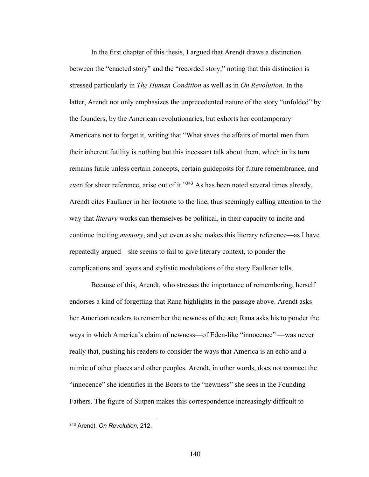In the first chapter of this thesis, I argued that Arendt draws a distinction between the "enacted story" and the "recorded story," noting that this distinction is stressed particularly in *The Human Condition* as well as in *On Revolution*. In the latter, Arendt not only emphasizes the unprecedented nature of the story "unfolded" by the founders, by the American revolutionaries, but exhorts her contemporary Americans not to forget it, writing that "What saves the affairs of mortal men from their inherent futility is nothing but this incessant talk about them, which in its turn remains futile unless certain concepts, certain guideposts for future remembrance, and even for sheer reference, arise out of it."<sup>343</sup> As has been noted several times already, Arendt cites Faulkner in her footnote to the line, thus seemingly calling attention to the way that *literary* works can themselves be political, in their capacity to incite and continue inciting *memory*, and yet even as she makes this literary reference—as I have repeatedly argued—she seems to fail to give literary context, to ponder the complications and layers and stylistic modulations of the story Faulkner tells.

Because of this, Arendt, who stresses the importance of remembering, herself endorses a kind of forgetting that Rana highlights in the passage above. Arendt asks her American readers to remember the newness of the act; Rana asks his to ponder the ways in which America's claim of newness—of Eden-like "innocence" —was never really that, pushing his readers to consider the ways that America is an echo and a mimic of other places and other peoples. Arendt, in other words, does not connect the "innocence" she identifies in the Boers to the "newness" she sees in the Founding Fathers. The figure of Sutpen makes this correspondence increasingly difficult to

<sup>343</sup> Arendt, *On Revolution*, 212.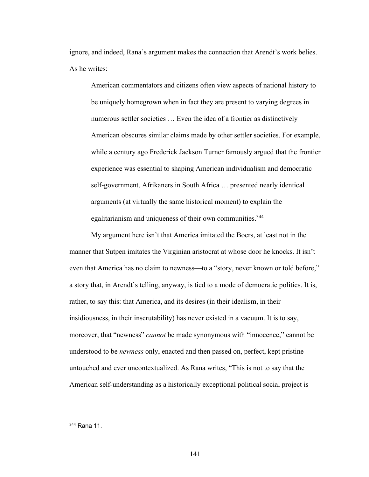ignore, and indeed, Rana's argument makes the connection that Arendt's work belies. As he writes:

American commentators and citizens often view aspects of national history to be uniquely homegrown when in fact they are present to varying degrees in numerous settler societies … Even the idea of a frontier as distinctively American obscures similar claims made by other settler societies. For example, while a century ago Frederick Jackson Turner famously argued that the frontier experience was essential to shaping American individualism and democratic self-government, Afrikaners in South Africa … presented nearly identical arguments (at virtually the same historical moment) to explain the egalitarianism and uniqueness of their own communities.<sup>344</sup>

My argument here isn't that America imitated the Boers, at least not in the manner that Sutpen imitates the Virginian aristocrat at whose door he knocks. It isn't even that America has no claim to newness—to a "story, never known or told before," a story that, in Arendt's telling, anyway, is tied to a mode of democratic politics. It is, rather, to say this: that America, and its desires (in their idealism, in their insidiousness, in their inscrutability) has never existed in a vacuum. It is to say, moreover, that "newness" *cannot* be made synonymous with "innocence," cannot be understood to be *newness* only, enacted and then passed on, perfect, kept pristine untouched and ever uncontextualized. As Rana writes, "This is not to say that the American self-understanding as a historically exceptional political social project is

<sup>344</sup> Rana 11.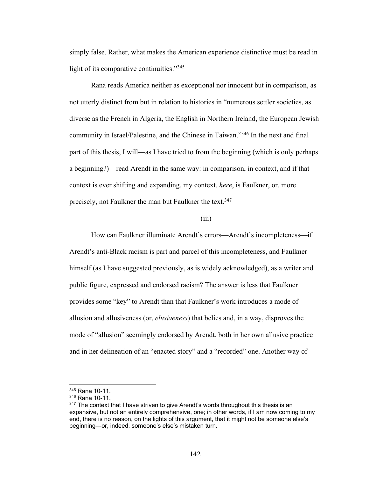simply false. Rather, what makes the American experience distinctive must be read in light of its comparative continuities."<sup>345</sup>

Rana reads America neither as exceptional nor innocent but in comparison, as not utterly distinct from but in relation to histories in "numerous settler societies, as diverse as the French in Algeria, the English in Northern Ireland, the European Jewish community in Israel/Palestine, and the Chinese in Taiwan."346 In the next and final part of this thesis, I will—as I have tried to from the beginning (which is only perhaps a beginning?)—read Arendt in the same way: in comparison, in context, and if that context is ever shifting and expanding, my context, *here*, is Faulkner, or, more precisely, not Faulkner the man but Faulkner the text.<sup>347</sup>

## $(iii)$

How can Faulkner illuminate Arendt's errors—Arendt's incompleteness—if Arendt's anti-Black racism is part and parcel of this incompleteness, and Faulkner himself (as I have suggested previously, as is widely acknowledged), as a writer and public figure, expressed and endorsed racism? The answer is less that Faulkner provides some "key" to Arendt than that Faulkner's work introduces a mode of allusion and allusiveness (or, *elusiveness*) that belies and, in a way, disproves the mode of "allusion" seemingly endorsed by Arendt, both in her own allusive practice and in her delineation of an "enacted story" and a "recorded" one. Another way of

<sup>345</sup> Rana 10-11.

<sup>346</sup> Rana 10-11.

 $347$  The context that I have striven to give Arendt's words throughout this thesis is an expansive, but not an entirely comprehensive, one; in other words, if I am now coming to my end, there is no reason, on the lights of this argument, that it might not be someone else's beginning—or, indeed, someone's else's mistaken turn.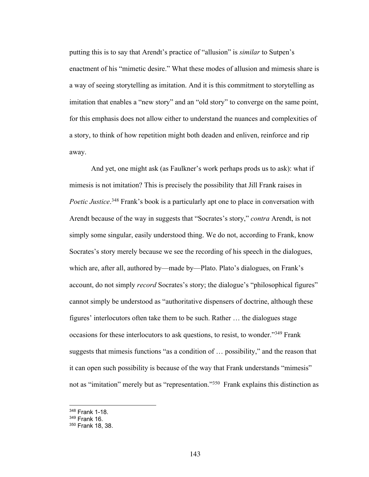putting this is to say that Arendt's practice of "allusion" is *similar* to Sutpen's enactment of his "mimetic desire." What these modes of allusion and mimesis share is a way of seeing storytelling as imitation. And it is this commitment to storytelling as imitation that enables a "new story" and an "old story" to converge on the same point, for this emphasis does not allow either to understand the nuances and complexities of a story, to think of how repetition might both deaden and enliven, reinforce and rip away.

And yet, one might ask (as Faulkner's work perhaps prods us to ask): what if mimesis is not imitation? This is precisely the possibility that Jill Frank raises in Poetic Justice.<sup>348</sup> Frank's book is a particularly apt one to place in conversation with Arendt because of the way in suggests that "Socrates's story," *contra* Arendt, is not simply some singular, easily understood thing. We do not, according to Frank, know Socrates's story merely because we see the recording of his speech in the dialogues, which are, after all, authored by—made by—Plato. Plato's dialogues, on Frank's account, do not simply *record* Socrates's story; the dialogue's "philosophical figures" cannot simply be understood as "authoritative dispensers of doctrine, although these figures' interlocutors often take them to be such. Rather … the dialogues stage occasions for these interlocutors to ask questions, to resist, to wonder."349 Frank suggests that mimesis functions "as a condition of … possibility," and the reason that it can open such possibility is because of the way that Frank understands "mimesis" not as "imitation" merely but as "representation."350 Frank explains this distinction as

<sup>348</sup> Frank 1-18.

<sup>349</sup> Frank 16.

<sup>350</sup> Frank 18, 38.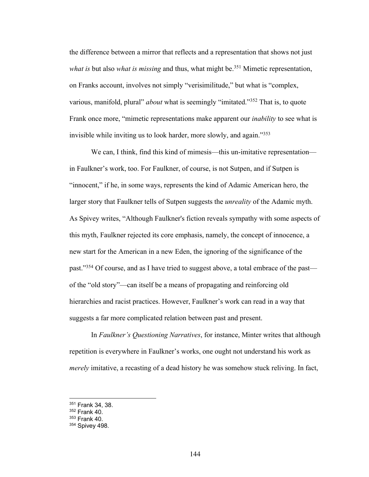the difference between a mirror that reflects and a representation that shows not just *what is but also <i>what is missing* and thus, what might be.<sup>351</sup> Mimetic representation, on Franks account, involves not simply "verisimilitude," but what is "complex, various, manifold, plural" *about* what is seemingly "imitated."352 That is, to quote Frank once more, "mimetic representations make apparent our *inability* to see what is invisible while inviting us to look harder, more slowly, and again."<sup>353</sup>

We can, I think, find this kind of mimesis—this un-imitative representation in Faulkner's work, too. For Faulkner, of course, is not Sutpen, and if Sutpen is "innocent," if he, in some ways, represents the kind of Adamic American hero, the larger story that Faulkner tells of Sutpen suggests the *unreality* of the Adamic myth. As Spivey writes, "Although Faulkner's fiction reveals sympathy with some aspects of this myth, Faulkner rejected its core emphasis, namely, the concept of innocence, a new start for the American in a new Eden, the ignoring of the significance of the past."354 Of course, and as I have tried to suggest above, a total embrace of the past of the "old story"—can itself be a means of propagating and reinforcing old hierarchies and racist practices. However, Faulkner's work can read in a way that suggests a far more complicated relation between past and present.

In *Faulkner's Questioning Narratives*, for instance, Minter writes that although repetition is everywhere in Faulkner's works, one ought not understand his work as *merely* imitative, a recasting of a dead history he was somehow stuck reliving. In fact,

<sup>351</sup> Frank 34, 38.

<sup>352</sup> Frank 40.

<sup>353</sup> Frank 40.

<sup>354</sup> Spivey 498.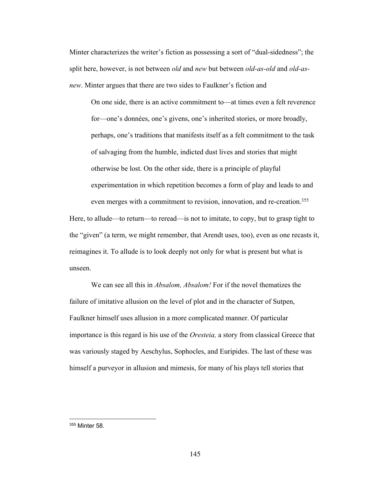Minter characterizes the writer's fiction as possessing a sort of "dual-sidedness"; the split here, however, is not between *old* and *new* but between *old-as-old* and *old-asnew*. Minter argues that there are two sides to Faulkner's fiction and

On one side, there is an active commitment to—at times even a felt reverence for—one's données, one's givens, one's inherited stories, or more broadly, perhaps, one's traditions that manifests itself as a felt commitment to the task of salvaging from the humble, indicted dust lives and stories that might otherwise be lost. On the other side, there is a principle of playful experimentation in which repetition becomes a form of play and leads to and even merges with a commitment to revision, innovation, and re-creation.<sup>355</sup>

Here, to allude—to return—to reread—is not to imitate, to copy, but to grasp tight to the "given" (a term, we might remember, that Arendt uses, too), even as one recasts it, reimagines it. To allude is to look deeply not only for what is present but what is unseen.

We can see all this in *Absalom, Absalom!* For if the novel thematizes the failure of imitative allusion on the level of plot and in the character of Sutpen, Faulkner himself uses allusion in a more complicated manner. Of particular importance is this regard is his use of the *Oresteia,* a story from classical Greece that was variously staged by Aeschylus, Sophocles, and Euripides. The last of these was himself a purveyor in allusion and mimesis, for many of his plays tell stories that

<sup>355</sup> Minter 58.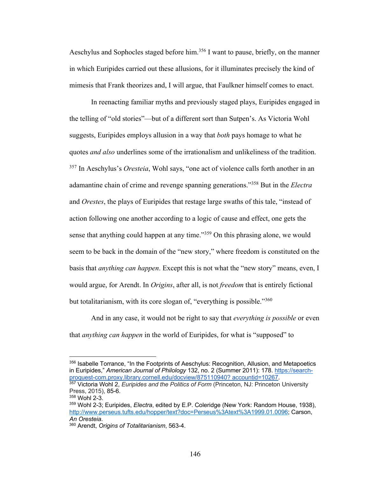Aeschylus and Sophocles staged before him.<sup>356</sup> I want to pause, briefly, on the manner in which Euripides carried out these allusions, for it illuminates precisely the kind of mimesis that Frank theorizes and, I will argue, that Faulkner himself comes to enact.

In reenacting familiar myths and previously staged plays, Euripides engaged in the telling of "old stories"—but of a different sort than Sutpen's. As Victoria Wohl suggests, Euripides employs allusion in a way that *both* pays homage to what he quotes *and also* underlines some of the irrationalism and unlikeliness of the tradition. <sup>357</sup> In Aeschylus's *Oresteia*, Wohl says, "one act of violence calls forth another in an adamantine chain of crime and revenge spanning generations."358 But in the *Electra*  and *Orestes*, the plays of Euripides that restage large swaths of this tale, "instead of action following one another according to a logic of cause and effect, one gets the sense that anything could happen at any time."359 On this phrasing alone, we would seem to be back in the domain of the "new story," where freedom is constituted on the basis that *anything can happen*. Except this is not what the "new story" means, even, I would argue, for Arendt. In *Origins*, after all, is not *freedom* that is entirely fictional but totalitarianism, with its core slogan of, "everything is possible."<sup>360</sup>

And in any case, it would not be right to say that *everything is possible* or even that *anything can happen* in the world of Euripides, for what is "supposed" to

<sup>356</sup> Isabelle Torrance, "In the Footprints of Aeschylus: Recognition, Allusion, and Metapoetics in Euripides," *American Journal of Philology* 132, no. 2 (Summer 2011): 178. https://searchproquest-com.proxy.library.cornell.edu/docview/875110940? accountid=10267.

<sup>357</sup> Victoria Wohl 2, *Euripides and the Politics of Form* (Princeton, NJ: Princeton University Press, 2015), 85-6. <sup>358</sup> Wohl 2-3.

<sup>359</sup> Wohl 2-3; Euripides, *Electra*, edited by E.P. Coleridge (New York: Random House, 1938), http://www.perseus.tufts.edu/hopper/text?doc=Perseus%3Atext%3A1999.01.0096; Carson, *An Oresteia*.

<sup>360</sup> Arendt, *Origins of Totalitarianism*, 563-4.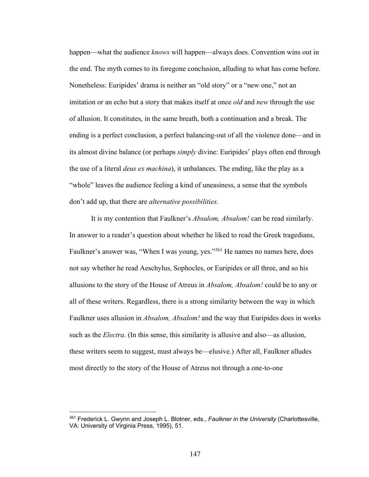happen—what the audience *knows* will happen—always does. Convention wins out in the end. The myth comes to its foregone conclusion, alluding to what has come before. Nonetheless: Euripides' drama is neither an "old story" or a "new one," not an imitation or an echo but a story that makes itself at once *old* and *new* through the use of allusion. It constitutes, in the same breath, both a continuation and a break. The ending is a perfect conclusion, a perfect balancing-out of all the violence done—and in its almost divine balance (or perhaps *simply* divine: Euripides' plays often end through the use of a literal *deus ex machina*), it unbalances. The ending, like the play as a "whole" leaves the audience feeling a kind of uneasiness, a sense that the symbols don't add up, that there are *alternative possibilities.*

It is my contention that Faulkner's *Absalom, Absalom!* can be read similarly. In answer to a reader's question about whether he liked to read the Greek tragedians, Faulkner's answer was, "When I was young, yes."361 He names no names here, does not say whether he read Aeschylus, Sophocles, or Euripides or all three, and so his allusions to the story of the House of Atreus in *Absalom, Absalom!* could be to any or all of these writers. Regardless, there is a strong similarity between the way in which Faulkner uses allusion in *Absalom, Absalom!* and the way that Euripides does in works such as the *Electra*. (In this sense, this similarity is allusive and also—as allusion, these writers seem to suggest, must always be—elusive.) After all, Faulkner alludes most directly to the story of the House of Atreus not through a one-to-one

<sup>361</sup> Frederick L. Gwynn and Joseph L. Blotner, eds., *Faulkner in the University* (Charlottesville, VA: University of Virginia Press, 1995), 51.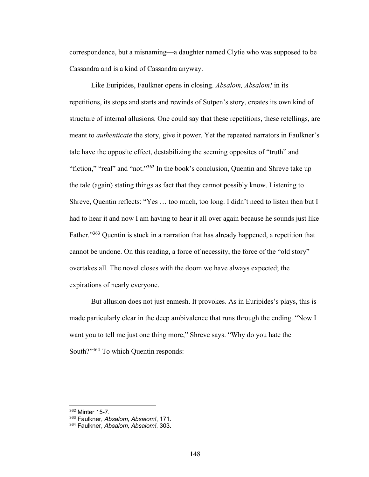correspondence, but a misnaming—a daughter named Clytie who was supposed to be Cassandra and is a kind of Cassandra anyway.

Like Euripides, Faulkner opens in closing. *Absalom, Absalom!* in its repetitions, its stops and starts and rewinds of Sutpen's story, creates its own kind of structure of internal allusions. One could say that these repetitions, these retellings, are meant to *authenticate* the story, give it power. Yet the repeated narrators in Faulkner's tale have the opposite effect, destabilizing the seeming opposites of "truth" and "fiction," "real" and "not."<sup>362</sup> In the book's conclusion, Quentin and Shreve take up the tale (again) stating things as fact that they cannot possibly know. Listening to Shreve, Quentin reflects: "Yes … too much, too long. I didn't need to listen then but I had to hear it and now I am having to hear it all over again because he sounds just like Father."<sup>363</sup> Quentin is stuck in a narration that has already happened, a repetition that cannot be undone. On this reading, a force of necessity, the force of the "old story" overtakes all. The novel closes with the doom we have always expected; the expirations of nearly everyone.

But allusion does not just enmesh. It provokes. As in Euripides's plays, this is made particularly clear in the deep ambivalence that runs through the ending. "Now I want you to tell me just one thing more," Shreve says. "Why do you hate the South?"364 To which Quentin responds:

<sup>362</sup> Minter 15-7.

<sup>363</sup> Faulkner, *Absalom, Absalom!*, 171.

<sup>364</sup> Faulkner, *Absalom, Absalom!*, 303.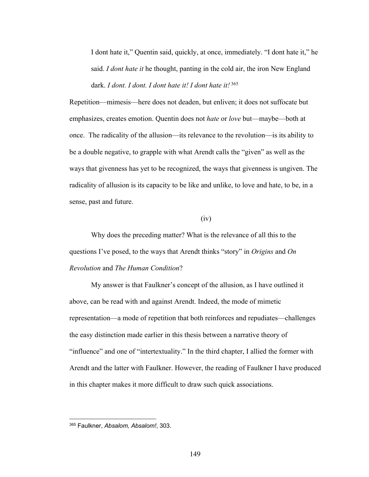I dont hate it," Quentin said, quickly, at once, immediately. "I dont hate it," he said. *I dont hate it* he thought, panting in the cold air, the iron New England dark. *I dont. I dont. I dont hate it! I dont hate it!* <sup>365</sup>

Repetition—mimesis—here does not deaden, but enliven; it does not suffocate but emphasizes, creates emotion. Quentin does not *hate* or *love* but—maybe—both at once. The radicality of the allusion—its relevance to the revolution—is its ability to be a double negative, to grapple with what Arendt calls the "given" as well as the ways that givenness has yet to be recognized, the ways that givenness is ungiven. The radicality of allusion is its capacity to be like and unlike, to love and hate, to be, in a sense, past and future.

## (iv)

Why does the preceding matter? What is the relevance of all this to the questions I've posed, to the ways that Arendt thinks "story" in *Origins* and *On Revolution* and *The Human Condition*?

My answer is that Faulkner's concept of the allusion, as I have outlined it above, can be read with and against Arendt. Indeed, the mode of mimetic representation—a mode of repetition that both reinforces and repudiates—challenges the easy distinction made earlier in this thesis between a narrative theory of "influence" and one of "intertextuality." In the third chapter, I allied the former with Arendt and the latter with Faulkner. However, the reading of Faulkner I have produced in this chapter makes it more difficult to draw such quick associations.

<sup>365</sup> Faulkner, *Absalom, Absalom!*, 303.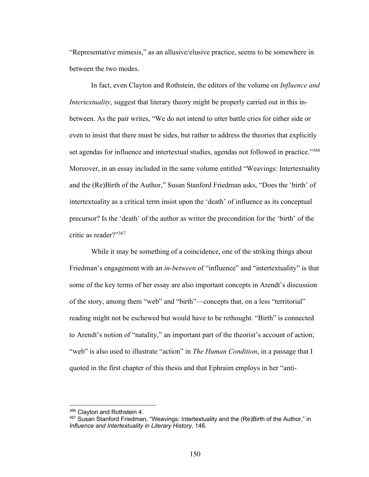"Representative mimesis," as an allusive/elusive practice, seems to be somewhere in between the two modes.

In fact, even Clayton and Rothstein, the editors of the volume on *Influence and Intertextuality*, suggest that literary theory might be properly carried out in this inbetween. As the pair writes, "We do not intend to utter battle cries for either side or even to insist that there must be sides, but rather to address the theories that explicitly set agendas for influence and intertextual studies, agendas not followed in practice."<sup>366</sup> Moreover, in an essay included in the same volume entitled "Weavings: Intertextuality and the (Re)Birth of the Author," Susan Stanford Friedman asks, "Does the 'birth' of intertextuality as a critical term insist upon the 'death' of influence as its conceptual precursor? Is the 'death' of the author as writer the precondition for the 'birth' of the critic as reader?"367

While it may be something of a coincidence, one of the striking things about Friedman's engagement with an *in-between* of "influence" and "intertextuality" is that some of the key terms of her essay are also important concepts in Arendt's discussion of the story, among them "web" and "birth"—concepts that, on a less "territorial" reading might not be eschewed but would have to be rethought. "Birth" is connected to Arendt's notion of "natality," an important part of the theorist's account of action; "web" is also used to illustrate "action" in *The Human Condition*, in a passage that I quoted in the first chapter of this thesis and that Ephraim employs in her "anti-

<sup>366</sup> Clayton and Rothstein 4.

<sup>&</sup>lt;sup>367</sup> Susan Stanford Friedman, "Weavings: Intertextuality and the (Re)Birth of the Author," in *Influence and Intertextuality in Literary History*, 146.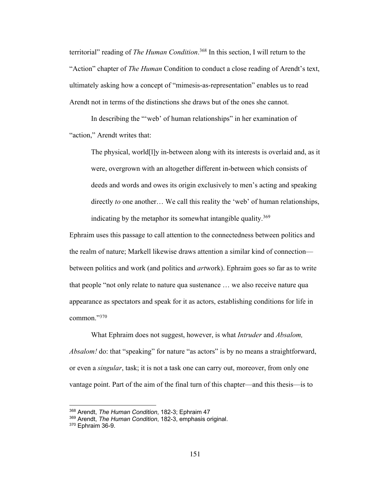territorial" reading of *The Human Condition*. <sup>368</sup> In this section, I will return to the "Action" chapter of *The Human* Condition to conduct a close reading of Arendt's text, ultimately asking how a concept of "mimesis-as-representation" enables us to read Arendt not in terms of the distinctions she draws but of the ones she cannot.

In describing the "'web' of human relationships" in her examination of "action," Arendt writes that:

The physical, world[l]y in-between along with its interests is overlaid and, as it were, overgrown with an altogether different in-between which consists of deeds and words and owes its origin exclusively to men's acting and speaking directly *to* one another… We call this reality the 'web' of human relationships, indicating by the metaphor its somewhat intangible quality. $369$ 

Ephraim uses this passage to call attention to the connectedness between politics and the realm of nature; Markell likewise draws attention a similar kind of connection between politics and work (and politics and *art*work). Ephraim goes so far as to write that people "not only relate to nature qua sustenance … we also receive nature qua appearance as spectators and speak for it as actors, establishing conditions for life in common."370

What Ephraim does not suggest, however, is what *Intruder* and *Absalom, Absalom!* do: that "speaking" for nature "as actors" is by no means a straightforward, or even a *singular*, task; it is not a task one can carry out, moreover, from only one vantage point. Part of the aim of the final turn of this chapter—and this thesis—is to

<sup>368</sup> Arendt, *The Human Condition*, 182-3; Ephraim 47

<sup>369</sup> Arendt, *The Human Condition*, 182-3, emphasis original.

<sup>370</sup> Ephraim 36-9.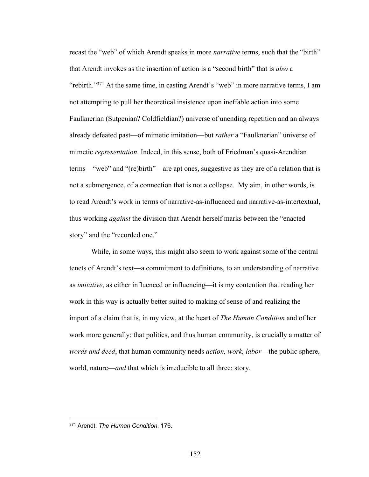recast the "web" of which Arendt speaks in more *narrative* terms, such that the "birth" that Arendt invokes as the insertion of action is a "second birth" that is *also* a "rebirth."<sup>371</sup> At the same time, in casting Arendt's "web" in more narrative terms, I am not attempting to pull her theoretical insistence upon ineffable action into some Faulknerian (Sutpenian? Coldfieldian?) universe of unending repetition and an always already defeated past—of mimetic imitation—but *rather* a "Faulknerian" universe of mimetic *representation*. Indeed, in this sense, both of Friedman's quasi-Arendtian terms—"web" and "(re)birth"—are apt ones, suggestive as they are of a relation that is not a submergence, of a connection that is not a collapse. My aim, in other words, is to read Arendt's work in terms of narrative-as-influenced and narrative-as-intertextual, thus working *against* the division that Arendt herself marks between the "enacted story" and the "recorded one."

While, in some ways, this might also seem to work against some of the central tenets of Arendt's text—a commitment to definitions, to an understanding of narrative as *imitative*, as either influenced or influencing—it is my contention that reading her work in this way is actually better suited to making of sense of and realizing the import of a claim that is, in my view, at the heart of *The Human Condition* and of her work more generally: that politics, and thus human community, is crucially a matter of *words and deed*, that human community needs *action, work, labor*—the public sphere, world, nature—*and* that which is irreducible to all three: story.

<sup>371</sup> Arendt, *The Human Condition*, 176.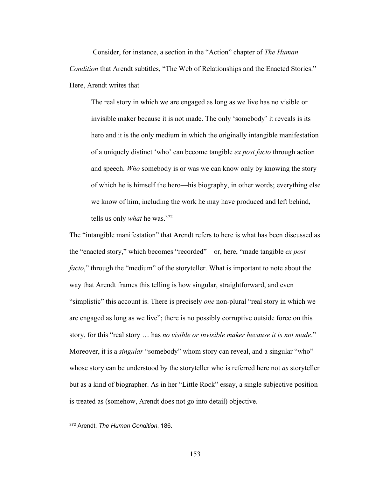Consider, for instance, a section in the "Action" chapter of *The Human Condition* that Arendt subtitles, "The Web of Relationships and the Enacted Stories." Here, Arendt writes that

The real story in which we are engaged as long as we live has no visible or invisible maker because it is not made. The only 'somebody' it reveals is its hero and it is the only medium in which the originally intangible manifestation of a uniquely distinct 'who' can become tangible *ex post facto* through action and speech. *Who* somebody is or was we can know only by knowing the story of which he is himself the hero—his biography, in other words; everything else we know of him, including the work he may have produced and left behind, tells us only *what* he was.372

The "intangible manifestation" that Arendt refers to here is what has been discussed as the "enacted story," which becomes "recorded"—or, here, "made tangible *ex post facto*," through the "medium" of the storyteller. What is important to note about the way that Arendt frames this telling is how singular, straightforward, and even "simplistic" this account is. There is precisely *one* non-plural "real story in which we are engaged as long as we live"; there is no possibly corruptive outside force on this story, for this "real story … has *no visible or invisible maker because it is not made*." Moreover, it is a *singular* "somebody" whom story can reveal, and a singular "who" whose story can be understood by the storyteller who is referred here not *as* storyteller but as a kind of biographer. As in her "Little Rock" essay, a single subjective position is treated as (somehow, Arendt does not go into detail) objective.

<sup>372</sup> Arendt, *The Human Condition*, 186.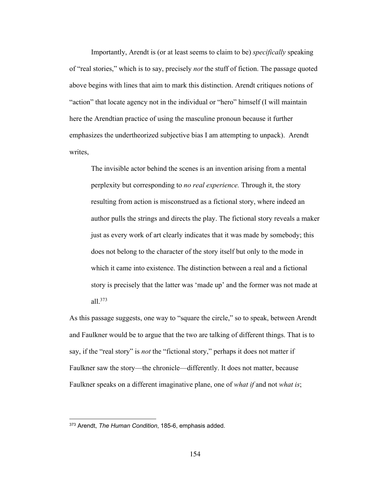Importantly, Arendt is (or at least seems to claim to be) *specifically* speaking of "real stories," which is to say, precisely *not* the stuff of fiction. The passage quoted above begins with lines that aim to mark this distinction. Arendt critiques notions of "action" that locate agency not in the individual or "hero" himself (I will maintain here the Arendtian practice of using the masculine pronoun because it further emphasizes the undertheorized subjective bias I am attempting to unpack). Arendt writes,

The invisible actor behind the scenes is an invention arising from a mental perplexity but corresponding to *no real experience.* Through it, the story resulting from action is misconstrued as a fictional story, where indeed an author pulls the strings and directs the play. The fictional story reveals a maker just as every work of art clearly indicates that it was made by somebody; this does not belong to the character of the story itself but only to the mode in which it came into existence. The distinction between a real and a fictional story is precisely that the latter was 'made up' and the former was not made at all.373

As this passage suggests, one way to "square the circle," so to speak, between Arendt and Faulkner would be to argue that the two are talking of different things. That is to say, if the "real story" is *not* the "fictional story," perhaps it does not matter if Faulkner saw the story—the chronicle—differently. It does not matter, because Faulkner speaks on a different imaginative plane, one of *what if* and not *what is*;

<sup>373</sup> Arendt, *The Human Condition*, 185-6, emphasis added.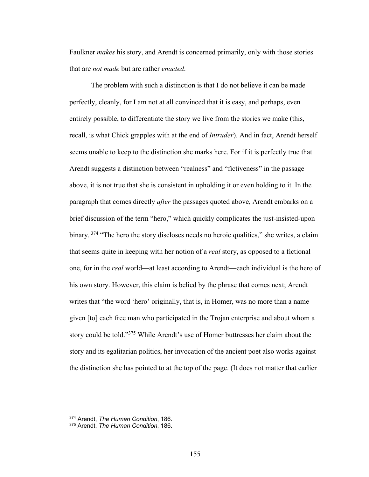Faulkner *makes* his story, and Arendt is concerned primarily, only with those stories that are *not made* but are rather *enacted*.

The problem with such a distinction is that I do not believe it can be made perfectly, cleanly, for I am not at all convinced that it is easy, and perhaps, even entirely possible, to differentiate the story we live from the stories we make (this, recall, is what Chick grapples with at the end of *Intruder*). And in fact, Arendt herself seems unable to keep to the distinction she marks here. For if it is perfectly true that Arendt suggests a distinction between "realness" and "fictiveness" in the passage above, it is not true that she is consistent in upholding it or even holding to it. In the paragraph that comes directly *after* the passages quoted above, Arendt embarks on a brief discussion of the term "hero," which quickly complicates the just-insisted-upon binary. <sup>374</sup> "The hero the story discloses needs no heroic qualities," she writes, a claim that seems quite in keeping with her notion of a *real* story, as opposed to a fictional one, for in the *real* world—at least according to Arendt—each individual is the hero of his own story. However, this claim is belied by the phrase that comes next; Arendt writes that "the word 'hero' originally, that is, in Homer, was no more than a name given [to] each free man who participated in the Trojan enterprise and about whom a story could be told."375 While Arendt's use of Homer buttresses her claim about the story and its egalitarian politics, her invocation of the ancient poet also works against the distinction she has pointed to at the top of the page. (It does not matter that earlier

<sup>374</sup> Arendt, *The Human Condition*, 186.

<sup>375</sup> Arendt, *The Human Condition*, 186.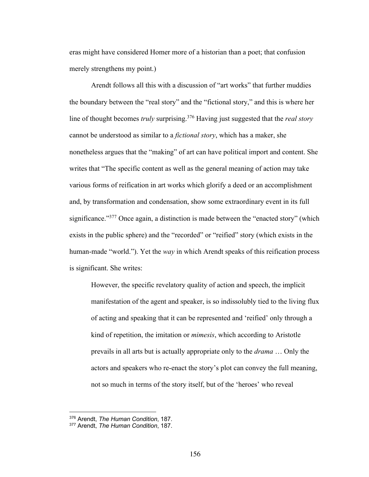eras might have considered Homer more of a historian than a poet; that confusion merely strengthens my point.)

Arendt follows all this with a discussion of "art works" that further muddies the boundary between the "real story" and the "fictional story," and this is where her line of thought becomes *truly* surprising.376 Having just suggested that the *real story*  cannot be understood as similar to a *fictional story*, which has a maker, she nonetheless argues that the "making" of art can have political import and content. She writes that "The specific content as well as the general meaning of action may take various forms of reification in art works which glorify a deed or an accomplishment and, by transformation and condensation, show some extraordinary event in its full significance."<sup>377</sup> Once again, a distinction is made between the "enacted story" (which exists in the public sphere) and the "recorded" or "reified" story (which exists in the human-made "world."). Yet the *way* in which Arendt speaks of this reification process is significant. She writes:

However, the specific revelatory quality of action and speech, the implicit manifestation of the agent and speaker, is so indissolubly tied to the living flux of acting and speaking that it can be represented and 'reified' only through a kind of repetition, the imitation or *mimesis*, which according to Aristotle prevails in all arts but is actually appropriate only to the *drama* … Only the actors and speakers who re-enact the story's plot can convey the full meaning, not so much in terms of the story itself, but of the 'heroes' who reveal

<sup>376</sup> Arendt, *The Human Condition*, 187.

<sup>377</sup> Arendt, *The Human Condition*, 187.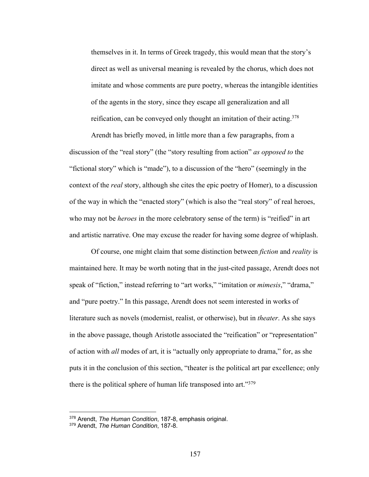themselves in it. In terms of Greek tragedy, this would mean that the story's direct as well as universal meaning is revealed by the chorus, which does not imitate and whose comments are pure poetry, whereas the intangible identities of the agents in the story, since they escape all generalization and all reification, can be conveyed only thought an imitation of their acting.<sup>378</sup>

Arendt has briefly moved, in little more than a few paragraphs, from a discussion of the "real story" (the "story resulting from action" *as opposed to* the "fictional story" which is "made"), to a discussion of the "hero" (seemingly in the context of the *real* story, although she cites the epic poetry of Homer), to a discussion of the way in which the "enacted story" (which is also the "real story" of real heroes, who may not be *heroes* in the more celebratory sense of the term) is "reified" in art and artistic narrative. One may excuse the reader for having some degree of whiplash.

Of course, one might claim that some distinction between *fiction* and *reality* is maintained here. It may be worth noting that in the just-cited passage, Arendt does not speak of "fiction," instead referring to "art works," "imitation or *mimesis*," "drama," and "pure poetry." In this passage, Arendt does not seem interested in works of literature such as novels (modernist, realist, or otherwise), but in *theater*. As she says in the above passage, though Aristotle associated the "reification" or "representation" of action with *all* modes of art, it is "actually only appropriate to drama," for, as she puts it in the conclusion of this section, "theater is the political art par excellence; only there is the political sphere of human life transposed into art."379

<sup>378</sup> Arendt, *The Human Condition*, 187-8, emphasis original.

<sup>379</sup> Arendt, *The Human Condition*, 187-8.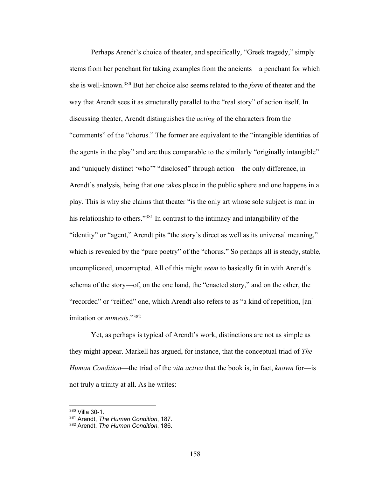Perhaps Arendt's choice of theater, and specifically, "Greek tragedy," simply stems from her penchant for taking examples from the ancients—a penchant for which she is well-known.380 But her choice also seems related to the *form* of theater and the way that Arendt sees it as structurally parallel to the "real story" of action itself. In discussing theater, Arendt distinguishes the *acting* of the characters from the "comments" of the "chorus." The former are equivalent to the "intangible identities of the agents in the play" and are thus comparable to the similarly "originally intangible" and "uniquely distinct 'who'" "disclosed" through action—the only difference, in Arendt's analysis, being that one takes place in the public sphere and one happens in a play. This is why she claims that theater "is the only art whose sole subject is man in his relationship to others."<sup>381</sup> In contrast to the intimacy and intangibility of the "identity" or "agent," Arendt pits "the story's direct as well as its universal meaning," which is revealed by the "pure poetry" of the "chorus." So perhaps all is steady, stable, uncomplicated, uncorrupted. All of this might *seem* to basically fit in with Arendt's schema of the story—of, on the one hand, the "enacted story," and on the other, the "recorded" or "reified" one, which Arendt also refers to as "a kind of repetition, [an] imitation or *mimesis*."382

Yet, as perhaps is typical of Arendt's work, distinctions are not as simple as they might appear. Markell has argued, for instance, that the conceptual triad of *The Human Condition*—the triad of the *vita activa* that the book is, in fact, *known* for—is not truly a trinity at all. As he writes:

<sup>380</sup> Villa 30-1.

<sup>381</sup> Arendt, *The Human Condition*, 187.

<sup>382</sup> Arendt, *The Human Condition*, 186.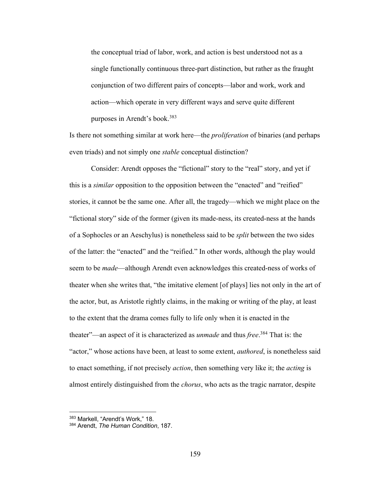the conceptual triad of labor, work, and action is best understood not as a single functionally continuous three-part distinction, but rather as the fraught conjunction of two different pairs of concepts—labor and work, work and action—which operate in very different ways and serve quite different purposes in Arendt's book.383

Is there not something similar at work here—the *proliferation* of binaries (and perhaps even triads) and not simply one *stable* conceptual distinction?

Consider: Arendt opposes the "fictional" story to the "real" story, and yet if this is a *similar* opposition to the opposition between the "enacted" and "reified" stories, it cannot be the same one. After all, the tragedy—which we might place on the "fictional story" side of the former (given its made-ness, its created-ness at the hands of a Sophocles or an Aeschylus) is nonetheless said to be *split* between the two sides of the latter: the "enacted" and the "reified." In other words, although the play would seem to be *made*—although Arendt even acknowledges this created-ness of works of theater when she writes that, "the imitative element [of plays] lies not only in the art of the actor, but, as Aristotle rightly claims, in the making or writing of the play, at least to the extent that the drama comes fully to life only when it is enacted in the theater"—an aspect of it is characterized as *unmade* and thus *free*. <sup>384</sup> That is: the "actor," whose actions have been, at least to some extent, *authored*, is nonetheless said to enact something, if not precisely *action*, then something very like it; the *acting* is almost entirely distinguished from the *chorus*, who acts as the tragic narrator, despite

<sup>383</sup> Markell, "Arendt's Work," 18.

<sup>384</sup> Arendt, *The Human Condition*, 187.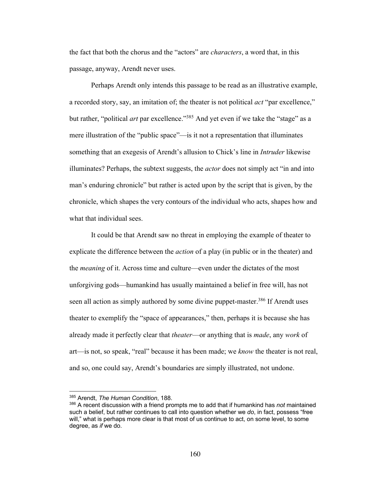the fact that both the chorus and the "actors" are *characters*, a word that, in this passage, anyway, Arendt never uses.

Perhaps Arendt only intends this passage to be read as an illustrative example, a recorded story, say, an imitation of; the theater is not political *act* "par excellence," but rather, "political *art* par excellence."385 And yet even if we take the "stage" as a mere illustration of the "public space"—is it not a representation that illuminates something that an exegesis of Arendt's allusion to Chick's line in *Intruder* likewise illuminates? Perhaps, the subtext suggests, the *actor* does not simply act "in and into man's enduring chronicle" but rather is acted upon by the script that is given, by the chronicle, which shapes the very contours of the individual who acts, shapes how and what that individual sees.

It could be that Arendt saw no threat in employing the example of theater to explicate the difference between the *action* of a play (in public or in the theater) and the *meaning* of it. Across time and culture—even under the dictates of the most unforgiving gods—humankind has usually maintained a belief in free will, has not seen all action as simply authored by some divine puppet-master.<sup>386</sup> If Arendt uses theater to exemplify the "space of appearances," then, perhaps it is because she has already made it perfectly clear that *theater*—or anything that is *made*, any *work* of art—is not, so speak, "real" because it has been made; we *know* the theater is not real, and so, one could say, Arendt's boundaries are simply illustrated, not undone.

<sup>385</sup> Arendt, *The Human Condition*, 188.

<sup>386</sup> A recent discussion with a friend prompts me to add that if humankind has *not* maintained such a belief, but rather continues to call into question whether we *do*, in fact, possess "free will," what is perhaps more clear is that most of us continue to act, on some level, to some degree, as *if* we do.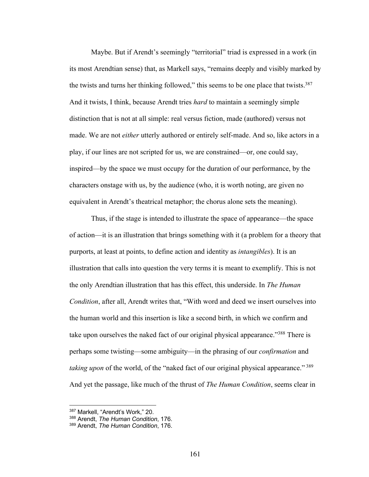Maybe. But if Arendt's seemingly "territorial" triad is expressed in a work (in its most Arendtian sense) that, as Markell says, "remains deeply and visibly marked by the twists and turns her thinking followed," this seems to be one place that twists.<sup>387</sup> And it twists, I think, because Arendt tries *hard* to maintain a seemingly simple distinction that is not at all simple: real versus fiction, made (authored) versus not made. We are not *either* utterly authored or entirely self-made. And so, like actors in a play, if our lines are not scripted for us, we are constrained—or, one could say, inspired—by the space we must occupy for the duration of our performance, by the characters onstage with us, by the audience (who, it is worth noting, are given no equivalent in Arendt's theatrical metaphor; the chorus alone sets the meaning).

Thus, if the stage is intended to illustrate the space of appearance—the space of action—it is an illustration that brings something with it (a problem for a theory that purports, at least at points, to define action and identity as *intangibles*). It is an illustration that calls into question the very terms it is meant to exemplify. This is not the only Arendtian illustration that has this effect, this underside. In *The Human Condition*, after all, Arendt writes that, "With word and deed we insert ourselves into the human world and this insertion is like a second birth, in which we confirm and take upon ourselves the naked fact of our original physical appearance."388 There is perhaps some twisting—some ambiguity—in the phrasing of our *confirmation* and *taking upon* of the world, of the "naked fact of our original physical appearance."<sup>389</sup> And yet the passage, like much of the thrust of *The Human Condition*, seems clear in

<sup>387</sup> Markell, "Arendt's Work," 20.

<sup>388</sup> Arendt, *The Human Condition*, 176.

<sup>389</sup> Arendt, *The Human Condition*, 176.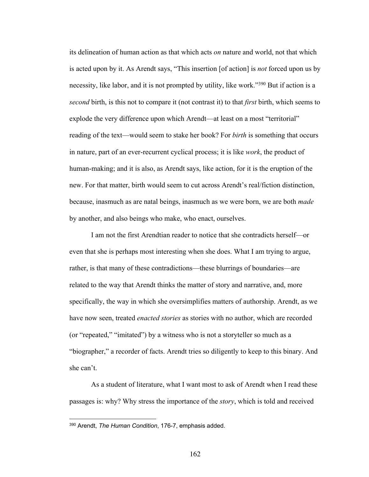its delineation of human action as that which acts *on* nature and world, not that which is acted upon by it. As Arendt says, "This insertion [of action] is *not* forced upon us by necessity, like labor, and it is not prompted by utility, like work."390 But if action is a *second* birth, is this not to compare it (not contrast it) to that *first* birth, which seems to explode the very difference upon which Arendt—at least on a most "territorial" reading of the text—would seem to stake her book? For *birth* is something that occurs in nature, part of an ever-recurrent cyclical process; it is like *work*, the product of human-making; and it is also, as Arendt says, like action, for it is the eruption of the new. For that matter, birth would seem to cut across Arendt's real/fiction distinction, because, inasmuch as are natal beings, inasmuch as we were born, we are both *made*  by another, and also beings who make, who enact, ourselves.

I am not the first Arendtian reader to notice that she contradicts herself—or even that she is perhaps most interesting when she does. What I am trying to argue, rather, is that many of these contradictions—these blurrings of boundaries—are related to the way that Arendt thinks the matter of story and narrative, and, more specifically, the way in which she oversimplifies matters of authorship. Arendt, as we have now seen, treated *enacted stories* as stories with no author, which are recorded (or "repeated," "imitated") by a witness who is not a storyteller so much as a "biographer," a recorder of facts. Arendt tries so diligently to keep to this binary. And she can't.

As a student of literature, what I want most to ask of Arendt when I read these passages is: why? Why stress the importance of the *story*, which is told and received

<sup>390</sup> Arendt, *The Human Condition*, 176-7, emphasis added.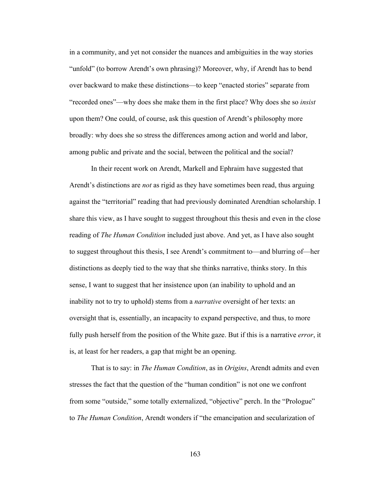in a community, and yet not consider the nuances and ambiguities in the way stories "unfold" (to borrow Arendt's own phrasing)? Moreover, why, if Arendt has to bend over backward to make these distinctions—to keep "enacted stories" separate from "recorded ones"—why does she make them in the first place? Why does she so *insist*  upon them? One could, of course, ask this question of Arendt's philosophy more broadly: why does she so stress the differences among action and world and labor, among public and private and the social, between the political and the social?

In their recent work on Arendt, Markell and Ephraim have suggested that Arendt's distinctions are *not* as rigid as they have sometimes been read, thus arguing against the "territorial" reading that had previously dominated Arendtian scholarship. I share this view, as I have sought to suggest throughout this thesis and even in the close reading of *The Human Condition* included just above. And yet, as I have also sought to suggest throughout this thesis, I see Arendt's commitment to—and blurring of—her distinctions as deeply tied to the way that she thinks narrative, thinks story. In this sense, I want to suggest that her insistence upon (an inability to uphold and an inability not to try to uphold) stems from a *narrative* oversight of her texts: an oversight that is, essentially, an incapacity to expand perspective, and thus, to more fully push herself from the position of the White gaze. But if this is a narrative *error*, it is, at least for her readers, a gap that might be an opening.

That is to say: in *The Human Condition*, as in *Origins*, Arendt admits and even stresses the fact that the question of the "human condition" is not one we confront from some "outside," some totally externalized, "objective" perch. In the "Prologue" to *The Human Condition*, Arendt wonders if "the emancipation and secularization of

163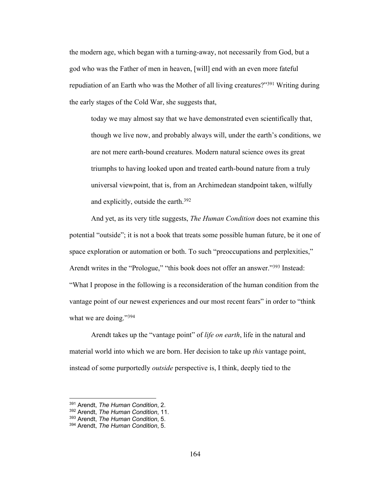the modern age, which began with a turning-away, not necessarily from God, but a god who was the Father of men in heaven, [will] end with an even more fateful repudiation of an Earth who was the Mother of all living creatures?"391 Writing during the early stages of the Cold War, she suggests that,

today we may almost say that we have demonstrated even scientifically that, though we live now, and probably always will, under the earth's conditions, we are not mere earth-bound creatures. Modern natural science owes its great triumphs to having looked upon and treated earth-bound nature from a truly universal viewpoint, that is, from an Archimedean standpoint taken, wilfully and explicitly, outside the earth.392

And yet, as its very title suggests, *The Human Condition* does not examine this potential "outside"; it is not a book that treats some possible human future, be it one of space exploration or automation or both. To such "preoccupations and perplexities," Arendt writes in the "Prologue," "this book does not offer an answer."<sup>393</sup> Instead: "What I propose in the following is a reconsideration of the human condition from the vantage point of our newest experiences and our most recent fears" in order to "think what we are doing."<sup>394</sup>

Arendt takes up the "vantage point" of *life on earth*, life in the natural and material world into which we are born. Her decision to take up *this* vantage point, instead of some purportedly *outside* perspective is, I think, deeply tied to the

<sup>391</sup> Arendt, *The Human Condition*, 2.

<sup>392</sup> Arendt, *The Human Condition*, 11.

<sup>393</sup> Arendt, *The Human Condition*, 5.

<sup>394</sup> Arendt, *The Human Condition*, 5.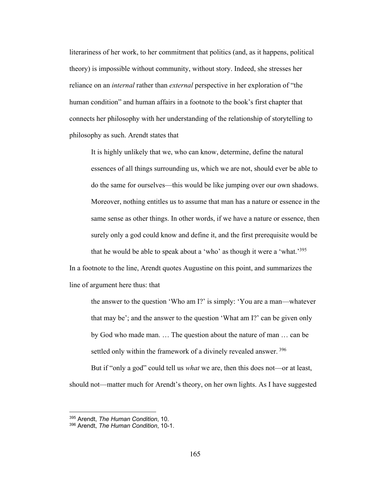literariness of her work, to her commitment that politics (and, as it happens, political theory) is impossible without community, without story. Indeed, she stresses her reliance on an *internal* rather than *external* perspective in her exploration of "the human condition" and human affairs in a footnote to the book's first chapter that connects her philosophy with her understanding of the relationship of storytelling to philosophy as such. Arendt states that

It is highly unlikely that we, who can know, determine, define the natural essences of all things surrounding us, which we are not, should ever be able to do the same for ourselves—this would be like jumping over our own shadows. Moreover, nothing entitles us to assume that man has a nature or essence in the same sense as other things. In other words, if we have a nature or essence, then surely only a god could know and define it, and the first prerequisite would be that he would be able to speak about a 'who' as though it were a 'what.'395

In a footnote to the line, Arendt quotes Augustine on this point, and summarizes the line of argument here thus: that

the answer to the question 'Who am I?' is simply: 'You are a man—whatever that may be'; and the answer to the question 'What am I?' can be given only by God who made man. … The question about the nature of man … can be settled only within the framework of a divinely revealed answer.<sup>396</sup>

But if "only a god" could tell us *what* we are, then this does not—or at least, should not—matter much for Arendt's theory, on her own lights. As I have suggested

<sup>395</sup> Arendt, *The Human Condition*, 10.

<sup>396</sup> Arendt, *The Human Condition*, 10-1.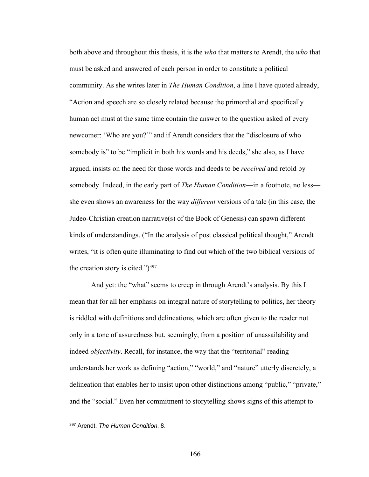both above and throughout this thesis, it is the *who* that matters to Arendt, the *who* that must be asked and answered of each person in order to constitute a political community. As she writes later in *The Human Condition*, a line I have quoted already, "Action and speech are so closely related because the primordial and specifically human act must at the same time contain the answer to the question asked of every newcomer: 'Who are you?'" and if Arendt considers that the "disclosure of who somebody is" to be "implicit in both his words and his deeds," she also, as I have argued, insists on the need for those words and deeds to be *received* and retold by somebody. Indeed, in the early part of *The Human Condition*—in a footnote, no less she even shows an awareness for the way *different* versions of a tale (in this case, the Judeo-Christian creation narrative(s) of the Book of Genesis) can spawn different kinds of understandings. ("In the analysis of post classical political thought," Arendt writes, "it is often quite illuminating to find out which of the two biblical versions of the creation story is cited." $)^{397}$ 

And yet: the "what" seems to creep in through Arendt's analysis. By this I mean that for all her emphasis on integral nature of storytelling to politics, her theory is riddled with definitions and delineations, which are often given to the reader not only in a tone of assuredness but, seemingly, from a position of unassailability and indeed *objectivity*. Recall, for instance, the way that the "territorial" reading understands her work as defining "action," "world," and "nature" utterly discretely, a delineation that enables her to insist upon other distinctions among "public," "private," and the "social." Even her commitment to storytelling shows signs of this attempt to

<sup>397</sup> Arendt, *The Human Condition*, 8.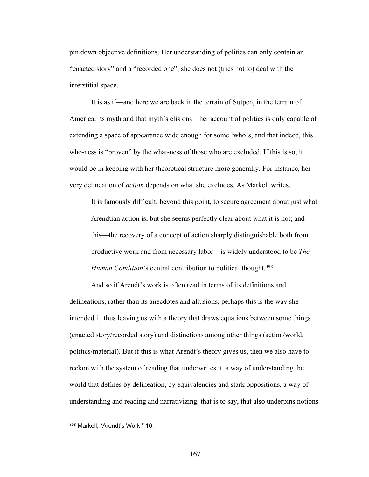pin down objective definitions. Her understanding of politics can only contain an "enacted story" and a "recorded one"; she does not (tries not to) deal with the interstitial space.

It is as if—and here we are back in the terrain of Sutpen, in the terrain of America, its myth and that myth's elisions—her account of politics is only capable of extending a space of appearance wide enough for some 'who's, and that indeed, this who-ness is "proven" by the what-ness of those who are excluded. If this is so, it would be in keeping with her theoretical structure more generally. For instance, her very delineation of *action* depends on what she excludes. As Markell writes,

It is famously difficult, beyond this point, to secure agreement about just what Arendtian action is, but she seems perfectly clear about what it is not; and this—the recovery of a concept of action sharply distinguishable both from productive work and from necessary labor—is widely understood to be *The Human Condition*'s central contribution to political thought.<sup>398</sup>

And so if Arendt's work is often read in terms of its definitions and delineations, rather than its anecdotes and allusions, perhaps this is the way she intended it, thus leaving us with a theory that draws equations between some things (enacted story/recorded story) and distinctions among other things (action/world, politics/material). But if this is what Arendt's theory gives us, then we also have to reckon with the system of reading that underwrites it, a way of understanding the world that defines by delineation, by equivalencies and stark oppositions, a way of understanding and reading and narrativizing, that is to say, that also underpins notions

<sup>398</sup> Markell, "Arendt's Work," 16.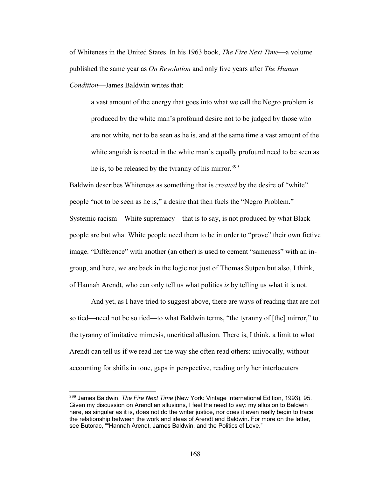of Whiteness in the United States. In his 1963 book, *The Fire Next Time*—a volume published the same year as *On Revolution* and only five years after *The Human Condition*—James Baldwin writes that:

a vast amount of the energy that goes into what we call the Negro problem is produced by the white man's profound desire not to be judged by those who are not white, not to be seen as he is, and at the same time a vast amount of the white anguish is rooted in the white man's equally profound need to be seen as he is, to be released by the tyranny of his mirror.<sup>399</sup>

Baldwin describes Whiteness as something that is *created* by the desire of "white" people "not to be seen as he is," a desire that then fuels the "Negro Problem." Systemic racism—White supremacy—that is to say, is not produced by what Black people are but what White people need them to be in order to "prove" their own fictive image. "Difference" with another (an other) is used to cement "sameness" with an ingroup, and here, we are back in the logic not just of Thomas Sutpen but also, I think, of Hannah Arendt, who can only tell us what politics *is* by telling us what it is not.

And yet, as I have tried to suggest above, there are ways of reading that are not so tied—need not be so tied—to what Baldwin terms, "the tyranny of [the] mirror," to the tyranny of imitative mimesis, uncritical allusion. There is, I think, a limit to what Arendt can tell us if we read her the way she often read others: univocally, without accounting for shifts in tone, gaps in perspective, reading only her interlocuters

<sup>399</sup> James Baldwin, *The Fire Next Time* (New York: Vintage International Edition, 1993), 95. Given my discussion on Arendtian allusions, I feel the need to say: my allusion to Baldwin here, as singular as it is, does not do the writer justice, nor does it even really begin to trace the relationship between the work and ideas of Arendt and Baldwin. For more on the latter, see Butorac, ""Hannah Arendt, James Baldwin, and the Politics of Love."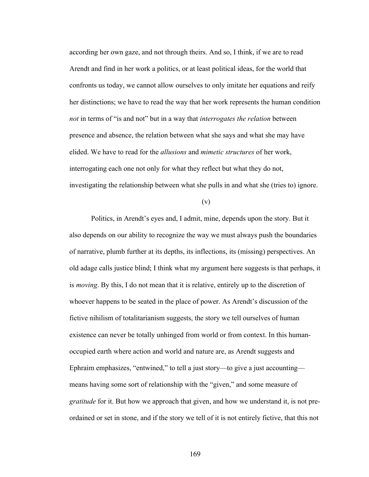according her own gaze, and not through theirs. And so, I think, if we are to read Arendt and find in her work a politics, or at least political ideas, for the world that confronts us today, we cannot allow ourselves to only imitate her equations and reify her distinctions; we have to read the way that her work represents the human condition *not* in terms of "is and not" but in a way that *interrogates the relation* between presence and absence, the relation between what she says and what she may have elided. We have to read for the *allusions* and *mimetic structures* of her work, interrogating each one not only for what they reflect but what they do not, investigating the relationship between what she pulls in and what she (tries to) ignore.

## (v)

Politics, in Arendt's eyes and, I admit, mine, depends upon the story. But it also depends on our ability to recognize the way we must always push the boundaries of narrative, plumb further at its depths, its inflections, its (missing) perspectives. An old adage calls justice blind; I think what my argument here suggests is that perhaps, it is *moving*. By this, I do not mean that it is relative, entirely up to the discretion of whoever happens to be seated in the place of power. As Arendt's discussion of the fictive nihilism of totalitarianism suggests, the story we tell ourselves of human existence can never be totally unhinged from world or from context. In this humanoccupied earth where action and world and nature are, as Arendt suggests and Ephraim emphasizes, "entwined," to tell a just story—to give a just accounting means having some sort of relationship with the "given," and some measure of *gratitude* for it. But how we approach that given, and how we understand it, is not preordained or set in stone, and if the story we tell of it is not entirely fictive, that this not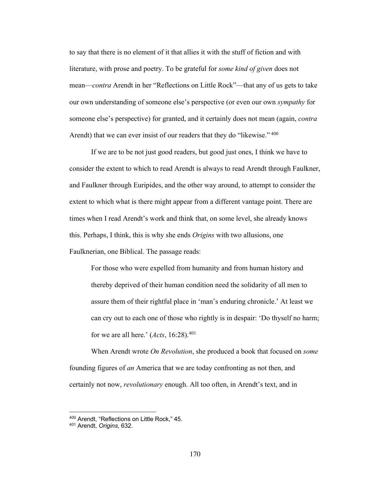to say that there is no element of it that allies it with the stuff of fiction and with literature, with prose and poetry. To be grateful for *some kind of given* does not mean—*contra* Arendt in her "Reflections on Little Rock"—that any of us gets to take our own understanding of someone else's perspective (or even our own *sympathy* for someone else's perspective) for granted, and it certainly does not mean (again, *contra*  Arendt) that we can ever insist of our readers that they do "likewise." <sup>400</sup>

If we are to be not just good readers, but good just ones, I think we have to consider the extent to which to read Arendt is always to read Arendt through Faulkner, and Faulkner through Euripides, and the other way around, to attempt to consider the extent to which what is there might appear from a different vantage point. There are times when I read Arendt's work and think that, on some level, she already knows this. Perhaps, I think, this is why she ends *Origins* with two allusions, one Faulknerian, one Biblical. The passage reads:

For those who were expelled from humanity and from human history and thereby deprived of their human condition need the solidarity of all men to assure them of their rightful place in 'man's enduring chronicle.' At least we can cry out to each one of those who rightly is in despair: 'Do thyself no harm; for we are all here.' (*Acts*, 16:28).401

When Arendt wrote *On Revolution*, she produced a book that focused on *some* founding figures of *an* America that we are today confronting as not then, and certainly not now, *revolutionary* enough. All too often, in Arendt's text, and in

<sup>400</sup> Arendt, "Reflections on Little Rock," 45.

<sup>401</sup> Arendt, *Origins*, 632.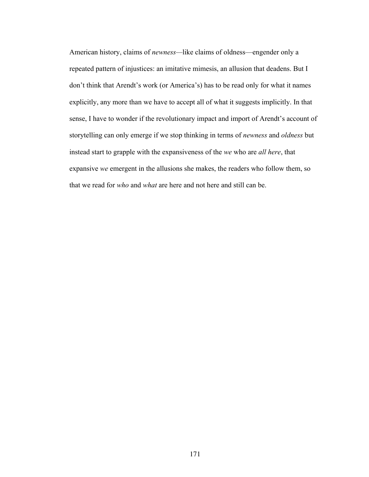American history, claims of *newness—*like claims of oldness—engender only a repeated pattern of injustices: an imitative mimesis, an allusion that deadens. But I don't think that Arendt's work (or America's) has to be read only for what it names explicitly, any more than we have to accept all of what it suggests implicitly. In that sense, I have to wonder if the revolutionary impact and import of Arendt's account of storytelling can only emerge if we stop thinking in terms of *newness* and *oldness* but instead start to grapple with the expansiveness of the *we* who are *all here*, that expansive *we* emergent in the allusions she makes, the readers who follow them, so that we read for *who* and *what* are here and not here and still can be.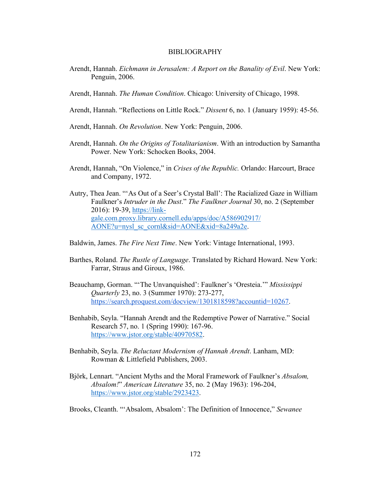## BIBLIOGRAPHY

- Arendt, Hannah. *Eichmann in Jerusalem: A Report on the Banality of Evil*. New York: Penguin, 2006.
- Arendt, Hannah. *The Human Condition*. Chicago: University of Chicago, 1998.
- Arendt, Hannah. "Reflections on Little Rock." *Dissent* 6, no. 1 (January 1959): 45-56.
- Arendt, Hannah. *On Revolution*. New York: Penguin, 2006.
- Arendt, Hannah. *On the Origins of Totalitarianism*. With an introduction by Samantha Power. New York: Schocken Books, 2004.
- Arendt, Hannah, "On Violence," in *Crises of the Republic.* Orlando: Harcourt, Brace and Company, 1972.
- Autry, Thea Jean. "'As Out of a Seer's Crystal Ball': The Racialized Gaze in William Faulkner's *Intruder in the Dust*." *The Faulkner Journal* 30, no. 2 (September 2016): 19-39, https://linkgale.com.proxy.library.cornell.edu/apps/doc/A586902917/ AONE?u=nysl\_sc\_cornl&sid=AONE&xid=8a249a2e.
- Baldwin, James. *The Fire Next Time*. New York: Vintage International, 1993.
- Barthes, Roland. *The Rustle of Language*. Translated by Richard Howard. New York: Farrar, Straus and Giroux, 1986.
- Beauchamp, Gorman. "'The Unvanquished': Faulkner's 'Oresteia.'" *Mississippi Quarterly* 23, no. 3 (Summer 1970): 273-277, https://search.proquest.com/docview/1301818598?accountid=10267.
- Benhabib, Seyla. "Hannah Arendt and the Redemptive Power of Narrative." Social Research 57, no. 1 (Spring 1990): 167-96. https://www.jstor.org/stable/40970582.
- Benhabib, Seyla. *The Reluctant Modernism of Hannah Arendt*. Lanham, MD: Rowman & Littlefield Publishers, 2003.
- Björk, Lennart. "Ancient Myths and the Moral Framework of Faulkner's *Absalom, Absalom!*" *American Literature* 35, no. 2 (May 1963): 196-204, https://www.jstor.org/stable/2923423.

Brooks, Cleanth. "'Absalom, Absalom': The Definition of Innocence," *Sewanee*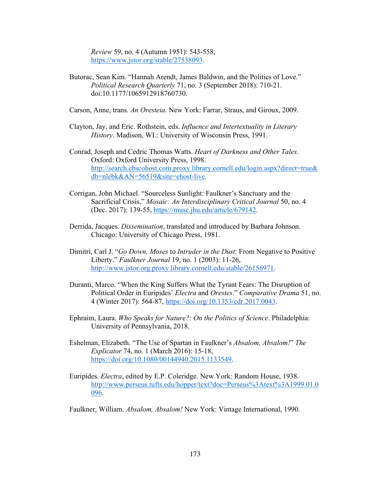*Review* 59, no. 4 (Autumn 1951): 543-558, https://www.jstor.org/stable/27538093.

Butorac, Sean Kim. "Hannah Arendt, James Baldwin, and the Politics of Love." *Political Research Quarterly* 71, no. 3 (September 2018): 710-21. doi:10.1177/1065912918760730.

Carson, Anne, trans. *An Oresteia*. New York: Farrar, Straus, and Giroux, 2009.

- Clayton, Jay, and Eric. Rothstein, eds. *Influence and Intertextuality in Literary History*. Madison, WI.: University of Wisconsin Press, 1991.
- Conrad, Joseph and Cedric Thomas Watts. *Heart of Darkness and Other Tales*. Oxford: Oxford University Press, 1998. http://search.ebscohost.com.proxy.library.cornell.edu/login.aspx?direct=true& db=nlebk&AN=56519&site=ehost-live.
- Corrigan, John Michael. "Sourceless Sunlight: Faulkner's Sanctuary and the Sacrificial Crisis." *Mosaic: An Interdisciplinary Critical Journal* 50, no. 4 (Dec. 2017): 139-55, https://muse.jhu.edu/article/679142.
- Derrida, Jacques. *Dissemination*, translated and introduced by Barbara Johnson. Chicago: University of Chicago Press, 1981.
- Dimitri, Carl J. "*Go Down, Moses* to *Intruder in the Dust*: From Negative to Positive Liberty." *Faulkner Journal* 19, no. 1 (2003): 11-26, http://www.jstor.org.proxy.library.cornell.edu/stable/26156971.
- Duranti, Marco. "When the King Suffers What the Tyrant Fears: The Disruption of Political Order in Euripides' *Electra* and *Orestes*." *Comparative Drama* 51, no. 4 (Winter 2017): 564-87, https://doi.org/10.1353/cdr.2017.0043.
- Ephraim, Laura. *Who Speaks for Nature?: On the Politics of Science*. Philadelphia: University of Pennsylvania, 2018.
- Eshelman, Elizabeth. "The Use of Spartan in Faulkner's *Absalom, Absalom!*" *The Explicator* 74, no. 1 (March 2016): 15-18, https://doi.org/10.1080/00144940.2015.1133549.
- Euripides. *Electra*, edited by E.P. Coleridge. New York: Random House, 1938. http://www.perseus.tufts.edu/hopper/text?doc=Perseus%3Atext%3A1999.01.0 096.

Faulkner, William. *Absalom, Absalom!* New York: Vintage International, 1990.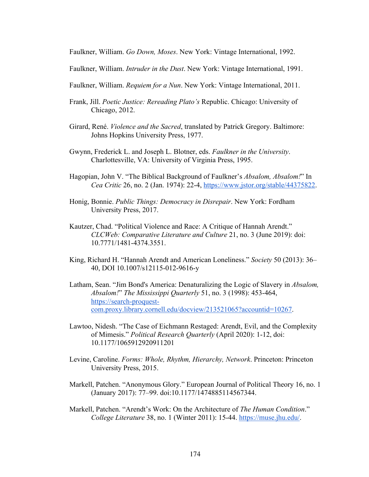Faulkner, William. *Go Down, Moses*. New York: Vintage International, 1992.

Faulkner, William. *Intruder in the Dust*. New York: Vintage International, 1991.

- Faulkner, William. *Requiem for a Nun*. New York: Vintage International, 2011.
- Frank, Jill. *Poetic Justice: Rereading Plato's* Republic. Chicago: University of Chicago, 2012.
- Girard, René. *Violence and the Sacred*, translated by Patrick Gregory. Baltimore: Johns Hopkins University Press, 1977.
- Gwynn, Frederick L. and Joseph L. Blotner, eds. *Faulkner in the University*. Charlottesville, VA: University of Virginia Press, 1995.
- Hagopian, John V. "The Biblical Background of Faulkner's *Absalom, Absalom!*" In *Cea Critic* 26, no. 2 (Jan. 1974): 22-4, https://www.jstor.org/stable/44375822.
- Honig, Bonnie. *Public Things: Democracy in Disrepair*. New York: Fordham University Press, 2017.
- Kautzer, Chad. "Political Violence and Race: A Critique of Hannah Arendt." *CLCWeb: Comparative Literature and Culture* 21, no. 3 (June 2019): doi: 10.7771/1481-4374.3551.
- King, Richard H. "Hannah Arendt and American Loneliness." *Society* 50 (2013): 36– 40, DOI 10.1007/s12115-012-9616-y
- Latham, Sean. "Jim Bond's America: Denaturalizing the Logic of Slavery in *Absalom, Absalom!*" *The Mississippi Quarterly* 51, no. 3 (1998): 453-464, https://search-proquestcom.proxy.library.cornell.edu/docview/213521065?accountid=10267.
- Lawtoo, Nidesh. "The Case of Eichmann Restaged: Arendt, Evil, and the Complexity of Mimesis." *Political Research Quarterly* (April 2020): 1-12, doi: 10.1177/1065912920911201
- Levine, Caroline. *Forms: Whole, Rhythm, Hierarchy, Network*. Princeton: Princeton University Press, 2015.
- Markell, Patchen. "Anonymous Glory." European Journal of Political Theory 16, no. 1 (January 2017): 77–99. doi:10.1177/1474885114567344.
- Markell, Patchen. "Arendt's Work: On the Architecture of *The Human Condition*." *College Literature* 38, no. 1 (Winter 2011): 15-44. https://muse.jhu.edu/.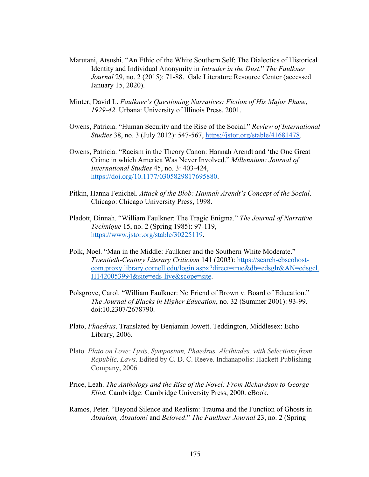- Marutani, Atsushi. "An Ethic of the White Southern Self: The Dialectics of Historical Identity and Individual Anonymity in *Intruder in the Dust*." *The Faulkner Journal* 29, no. 2 (2015): 71-88. Gale Literature Resource Center (accessed January 15, 2020).
- Minter, David L. *Faulkner's Questioning Narratives: Fiction of His Major Phase*, *1929-42*. Urbana: University of Illinois Press, 2001.
- Owens, Patricia. "Human Security and the Rise of the Social." *Review of International Studies* 38, no. 3 (July 2012): 547-567, https://jstor.org/stable/41681478.
- Owens, Patricia. "Racism in the Theory Canon: Hannah Arendt and 'the One Great Crime in which America Was Never Involved." *Millennium: Journal of International Studies* 45, no. 3: 403-424, https://doi.org/10.1177/0305829817695880.
- Pitkin, Hanna Fenichel. *Attack of the Blob: Hannah Arendt's Concept of the Social*. Chicago: Chicago University Press, 1998.
- Pladott, Dinnah. "William Faulkner: The Tragic Enigma." *The Journal of Narrative Technique* 15, no. 2 (Spring 1985): 97-119, https://www.jstor.org/stable/30225119.
- Polk, Noel. "Man in the Middle: Faulkner and the Southern White Moderate." *Twentieth-Century Literary Criticism* 141 (2003): https://search-ebscohostcom.proxy.library.cornell.edu/login.aspx?direct=true&db=edsglr&AN=edsgcl. H1420053994&site=eds-live&scope=site.
- Polsgrove, Carol. "William Faulkner: No Friend of Brown v. Board of Education." *The Journal of Blacks in Higher Education*, no. 32 (Summer 2001): 93-99. doi:10.2307/2678790.
- Plato, *Phaedrus*. Translated by Benjamin Jowett. Teddington, Middlesex: Echo Library, 2006.
- Plato. *Plato on Love: Lysis, Symposium, Phaedrus, Alcibiades, with Selections from Republic, Laws*. Edited by C. D. C. Reeve. Indianapolis: Hackett Publishing Company, 2006
- Price, Leah. *The Anthology and the Rise of the Novel: From Richardson to George Eliot.* Cambridge: Cambridge University Press, 2000. eBook.
- Ramos, Peter. "Beyond Silence and Realism: Trauma and the Function of Ghosts in *Absalom, Absalom!* and *Beloved*." *The Faulkner Journal* 23, no. 2 (Spring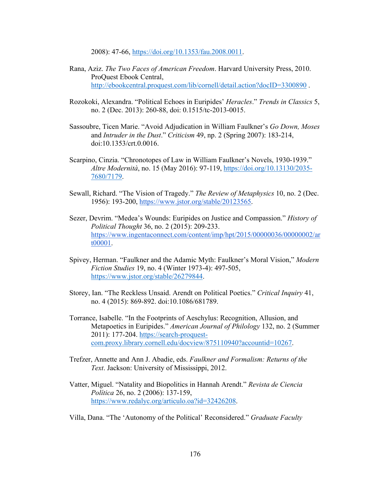2008): 47-66, https://doi.org/10.1353/fau.2008.0011.

- Rana, Aziz. *The Two Faces of American Freedom*. Harvard University Press, 2010. ProQuest Ebook Central, http://ebookcentral.proquest.com/lib/cornell/detail.action?docID=3300890.
- Rozokoki, Alexandra. "Political Echoes in Euripides' *Heracles*." *Trends in Classics* 5, no. 2 (Dec. 2013): 260-88, doi: 0.1515/tc-2013-0015.
- Sassoubre, Ticen Marie. "Avoid Adjudication in William Faulkner's *Go Down, Moses*  and *Intruder in the Dust*." *Criticism* 49, np. 2 (Spring 2007): 183-214, doi:10.1353/crt.0.0016.
- Scarpino, Cinzia. "Chronotopes of Law in William Faulkner's Novels, 1930-1939." *Altre Modernità*, no. 15 (May 2016): 97-119, https://doi.org/10.13130/2035- 7680/7179.
- Sewall, Richard. "The Vision of Tragedy." *The Review of Metaphysics* 10, no. 2 (Dec. 1956): 193-200, https://www.jstor.org/stable/20123565.
- Sezer, Devrim. "Medea's Wounds: Euripides on Justice and Compassion." *History of Political Thought* 36, no. 2 (2015): 209-233. https://www.ingentaconnect.com/content/imp/hpt/2015/00000036/00000002/ar t00001.
- Spivey, Herman. "Faulkner and the Adamic Myth: Faulkner's Moral Vision," *Modern Fiction Studies* 19, no. 4 (Winter 1973-4): 497-505, https://www.jstor.org/stable/26279844.
- Storey, Ian. "The Reckless Unsaid. Arendt on Political Poetics." *Critical Inquiry* 41, no. 4 (2015): 869-892. doi:10.1086/681789.
- Torrance, Isabelle. "In the Footprints of Aeschylus: Recognition, Allusion, and Metapoetics in Euripides." *American Journal of Philology* 132, no. 2 (Summer 2011): 177-204. https://search-proquestcom.proxy.library.cornell.edu/docview/875110940?accountid=10267.
- Trefzer, Annette and Ann J. Abadie, eds. *Faulkner and Formalism: Returns of the Text*. Jackson: University of Mississippi, 2012.
- Vatter, Miguel. "Natality and Biopolitics in Hannah Arendt." *Revista de Ciencia Política* 26, no. 2 (2006): 137-159, https://www.redalyc.org/articulo.oa?id=32426208.
- Villa, Dana. "The 'Autonomy of the Political' Reconsidered." *Graduate Faculty*